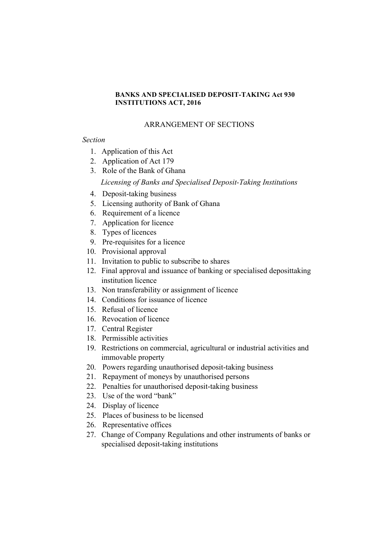## **BANKS AND SPECIALISED DEPOSIT-TAKING Act 930 INSTITUTIONS ACT, 2016**

# ARRANGEMENT OF SECTIONS

# *Section*

- 1. Application of this Act
- 2. Application of Act 179
- 3. Role of the Bank of Ghana

*Licensing of Banks and Specialised Deposit-Taking Institutions*

- 4. Deposit-taking business
- 5. Licensing authority of Bank of Ghana
- 6. Requirement of a licence
- 7. Application for licence
- 8. Types of licences
- 9. Pre-requisites for a licence
- 10. Provisional approval
- 11. Invitation to public to subscribe to shares
- 12. Final approval and issuance of banking or specialised deposittaking institution licence
- 13. Non transferability or assignment of licence
- 14. Conditions for issuance of licence
- 15. Refusal of licence
- 16. Revocation of licence
- 17. Central Register
- 18. Permissible activities
- 19. Restrictions on commercial, agricultural or industrial activities and immovable property
- 20. Powers regarding unauthorised deposit-taking business
- 21. Repayment of moneys by unauthorised persons
- 22. Penalties for unauthorised deposit-taking business
- 23. Use of the word "bank"
- 24. Display of licence
- 25. Places of business to be licensed
- 26. Representative offices
- 27. Change of Company Regulations and other instruments of banks or specialised deposit-taking institutions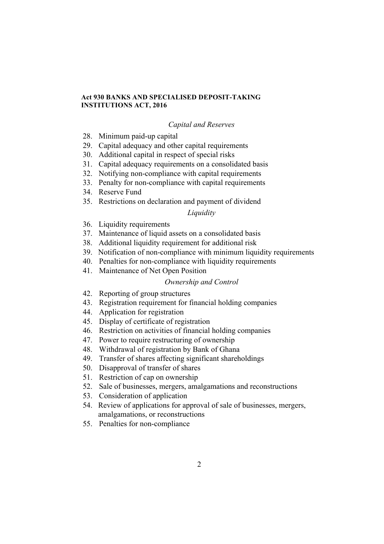### **Act 930 BANKS AND SPECIALISED DEPOSIT-TAKING INSTITUTIONS ACT, 2016**

## *Capital and Reserves*

- 28. Minimum paid-up capital
- 29. Capital adequacy and other capital requirements
- 30. Additional capital in respect of special risks
- 31. Capital adequacy requirements on a consolidated basis
- 32. Notifying non-compliance with capital requirements
- 33. Penalty for non-compliance with capital requirements
- 34. Reserve Fund
- 35. Restrictions on declaration and payment of dividend

# *Liquidity*

- 36. Liquidity requirements
- 37. Maintenance of liquid assets on a consolidated basis
- 38. Additional liquidity requirement for additional risk
- 39. Notification of non-compliance with minimum liquidity requirements
- 40. Penalties for non-compliance with liquidity requirements
- 41. Maintenance of Net Open Position

### *Ownership and Control*

- 42. Reporting of group structures
- 43. Registration requirement for financial holding companies
- 44. Application for registration
- 45. Display of certificate of registration
- 46. Restriction on activities of financial holding companies
- 47. Power to require restructuring of ownership
- 48. Withdrawal of registration by Bank of Ghana
- 49. Transfer of shares affecting significant shareholdings
- 50. Disapproval of transfer of shares
- 51. Restriction of cap on ownership
- 52. Sale of businesses, mergers, amalgamations and reconstructions
- 53. Consideration of application
- 54. Review of applications for approval of sale of businesses, mergers, amalgamations, or reconstructions
- 55. Penalties for non-compliance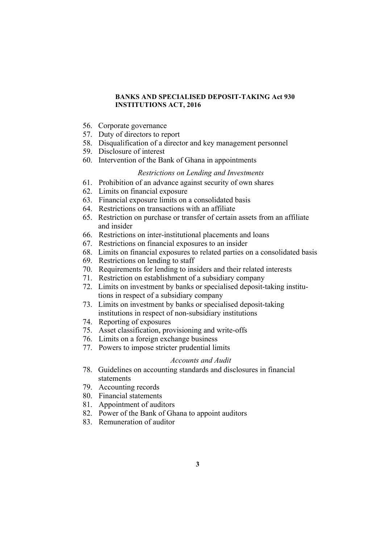### **BANKS AND SPECIALISED DEPOSIT-TAKING Act 930 INSTITUTIONS ACT, 2016**

- 56. Corporate governance
- 57. Duty of directors to report
- 58. Disqualification of a director and key management personnel
- 59. Disclosure of interest
- 60. Intervention of the Bank of Ghana in appointments

### *Restrictions on Lending and Investments*

- 61. Prohibition of an advance against security of own shares
- 62. Limits on financial exposure
- 63. Financial exposure limits on a consolidated basis
- 64. Restrictions on transactions with an affiliate
- 65. Restriction on purchase or transfer of certain assets from an affiliate and insider
- 66. Restrictions on inter-institutional placements and loans
- 67. Restrictions on financial exposures to an insider
- 68. Limits on financial exposures to related parties on a consolidated basis
- 69. Restrictions on lending to staff
- 70. Requirements for lending to insiders and their related interests
- 71. Restriction on establishment of a subsidiary company
- 72. Limits on investment by banks or specialised deposit-taking institutions in respect of a subsidiary company
- 73. Limits on investment by banks or specialised deposit-taking institutions in respect of non-subsidiary institutions
- 74. Reporting of exposures
- 75. Asset classification, provisioning and write-offs
- 76. Limits on a foreign exchange business
- 77. Powers to impose stricter prudential limits

#### *Accounts and Audit*

- 78. Guidelines on accounting standards and disclosures in financial statements
- 79. Accounting records
- 80. Financial statements
- 81. Appointment of auditors
- 82. Power of the Bank of Ghana to appoint auditors
- 83. Remuneration of auditor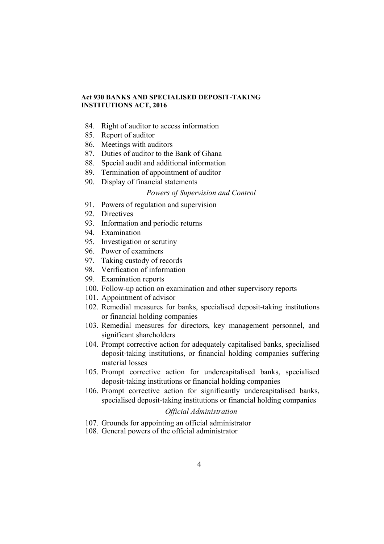## **Act 930 BANKS AND SPECIALISED DEPOSIT-TAKING INSTITUTIONS ACT, 2016**

- 84. Right of auditor to access information
- 85. Report of auditor
- 86. Meetings with auditors
- 87. Duties of auditor to the Bank of Ghana
- 88. Special audit and additional information
- 89. Termination of appointment of auditor
- 90. Display of financial statements

## *Powers of Supervision and Control*

- 91. Powers of regulation and supervision
- 92. Directives
- 93. Information and periodic returns
- 94. Examination
- 95. Investigation or scrutiny
- 96. Power of examiners
- 97. Taking custody of records
- 98. Verification of information
- 99. Examination reports
- 100. Follow-up action on examination and other supervisory reports
- 101. Appointment of advisor
- 102. Remedial measures for banks, specialised deposit-taking institutions or financial holding companies
- 103. Remedial measures for directors, key management personnel, and significant shareholders
- 104. Prompt corrective action for adequately capitalised banks, specialised deposit-taking institutions, or financial holding companies suffering material losses
- 105. Prompt corrective action for undercapitalised banks, specialised deposit-taking institutions or financial holding companies
- 106. Prompt corrective action for significantly undercapitalised banks, specialised deposit-taking institutions or financial holding companies

# *Official Administration*

- 107. Grounds for appointing an official administrator
- 108. General powers of the official administrator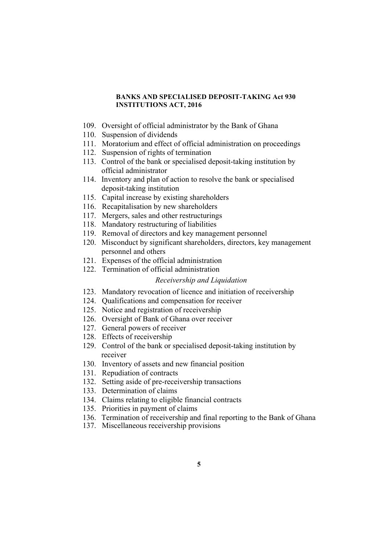### **BANKS AND SPECIALISED DEPOSIT-TAKING Act 930 INSTITUTIONS ACT, 2016**

- 109. Oversight of official administrator by the Bank of Ghana
- 110. Suspension of dividends
- 111. Moratorium and effect of official administration on proceedings
- 112. Suspension of rights of termination
- 113. Control of the bank or specialised deposit-taking institution by official administrator
- 114. Inventory and plan of action to resolve the bank or specialised deposit-taking institution
- 115. Capital increase by existing shareholders
- 116. Recapitalisation by new shareholders
- 117. Mergers, sales and other restructurings
- 118. Mandatory restructuring of liabilities
- 119. Removal of directors and key management personnel
- 120. Misconduct by significant shareholders, directors, key management personnel and others
- 121. Expenses of the official administration
- 122. Termination of official administration

# *Receivership and Liquidation*

- 123. Mandatory revocation of licence and initiation of receivership
- 124. Qualifications and compensation for receiver
- 125. Notice and registration of receivership
- 126. Oversight of Bank of Ghana over receiver
- 127. General powers of receiver
- 128. Effects of receivership
- 129. Control of the bank or specialised deposit-taking institution by receiver
- 130. Inventory of assets and new financial position
- 131. Repudiation of contracts
- 132. Setting aside of pre-receivership transactions
- 133. Determination of claims
- 134. Claims relating to eligible financial contracts
- 135. Priorities in payment of claims
- 136. Termination of receivership and final reporting to the Bank of Ghana
- 137. Miscellaneous receivership provisions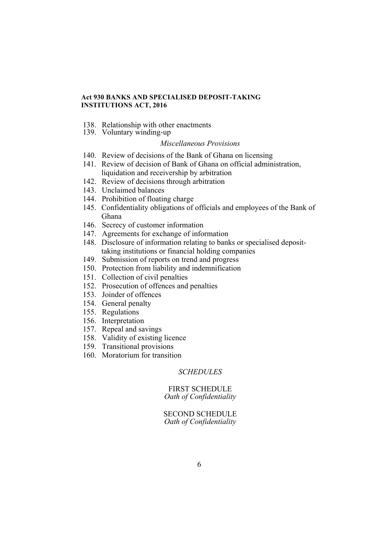## **Act 930 BANKS AND SPECIALISED DEPOSIT-TAKING INSTITUTIONS ACT, 2016**

- 138. Relationship with other enactments
- 139. Voluntary winding-up

#### *Miscellaneous Provisions*

- 140. Review of decisions of the Bank of Ghana on licensing
- 141. Review of decision of Bank of Ghana on official administration, liquidation and receivership by arbitration
- 142. Review of decisions through arbitration
- 143. Unclaimed balances
- 144. Prohibition of floating charge
- 145. Confidentiality obligations of officials and employees of the Bank of Ghana
- 146. Secrecy of customer information
- 147. Agreements for exchange of information
- 148. Disclosure of information relating to banks or specialised deposittaking institutions or financial holding companies
- 149. Submission of reports on trend and progress
- 150. Protection from liability and indemnification
- 151. Collection of civil penalties
- 152. Prosecution of offences and penalties
- 153. Joinder of offences
- 154. General penalty
- 155. Regulations
- 156. Interpretation
- 157. Repeal and savings
- 158. Validity of existing licence
- 159. Transitional provisions
- 160. Moratorium for transition

### *SCHEDULES*

#### FIRST SCHEDULE *Oath of Confidentiality*

SECOND SCHEDULE *Oath of Confidentiality*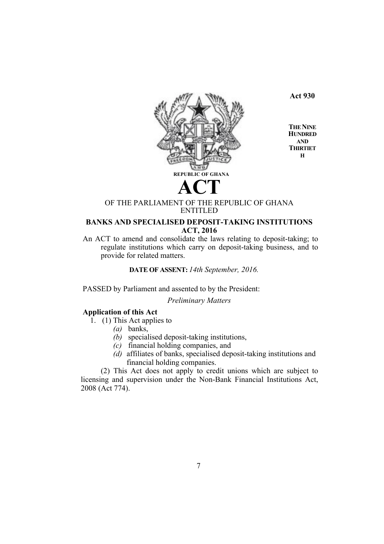

**Act 930**

**THE NINE HUNDRED AND THIRTIET H**

# OF THE PARLIAMENT OF THE REPUBLIC OF GHANA ENTITLED

# **BANKS AND SPECIALISED DEPOSIT-TAKING INSTITUTIONS ACT, 2016**

An ACT to amend and consolidate the laws relating to deposit-taking; to regulate institutions which carry on deposit-taking business, and to provide for related matters.

**DATE OF ASSENT:** *14th September, 2016.*

PASSED by Parliament and assented to by the President:

*Preliminary Matters*

# **Application of this Act**

1. (1) This Act applies to

- *(a)* banks,
- *(b)* specialised deposit-taking institutions,
- *(c)* financial holding companies, and
- *(d)* affiliates of banks, specialised deposit-taking institutions and financial holding companies.

(2) This Act does not apply to credit unions which are subject to licensing and supervision under the Non-Bank Financial Institutions Act, 2008 (Act 774).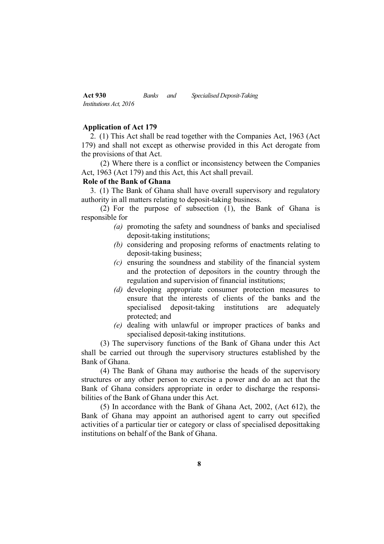#### **Application of Act 179**

2. (1) This Act shall be read together with the Companies Act, 1963 (Act 179) and shall not except as otherwise provided in this Act derogate from the provisions of that Act.

(2) Where there is a conflict or inconsistency between the Companies Act, 1963 (Act 179) and this Act, this Act shall prevail.

# **Role of the Bank of Ghana**

3. (1) The Bank of Ghana shall have overall supervisory and regulatory authority in all matters relating to deposit-taking business.

(2) For the purpose of subsection (1), the Bank of Ghana is responsible for

- *(a)* promoting the safety and soundness of banks and specialised deposit-taking institutions;
- *(b)* considering and proposing reforms of enactments relating to deposit-taking business;
- *(c)* ensuring the soundness and stability of the financial system and the protection of depositors in the country through the regulation and supervision of financial institutions;
- *(d)* developing appropriate consumer protection measures to ensure that the interests of clients of the banks and the specialised deposit-taking institutions are adequately protected; and
- *(e)* dealing with unlawful or improper practices of banks and specialised deposit-taking institutions.

(3) The supervisory functions of the Bank of Ghana under this Act shall be carried out through the supervisory structures established by the Bank of Ghana.

(4) The Bank of Ghana may authorise the heads of the supervisory structures or any other person to exercise a power and do an act that the Bank of Ghana considers appropriate in order to discharge the responsibilities of the Bank of Ghana under this Act.

(5) In accordance with the Bank of Ghana Act, 2002, (Act 612), the Bank of Ghana may appoint an authorised agent to carry out specified activities of a particular tier or category or class of specialised deposittaking institutions on behalf of the Bank of Ghana.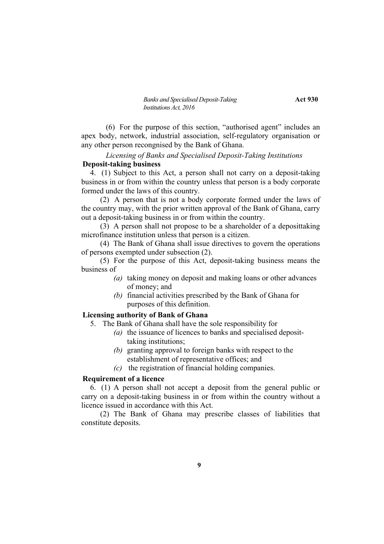*Banks and Specialised Deposit-Taking* **Act 930** *Institutions Act, 2016*

(6) For the purpose of this section, "authorised agent" includes an apex body, network, industrial association, self-regulatory organisation or any other person recongnised by the Bank of Ghana.

# *Licensing of Banks and Specialised Deposit-Taking Institutions* **Deposit-taking business**

4. (1) Subject to this Act, a person shall not carry on a deposit-taking business in or from within the country unless that person is a body corporate formed under the laws of this country.

(2) A person that is not a body corporate formed under the laws of the country may, with the prior written approval of the Bank of Ghana, carry out a deposit-taking business in or from within the country.

(3) A person shall not propose to be a shareholder of a deposittaking microfinance institution unless that person is a citizen.

(4) The Bank of Ghana shall issue directives to govern the operations of persons exempted under subsection (2).

(5) For the purpose of this Act, deposit-taking business means the business of

- *(a)* taking money on deposit and making loans or other advances of money; and
- *(b)* financial activities prescribed by the Bank of Ghana for purposes of this definition.

## **Licensing authority of Bank of Ghana**

5. The Bank of Ghana shall have the sole responsibility for

- *(a)* the issuance of licences to banks and specialised deposittaking institutions;
- *(b)* granting approval to foreign banks with respect to the establishment of representative offices; and
- *(c)* the registration of financial holding companies.

# **Requirement of a licence**

6. (1) A person shall not accept a deposit from the general public or carry on a deposit-taking business in or from within the country without a licence issued in accordance with this Act.

(2) The Bank of Ghana may prescribe classes of liabilities that constitute deposits.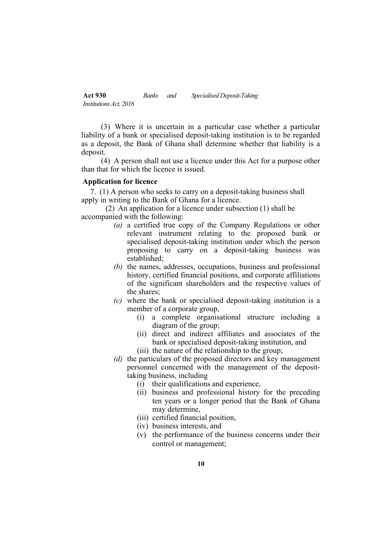(3) Where it is uncertain in a particular case whether a particular liability of a bank or specialised deposit-taking institution is to be regarded as a deposit, the Bank of Ghana shall determine whether that liability is a deposit.

(4) A person shall not use a licence under this Act for a purpose other than that for which the licence is issued.

# **Application for licence**

7. (1) A person who seeks to carry on a deposit-taking business shall apply in writing to the Bank of Ghana for a licence.

(2) An application for a licence under subsection (1) shall be accompanied with the following:

- *(a)* a certified true copy of the Company Regulations or other relevant instrument relating to the proposed bank or specialised deposit-taking institution under which the person proposing to carry on a deposit-taking business was established;
- *(b)* the names, addresses, occupations, business and professional history, certified financial positions, and corporate affiliations of the significant shareholders and the respective values of the shares;
- *(c)* where the bank or specialised deposit-taking institution is a member of a corporate group,
	- (i) a complete organisational structure including a diagram of the group;
	- (ii) direct and indirect affiliates and associates of the bank or specialised deposit-taking institution, and
	- (iii) the nature of the relationship to the group;
- *(d)* the particulars of the proposed directors and key management personnel concerned with the management of the deposittaking business, including
	- (i) their qualifications and experience,
	- (ii) business and professional history for the preceding ten years or a longer period that the Bank of Ghana may determine,
	- (iii) certified financial position,
	- (iv) business interests, and
	- (v) the performance of the business concerns under their control or management;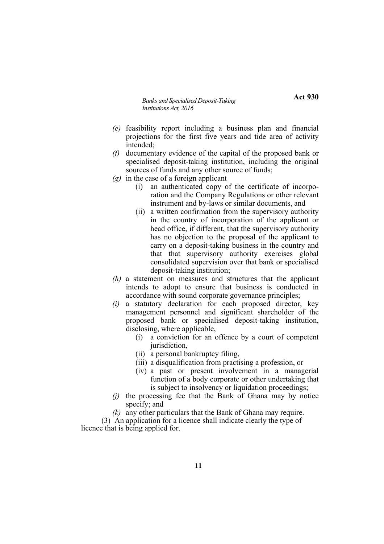**Act 930**

- *(e)* feasibility report including a business plan and financial projections for the first five years and tide area of activity intended;
- *(f)* documentary evidence of the capital of the proposed bank or specialised deposit-taking institution, including the original sources of funds and any other source of funds;
- *(g)* in the case of a foreign applicant
	- (i) an authenticated copy of the certificate of incorporation and the Company Regulations or other relevant instrument and by-laws or similar documents, and
	- (ii) a written confirmation from the supervisory authority in the country of incorporation of the applicant or head office, if different, that the supervisory authority has no objection to the proposal of the applicant to carry on a deposit-taking business in the country and that that supervisory authority exercises global consolidated supervision over that bank or specialised deposit-taking institution;
- *(h)* a statement on measures and structures that the applicant intends to adopt to ensure that business is conducted in accordance with sound corporate governance principles;
- *(i)* a statutory declaration for each proposed director, key management personnel and significant shareholder of the proposed bank or specialised deposit-taking institution, disclosing, where applicable,
	- (i) a conviction for an offence by a court of competent jurisdiction,
	- (ii) a personal bankruptcy filing,
	- (iii) a disqualification from practising a profession, or
	- (iv) a past or present involvement in a managerial function of a body corporate or other undertaking that is subject to insolvency or liquidation proceedings;
- *(j)* the processing fee that the Bank of Ghana may by notice specify; and
- *(k)* any other particulars that the Bank of Ghana may require.

(3) An application for a licence shall indicate clearly the type of licence that is being applied for.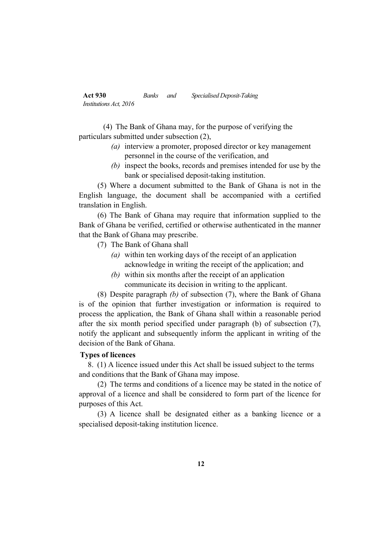(4) The Bank of Ghana may, for the purpose of verifying the particulars submitted under subsection (2),

- *(a)* interview a promoter, proposed director or key management personnel in the course of the verification, and
- *(b)* inspect the books, records and premises intended for use by the bank or specialised deposit-taking institution.

(5) Where a document submitted to the Bank of Ghana is not in the English language, the document shall be accompanied with a certified translation in English.

(6) The Bank of Ghana may require that information supplied to the Bank of Ghana be verified, certified or otherwise authenticated in the manner that the Bank of Ghana may prescribe.

- (7) The Bank of Ghana shall
	- *(a)* within ten working days of the receipt of an application acknowledge in writing the receipt of the application; and
	- *(b)* within six months after the receipt of an application communicate its decision in writing to the applicant.

(8) Despite paragraph *(b)* of subsection (7), where the Bank of Ghana is of the opinion that further investigation or information is required to process the application, the Bank of Ghana shall within a reasonable period after the six month period specified under paragraph (b) of subsection (7), notify the applicant and subsequently inform the applicant in writing of the decision of the Bank of Ghana.

### **Types of licences**

8. (1) A licence issued under this Act shall be issued subject to the terms and conditions that the Bank of Ghana may impose.

(2) The terms and conditions of a licence may be stated in the notice of approval of a licence and shall be considered to form part of the licence for purposes of this Act.

(3) A licence shall be designated either as a banking licence or a specialised deposit-taking institution licence.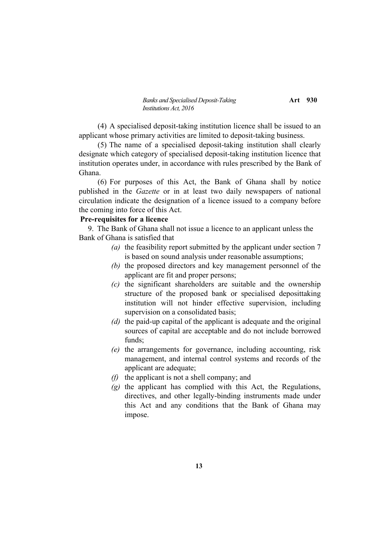*Banks and Specialised Deposit-Taking* **Art** 930 *Institutions Act, 2016*

(4) A specialised deposit-taking institution licence shall be issued to an applicant whose primary activities are limited to deposit-taking business.

(5) The name of a specialised deposit-taking institution shall clearly designate which category of specialised deposit-taking institution licence that institution operates under, in accordance with rules prescribed by the Bank of Ghana.

(6) For purposes of this Act, the Bank of Ghana shall by notice published in the *Gazette* or in at least two daily newspapers of national circulation indicate the designation of a licence issued to a company before the coming into force of this Act.

#### **Pre-requisites for a licence**

9. The Bank of Ghana shall not issue a licence to an applicant unless the Bank of Ghana is satisfied that

- *(a)* the feasibility report submitted by the applicant under section 7 is based on sound analysis under reasonable assumptions;
- *(b)* the proposed directors and key management personnel of the applicant are fit and proper persons;
- *(c)* the significant shareholders are suitable and the ownership structure of the proposed bank or specialised deposittaking institution will not hinder effective supervision, including supervision on a consolidated basis;
- *(d)* the paid-up capital of the applicant is adequate and the original sources of capital are acceptable and do not include borrowed funds;
- *(e)* the arrangements for governance, including accounting, risk management, and internal control systems and records of the applicant are adequate;
- *(f)* the applicant is not a shell company; and
- *(g)* the applicant has complied with this Act, the Regulations, directives, and other legally-binding instruments made under this Act and any conditions that the Bank of Ghana may impose.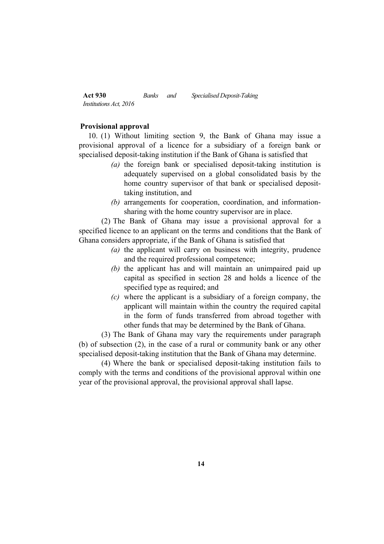### **Provisional approval**

10. (1) Without limiting section 9, the Bank of Ghana may issue a provisional approval of a licence for a subsidiary of a foreign bank or specialised deposit-taking institution if the Bank of Ghana is satisfied that

- *(a)* the foreign bank or specialised deposit-taking institution is adequately supervised on a global consolidated basis by the home country supervisor of that bank or specialised deposittaking institution, and
- *(b)* arrangements for cooperation, coordination, and informationsharing with the home country supervisor are in place.

(2) The Bank of Ghana may issue a provisional approval for a specified licence to an applicant on the terms and conditions that the Bank of Ghana considers appropriate, if the Bank of Ghana is satisfied that

- *(a)* the applicant will carry on business with integrity, prudence and the required professional competence;
- *(b)* the applicant has and will maintain an unimpaired paid up capital as specified in section 28 and holds a licence of the specified type as required; and
- *(c)* where the applicant is a subsidiary of a foreign company, the applicant will maintain within the country the required capital in the form of funds transferred from abroad together with other funds that may be determined by the Bank of Ghana.

(3) The Bank of Ghana may vary the requirements under paragraph (b) of subsection (2), in the case of a rural or community bank or any other specialised deposit-taking institution that the Bank of Ghana may determine.

(4) Where the bank or specialised deposit-taking institution fails to comply with the terms and conditions of the provisional approval within one year of the provisional approval, the provisional approval shall lapse.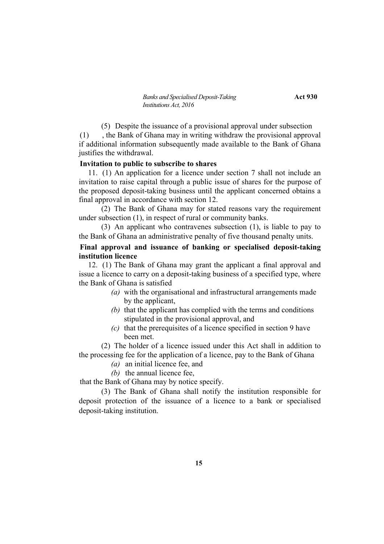(5) Despite the issuance of a provisional approval under subsection (1) , the Bank of Ghana may in writing withdraw the provisional approval if additional information subsequently made available to the Bank of Ghana justifies the withdrawal.

## **Invitation to public to subscribe to shares**

11. (1) An application for a licence under section 7 shall not include an invitation to raise capital through a public issue of shares for the purpose of the proposed deposit-taking business until the applicant concerned obtains a final approval in accordance with section 12.

(2) The Bank of Ghana may for stated reasons vary the requirement under subsection (1), in respect of rural or community banks.

(3) An applicant who contravenes subsection (1), is liable to pay to the Bank of Ghana an administrative penalty of five thousand penalty units.

# **Final approval and issuance of banking or specialised deposit-taking institution licence**

12. (1) The Bank of Ghana may grant the applicant a final approval and issue a licence to carry on a deposit-taking business of a specified type, where the Bank of Ghana is satisfied

- *(a)* with the organisational and infrastructural arrangements made by the applicant,
- *(b)* that the applicant has complied with the terms and conditions stipulated in the provisional approval, and
- *(c)* that the prerequisites of a licence specified in section 9 have been met.

(2) The holder of a licence issued under this Act shall in addition to the processing fee for the application of a licence, pay to the Bank of Ghana

- *(a)* an initial licence fee, and
- *(b)* the annual licence fee,

that the Bank of Ghana may by notice specify.

(3) The Bank of Ghana shall notify the institution responsible for deposit protection of the issuance of a licence to a bank or specialised deposit-taking institution.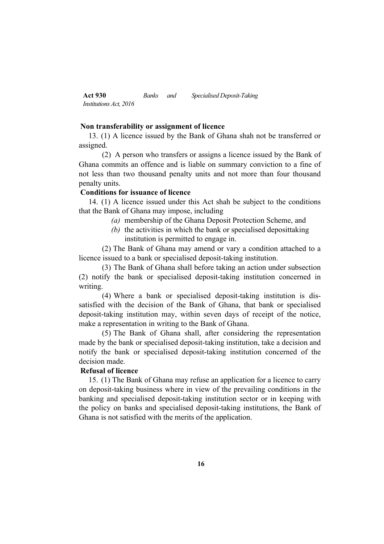### **Non transferability or assignment of licence**

13. (1) A licence issued by the Bank of Ghana shah not be transferred or assigned.

(2) A person who transfers or assigns a licence issued by the Bank of Ghana commits an offence and is liable on summary conviction to a fine of not less than two thousand penalty units and not more than four thousand penalty units.

### **Conditions for issuance of licence**

14. (1) A licence issued under this Act shah be subject to the conditions that the Bank of Ghana may impose, including

- *(a)* membership of the Ghana Deposit Protection Scheme, and
- *(b)* the activities in which the bank or specialised deposittaking institution is permitted to engage in.

(2) The Bank of Ghana may amend or vary a condition attached to a licence issued to a bank or specialised deposit-taking institution.

(3) The Bank of Ghana shall before taking an action under subsection (2) notify the bank or specialised deposit-taking institution concerned in writing.

(4) Where a bank or specialised deposit-taking institution is dissatisfied with the decision of the Bank of Ghana, that bank or specialised deposit-taking institution may, within seven days of receipt of the notice, make a representation in writing to the Bank of Ghana.

(5) The Bank of Ghana shall, after considering the representation made by the bank or specialised deposit-taking institution, take a decision and notify the bank or specialised deposit-taking institution concerned of the decision made.

## **Refusal of licence**

15. (1) The Bank of Ghana may refuse an application for a licence to carry on deposit-taking business where in view of the prevailing conditions in the banking and specialised deposit-taking institution sector or in keeping with the policy on banks and specialised deposit-taking institutions, the Bank of Ghana is not satisfied with the merits of the application.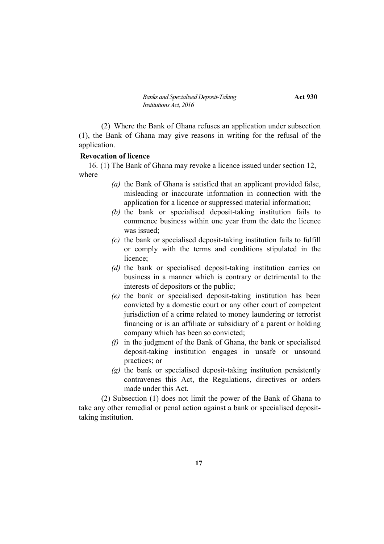(2) Where the Bank of Ghana refuses an application under subsection (1), the Bank of Ghana may give reasons in writing for the refusal of the application.

### **Revocation of licence**

16. (1) The Bank of Ghana may revoke a licence issued under section 12, where

- *(a)* the Bank of Ghana is satisfied that an applicant provided false, misleading or inaccurate information in connection with the application for a licence or suppressed material information;
- *(b)* the bank or specialised deposit-taking institution fails to commence business within one year from the date the licence was issued;
- *(c)* the bank or specialised deposit-taking institution fails to fulfill or comply with the terms and conditions stipulated in the licence;
- *(d)* the bank or specialised deposit-taking institution carries on business in a manner which is contrary or detrimental to the interests of depositors or the public;
- *(e)* the bank or specialised deposit-taking institution has been convicted by a domestic court or any other court of competent jurisdiction of a crime related to money laundering or terrorist financing or is an affiliate or subsidiary of a parent or holding company which has been so convicted;
- *(f)* in the judgment of the Bank of Ghana, the bank or specialised deposit-taking institution engages in unsafe or unsound practices; or
- *(g)* the bank or specialised deposit-taking institution persistently contravenes this Act, the Regulations, directives or orders made under this Act.

(2) Subsection (1) does not limit the power of the Bank of Ghana to take any other remedial or penal action against a bank or specialised deposittaking institution.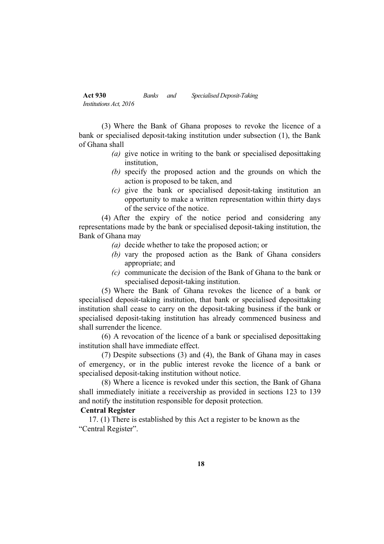(3) Where the Bank of Ghana proposes to revoke the licence of a bank or specialised deposit-taking institution under subsection (1), the Bank of Ghana shall

- *(a)* give notice in writing to the bank or specialised deposittaking institution,
- *(b)* specify the proposed action and the grounds on which the action is proposed to be taken, and
- *(c)* give the bank or specialised deposit-taking institution an opportunity to make a written representation within thirty days of the service of the notice.

(4) After the expiry of the notice period and considering any representations made by the bank or specialised deposit-taking institution, the Bank of Ghana may

- *(a)* decide whether to take the proposed action; or
- *(b)* vary the proposed action as the Bank of Ghana considers appropriate; and
- *(c)* communicate the decision of the Bank of Ghana to the bank or specialised deposit-taking institution.

(5) Where the Bank of Ghana revokes the licence of a bank or specialised deposit-taking institution, that bank or specialised deposittaking institution shall cease to carry on the deposit-taking business if the bank or specialised deposit-taking institution has already commenced business and shall surrender the licence.

(6) A revocation of the licence of a bank or specialised deposittaking institution shall have immediate effect.

(7) Despite subsections (3) and (4), the Bank of Ghana may in cases of emergency, or in the public interest revoke the licence of a bank or specialised deposit-taking institution without notice.

(8) Where a licence is revoked under this section, the Bank of Ghana shall immediately initiate a receivership as provided in sections 123 to 139 and notify the institution responsible for deposit protection.

# **Central Register**

17. (1) There is established by this Act a register to be known as the "Central Register".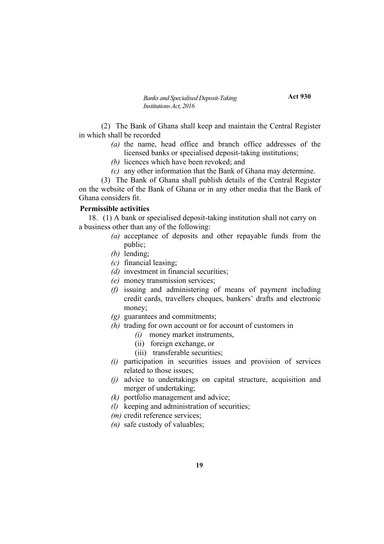*Banks and Specialised Deposit-Taking* **Act 930** *Institutions Act, 2016*

(2) The Bank of Ghana shall keep and maintain the Central Register in which shall be recorded

- *(a)* the name, head office and branch office addresses of the licensed banks or specialised deposit-taking institutions;
- *(b)* licences which have been revoked; and
- *(c)* any other information that the Bank of Ghana may determine.

(3) The Bank of Ghana shall publish details of the Central Register on the website of the Bank of Ghana or in any other media that the Bank of Ghana considers fit.

# **Permissible activities**

18. (1) A bank or specialised deposit-taking institution shall not carry on a business other than any of the following:

- *(a)* acceptance of deposits and other repayable funds from the public;
- *(b)* lending;
- *(c)* financial leasing;
- *(d)* investment in financial securities;
- *(e)* money transmission services;
- *(f)* issuing and administering of means of payment including credit cards, travellers cheques, bankers' drafts and electronic money;
- *(g)* guarantees and commitments;
- *(h)* trading for own account or for account of customers in
	- *(i)* money market instruments,
	- (ii) foreign exchange, or
	- (iii) transferable securities;
- *(i)* participation in securities issues and provision of services related to those issues;
- *(j)* advice to undertakings on capital structure, acquisition and merger of undertaking;
- *(k)* portfolio management and advice;
- *(l)* keeping and administration of securities;
- *(m)* credit reference services;
- *(n)* safe custody of valuables;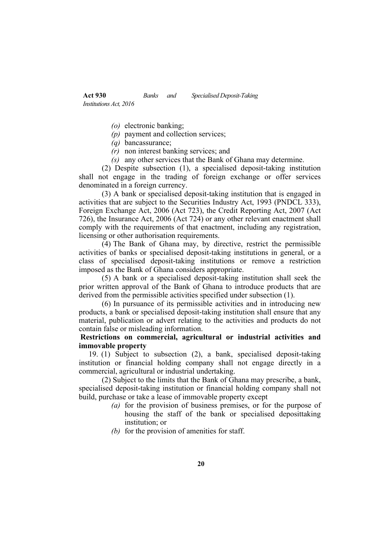- *(o)* electronic banking;
- *(p)* payment and collection services;
- *(q)* bancassurance;
- *(r)* non interest banking services; and
- *(s)* any other services that the Bank of Ghana may determine.

(2) Despite subsection (1), a specialised deposit-taking institution shall not engage in the trading of foreign exchange or offer services denominated in a foreign currency.

(3) A bank or specialised deposit-taking institution that is engaged in activities that are subject to the Securities Industry Act, 1993 (PNDCL 333), Foreign Exchange Act, 2006 (Act 723), the Credit Reporting Act, 2007 (Act 726), the Insurance Act, 2006 (Act 724) or any other relevant enactment shall comply with the requirements of that enactment, including any registration, licensing or other authorisation requirements.

(4) The Bank of Ghana may, by directive, restrict the permissible activities of banks or specialised deposit-taking institutions in general, or a class of specialised deposit-taking institutions or remove a restriction imposed as the Bank of Ghana considers appropriate.

(5) A bank or a specialised deposit-taking institution shall seek the prior written approval of the Bank of Ghana to introduce products that are derived from the permissible activities specified under subsection (1).

(6) In pursuance of its permissible activities and in introducing new products, a bank or specialised deposit-taking institution shall ensure that any material, publication or advert relating to the activities and products do not contain false or misleading information.

# **Restrictions on commercial, agricultural or industrial activities and immovable property**

19. (1) Subject to subsection (2), a bank, specialised deposit-taking institution or financial holding company shall not engage directly in a commercial, agricultural or industrial undertaking.

(2) Subject to the limits that the Bank of Ghana may prescribe, a bank, specialised deposit-taking institution or financial holding company shall not build, purchase or take a lease of immovable property except

- *(a)* for the provision of business premises, or for the purpose of housing the staff of the bank or specialised deposittaking institution; or
- *(b)* for the provision of amenities for staff.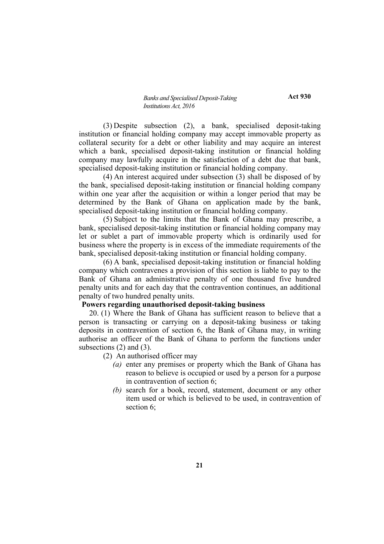(3) Despite subsection (2), a bank, specialised deposit-taking institution or financial holding company may accept immovable property as collateral security for a debt or other liability and may acquire an interest which a bank, specialised deposit-taking institution or financial holding company may lawfully acquire in the satisfaction of a debt due that bank, specialised deposit-taking institution or financial holding company.

(4) An interest acquired under subsection (3) shall be disposed of by the bank, specialised deposit-taking institution or financial holding company within one year after the acquisition or within a longer period that may be determined by the Bank of Ghana on application made by the bank, specialised deposit-taking institution or financial holding company.

(5) Subject to the limits that the Bank of Ghana may prescribe, a bank, specialised deposit-taking institution or financial holding company may let or sublet a part of immovable property which is ordinarily used for business where the property is in excess of the immediate requirements of the bank, specialised deposit-taking institution or financial holding company.

(6) A bank, specialised deposit-taking institution or financial holding company which contravenes a provision of this section is liable to pay to the Bank of Ghana an administrative penalty of one thousand five hundred penalty units and for each day that the contravention continues, an additional penalty of two hundred penalty units.

#### **Powers regarding unauthorised deposit-taking business**

20. (1) Where the Bank of Ghana has sufficient reason to believe that a person is transacting or carrying on a deposit-taking business or taking deposits in contravention of section 6, the Bank of Ghana may, in writing authorise an officer of the Bank of Ghana to perform the functions under subsections (2) and (3).

- (2) An authorised officer may
	- *(a)* enter any premises or property which the Bank of Ghana has reason to believe is occupied or used by a person for a purpose in contravention of section 6;
	- *(b)* search for a book, record, statement, document or any other item used or which is believed to be used, in contravention of section 6<sup>:</sup>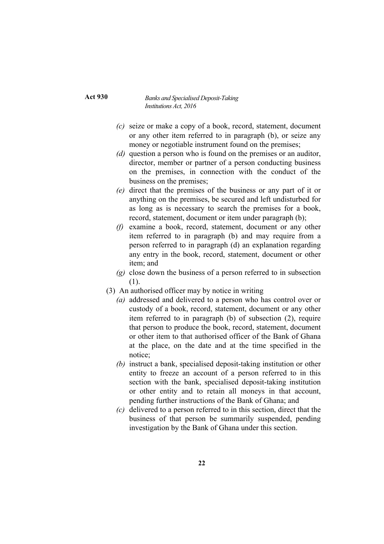**Act 930**

- *(c)* seize or make a copy of a book, record, statement, document or any other item referred to in paragraph (b), or seize any money or negotiable instrument found on the premises;
- *(d)* question a person who is found on the premises or an auditor, director, member or partner of a person conducting business on the premises, in connection with the conduct of the business on the premises;
- *(e)* direct that the premises of the business or any part of it or anything on the premises, be secured and left undisturbed for as long as is necessary to search the premises for a book, record, statement, document or item under paragraph (b);
- *(f)* examine a book, record, statement, document or any other item referred to in paragraph (b) and may require from a person referred to in paragraph (d) an explanation regarding any entry in the book, record, statement, document or other item; and
- *(g)* close down the business of a person referred to in subsection (1).
- (3) An authorised officer may by notice in writing
	- *(a)* addressed and delivered to a person who has control over or custody of a book, record, statement, document or any other item referred to in paragraph (b) of subsection (2), require that person to produce the book, record, statement, document or other item to that authorised officer of the Bank of Ghana at the place, on the date and at the time specified in the notice;
	- *(b)* instruct a bank, specialised deposit-taking institution or other entity to freeze an account of a person referred to in this section with the bank, specialised deposit-taking institution or other entity and to retain all moneys in that account, pending further instructions of the Bank of Ghana; and
	- *(c)* delivered to a person referred to in this section, direct that the business of that person be summarily suspended, pending investigation by the Bank of Ghana under this section.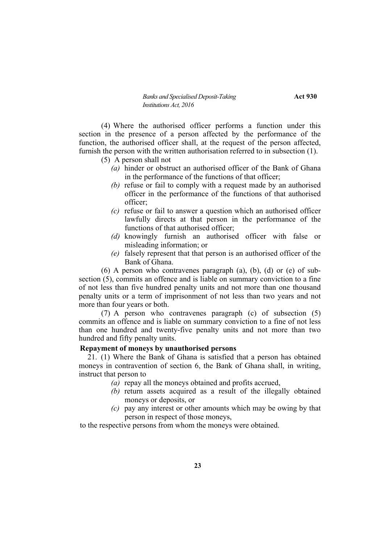(4) Where the authorised officer performs a function under this section in the presence of a person affected by the performance of the function, the authorised officer shall, at the request of the person affected, furnish the person with the written authorisation referred to in subsection (1).

(5) A person shall not

- *(a)* hinder or obstruct an authorised officer of the Bank of Ghana in the performance of the functions of that officer;
- *(b)* refuse or fail to comply with a request made by an authorised officer in the performance of the functions of that authorised officer;
- *(c)* refuse or fail to answer a question which an authorised officer lawfully directs at that person in the performance of the functions of that authorised officer;
- *(d)* knowingly furnish an authorised officer with false or misleading information; or
- *(e)* falsely represent that that person is an authorised officer of the Bank of Ghana.

 $(6)$  A person who contravenes paragraph  $(a)$ ,  $(b)$ ,  $(d)$  or  $(e)$  of subsection (5), commits an offence and is liable on summary conviction to a fine of not less than five hundred penalty units and not more than one thousand penalty units or a term of imprisonment of not less than two years and not more than four years or both.

(7) A person who contravenes paragraph (c) of subsection (5) commits an offence and is liable on summary conviction to a fine of not less than one hundred and twenty-five penalty units and not more than two hundred and fifty penalty units.

# **Repayment of moneys by unauthorised persons**

21. (1) Where the Bank of Ghana is satisfied that a person has obtained moneys in contravention of section 6, the Bank of Ghana shall, in writing, instruct that person to

- *(a)* repay all the moneys obtained and profits accrued,
- *(b)* return assets acquired as a result of the illegally obtained moneys or deposits, or
- *(c)* pay any interest or other amounts which may be owing by that person in respect of those moneys,

to the respective persons from whom the moneys were obtained.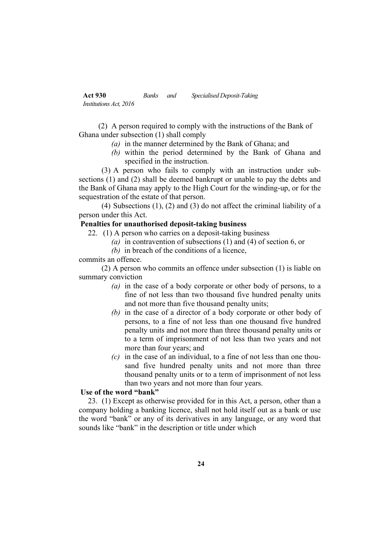(2) A person required to comply with the instructions of the Bank of Ghana under subsection (1) shall comply

- *(a)* in the manner determined by the Bank of Ghana; and
- *(b)* within the period determined by the Bank of Ghana and specified in the instruction.

(3) A person who fails to comply with an instruction under subsections (1) and (2) shall be deemed bankrupt or unable to pay the debts and the Bank of Ghana may apply to the High Court for the winding-up, or for the sequestration of the estate of that person.

(4) Subsections (1), (2) and (3) do not affect the criminal liability of a person under this Act.

# **Penalties for unauthorised deposit-taking business**

- 22. (1) A person who carries on a deposit-taking business
	- *(a)* in contravention of subsections (1) and (4) of section 6, or
	- *(b)* in breach of the conditions of a licence,

commits an offence.

(2) A person who commits an offence under subsection (1) is liable on summary conviction

- *(a)* in the case of a body corporate or other body of persons, to a fine of not less than two thousand five hundred penalty units and not more than five thousand penalty units;
- *(b)* in the case of a director of a body corporate or other body of persons, to a fine of not less than one thousand five hundred penalty units and not more than three thousand penalty units or to a term of imprisonment of not less than two years and not more than four years; and
- *(c)* in the case of an individual, to a fine of not less than one thousand five hundred penalty units and not more than three thousand penalty units or to a term of imprisonment of not less than two years and not more than four years.

# **Use of the word "bank"**

23. (1) Except as otherwise provided for in this Act, a person, other than a company holding a banking licence, shall not hold itself out as a bank or use the word "bank" or any of its derivatives in any language, or any word that sounds like "bank" in the description or title under which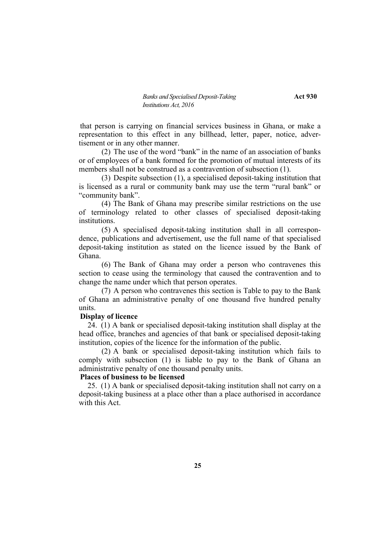that person is carrying on financial services business in Ghana, or make a representation to this effect in any billhead, letter, paper, notice, advertisement or in any other manner.

(2) The use of the word "bank" in the name of an association of banks or of employees of a bank formed for the promotion of mutual interests of its members shall not be construed as a contravention of subsection (1).

(3) Despite subsection (1), a specialised deposit-taking institution that is licensed as a rural or community bank may use the term "rural bank" or "community bank".

(4) The Bank of Ghana may prescribe similar restrictions on the use of terminology related to other classes of specialised deposit-taking institutions.

(5) A specialised deposit-taking institution shall in all correspondence, publications and advertisement, use the full name of that specialised deposit-taking institution as stated on the licence issued by the Bank of Ghana.

(6) The Bank of Ghana may order a person who contravenes this section to cease using the terminology that caused the contravention and to change the name under which that person operates.

(7) A person who contravenes this section is Table to pay to the Bank of Ghana an administrative penalty of one thousand five hundred penalty units.

## **Display of licence**

24. (1) A bank or specialised deposit-taking institution shall display at the head office, branches and agencies of that bank or specialised deposit-taking institution, copies of the licence for the information of the public.

(2) A bank or specialised deposit-taking institution which fails to comply with subsection (1) is liable to pay to the Bank of Ghana an administrative penalty of one thousand penalty units.

#### **Places of business to be licensed**

25. (1) A bank or specialised deposit-taking institution shall not carry on a deposit-taking business at a place other than a place authorised in accordance with this Act.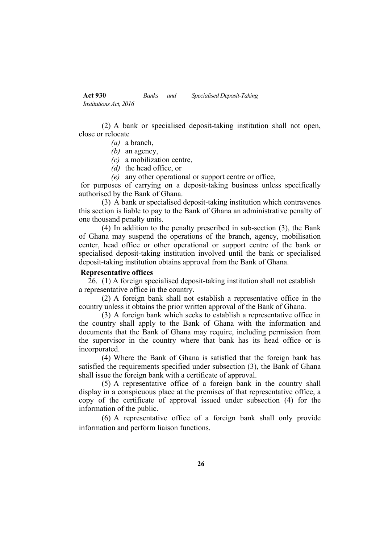(2) A bank or specialised deposit-taking institution shall not open, close or relocate

- *(a)* a branch,
- *(b)* an agency,
- *(c)* a mobilization centre,
- *(d)* the head office, or
- *(e)* any other operational or support centre or office,

for purposes of carrying on a deposit-taking business unless specifically authorised by the Bank of Ghana.

(3) A bank or specialised deposit-taking institution which contravenes this section is liable to pay to the Bank of Ghana an administrative penalty of one thousand penalty units.

(4) In addition to the penalty prescribed in sub-section (3), the Bank of Ghana may suspend the operations of the branch, agency, mobilisation center, head office or other operational or support centre of the bank or specialised deposit-taking institution involved until the bank or specialised deposit-taking institution obtains approval from the Bank of Ghana.

### **Representative offices**

26. (1) A foreign specialised deposit-taking institution shall not establish a representative office in the country.

(2) A foreign bank shall not establish a representative office in the country unless it obtains the prior written approval of the Bank of Ghana.

(3) A foreign bank which seeks to establish a representative office in the country shall apply to the Bank of Ghana with the information and documents that the Bank of Ghana may require, including permission from the supervisor in the country where that bank has its head office or is incorporated.

(4) Where the Bank of Ghana is satisfied that the foreign bank has satisfied the requirements specified under subsection (3), the Bank of Ghana shall issue the foreign bank with a certificate of approval.

(5) A representative office of a foreign bank in the country shall display in a conspicuous place at the premises of that representative office, a copy of the certificate of approval issued under subsection (4) for the information of the public.

(6) A representative office of a foreign bank shall only provide information and perform liaison functions.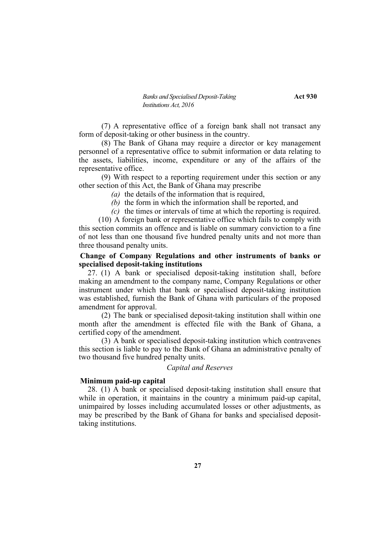(7) A representative office of a foreign bank shall not transact any form of deposit-taking or other business in the country.

(8) The Bank of Ghana may require a director or key management personnel of a representative office to submit information or data relating to the assets, liabilities, income, expenditure or any of the affairs of the representative office.

(9) With respect to a reporting requirement under this section or any other section of this Act, the Bank of Ghana may prescribe

*(a)* the details of the information that is required,

*(b)* the form in which the information shall be reported, and

*(c)* the times or intervals of time at which the reporting is required.

(10) A foreign bank or representative office which fails to comply with this section commits an offence and is liable on summary conviction to a fine of not less than one thousand five hundred penalty units and not more than three thousand penalty units.

## **Change of Company Regulations and other instruments of banks or specialised deposit-taking institutions**

27. (1) A bank or specialised deposit-taking institution shall, before making an amendment to the company name, Company Regulations or other instrument under which that bank or specialised deposit-taking institution was established, furnish the Bank of Ghana with particulars of the proposed amendment for approval.

(2) The bank or specialised deposit-taking institution shall within one month after the amendment is effected file with the Bank of Ghana, a certified copy of the amendment.

(3) A bank or specialised deposit-taking institution which contravenes this section is liable to pay to the Bank of Ghana an administrative penalty of two thousand five hundred penalty units.

#### *Capital and Reserves*

#### **Minimum paid-up capital**

28. (1) A bank or specialised deposit-taking institution shall ensure that while in operation, it maintains in the country a minimum paid-up capital, unimpaired by losses including accumulated losses or other adjustments, as may be prescribed by the Bank of Ghana for banks and specialised deposittaking institutions.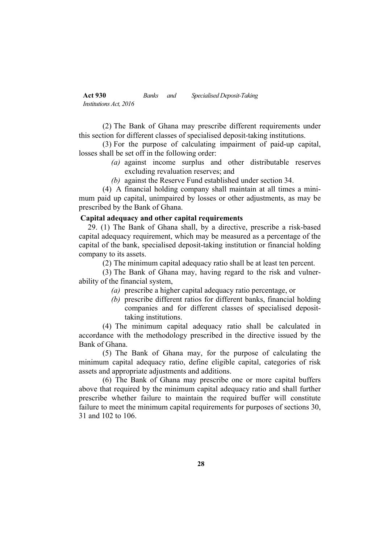(2) The Bank of Ghana may prescribe different requirements under this section for different classes of specialised deposit-taking institutions.

(3) For the purpose of calculating impairment of paid-up capital, losses shall be set off in the following order:

- *(a)* against income surplus and other distributable reserves excluding revaluation reserves; and
- *(b)* against the Reserve Fund established under section 34.

(4) A financial holding company shall maintain at all times a minimum paid up capital, unimpaired by losses or other adjustments, as may be prescribed by the Bank of Ghana.

### **Capital adequacy and other capital requirements**

29. (1) The Bank of Ghana shall, by a directive, prescribe a risk-based capital adequacy requirement, which may be measured as a percentage of the capital of the bank, specialised deposit-taking institution or financial holding company to its assets.

(2) The minimum capital adequacy ratio shall be at least ten percent.

(3) The Bank of Ghana may, having regard to the risk and vulnerability of the financial system,

- *(a)* prescribe a higher capital adequacy ratio percentage, or
- *(b)* prescribe different ratios for different banks, financial holding companies and for different classes of specialised deposittaking institutions.

(4) The minimum capital adequacy ratio shall be calculated in accordance with the methodology prescribed in the directive issued by the Bank of Ghana.

(5) The Bank of Ghana may, for the purpose of calculating the minimum capital adequacy ratio, define eligible capital, categories of risk assets and appropriate adjustments and additions.

(6) The Bank of Ghana may prescribe one or more capital buffers above that required by the minimum capital adequacy ratio and shall further prescribe whether failure to maintain the required buffer will constitute failure to meet the minimum capital requirements for purposes of sections 30, 31 and 102 to 106.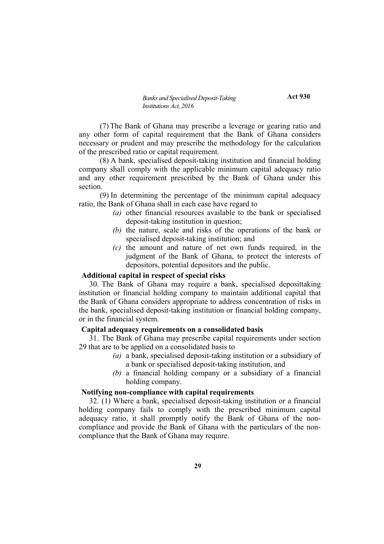(7)The Bank of Ghana may prescribe a leverage or gearing ratio and any other form of capital requirement that the Bank of Ghana considers necessary or prudent and may prescribe the methodology for the calculation of the prescribed ratio or capital requirement.

(8) A bank, specialised deposit-taking institution and financial holding company shall comply with the applicable minimum capital adequacy ratio and any other requirement prescribed by the Bank of Ghana under this section.

(9) In determining the percentage of the minimum capital adequacy ratio, the Bank of Ghana shall in each case have regard to

- *(a)* other financial resources available to the bank or specialised deposit-taking institution in question;
- *(b)* the nature, scale and risks of the operations of the bank or specialised deposit-taking institution; and
- *(c)* the amount and nature of net own funds required, in the judgment of the Bank of Ghana, to protect the interests of depositors, potential depositors and the public.

### **Additional capital in respect of special risks**

30. The Bank of Ghana may require a bank, specialised deposittaking institution or financial holding company to maintain additional capital that the Bank of Ghana considers appropriate to address concentration of risks in the bank, specialised deposit-taking institution or financial holding company, or in the financial system.

#### **Capital adequacy requirements on a consolidated basis**

31. The Bank of Ghana may prescribe capital requirements under section 29 that are to be applied on a consolidated basis to

- *(a)* a bank, specialised deposit-taking institution or a subsidiary of a bank or specialised deposit-taking institution, and
- *(b)* a financial holding company or a subsidiary of a financial holding company.

# **Notifying non-compliance with capital requirements**

32. (1) Where a bank, specialised deposit-taking institution or a financial holding company fails to comply with the prescribed minimum capital adequacy ratio, it shall promptly notify the Bank of Ghana of the noncompliance and provide the Bank of Ghana with the particulars of the noncompliance that the Bank of Ghana may require.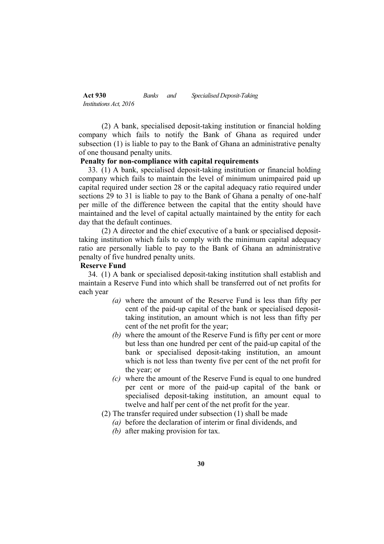(2) A bank, specialised deposit-taking institution or financial holding company which fails to notify the Bank of Ghana as required under subsection (1) is liable to pay to the Bank of Ghana an administrative penalty of one thousand penalty units.

#### **Penalty for non-compliance with capital requirements**

33. (1) A bank, specialised deposit-taking institution or financial holding company which fails to maintain the level of minimum unimpaired paid up capital required under section 28 or the capital adequacy ratio required under sections 29 to 31 is liable to pay to the Bank of Ghana a penalty of one-half per mille of the difference between the capital that the entity should have maintained and the level of capital actually maintained by the entity for each day that the default continues.

(2) A director and the chief executive of a bank or specialised deposittaking institution which fails to comply with the minimum capital adequacy ratio are personally liable to pay to the Bank of Ghana an administrative penalty of five hundred penalty units.

#### **Reserve Fund**

34. (1) A bank or specialised deposit-taking institution shall establish and maintain a Reserve Fund into which shall be transferred out of net profits for each year

- *(a)* where the amount of the Reserve Fund is less than fifty per cent of the paid-up capital of the bank or specialised deposittaking institution, an amount which is not less than fifty per cent of the net profit for the year;
- *(b)* where the amount of the Reserve Fund is fifty per cent or more but less than one hundred per cent of the paid-up capital of the bank or specialised deposit-taking institution, an amount which is not less than twenty five per cent of the net profit for the year; or
- *(c)* where the amount of the Reserve Fund is equal to one hundred per cent or more of the paid-up capital of the bank or specialised deposit-taking institution, an amount equal to twelve and half per cent of the net profit for the year.
- (2) The transfer required under subsection (1) shall be made
	- *(a)* before the declaration of interim or final dividends, and
	- *(b)* after making provision for tax.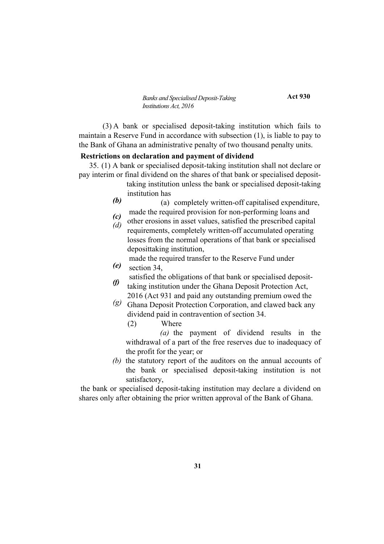**Act 930**

(3) A bank or specialised deposit-taking institution which fails to maintain a Reserve Fund in accordance with subsection (1), is liable to pay to the Bank of Ghana an administrative penalty of two thousand penalty units.

#### **Restrictions on declaration and payment of dividend**

35. (1) A bank or specialised deposit-taking institution shall not declare or pay interim or final dividend on the shares of that bank or specialised deposit-

- taking institution unless the bank or specialised deposit-taking institution has
- *(b)* (a) completely written-off capitalised expenditure, made the required provision for non-performing loans and
- *(c)* other erosions in asset values, satisfied the prescribed capital
- *(d)* requirements, completely written-off accumulated operating losses from the normal operations of that bank or specialised deposittaking institution,

*(e)* made the required transfer to the Reserve Fund under section 34,

- satisfied the obligations of that bank or specialised deposit-
- *(f)* taking institution under the Ghana Deposit Protection Act, 2016 (Act 931 and paid any outstanding premium owed the
- *(g)* Ghana Deposit Protection Corporation, and clawed back any dividend paid in contravention of section 34.
	- (2) Where

*(a)* the payment of dividend results in the withdrawal of a part of the free reserves due to inadequacy of the profit for the year; or

*(b)* the statutory report of the auditors on the annual accounts of the bank or specialised deposit-taking institution is not satisfactory,

the bank or specialised deposit-taking institution may declare a dividend on shares only after obtaining the prior written approval of the Bank of Ghana.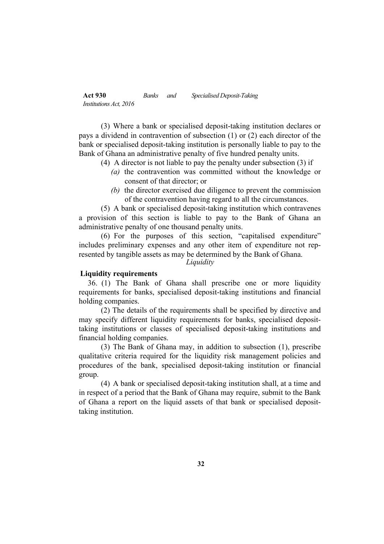(3) Where a bank or specialised deposit-taking institution declares or pays a dividend in contravention of subsection (1) or (2) each director of the bank or specialised deposit-taking institution is personally liable to pay to the Bank of Ghana an administrative penalty of five hundred penalty units.

- (4) A director is not liable to pay the penalty under subsection (3) if
	- *(a)* the contravention was committed without the knowledge or consent of that director; or
	- *(b)* the director exercised due diligence to prevent the commission of the contravention having regard to all the circumstances.

(5) A bank or specialised deposit-taking institution which contravenes a provision of this section is liable to pay to the Bank of Ghana an administrative penalty of one thousand penalty units.

(6) For the purposes of this section, "capitalised expenditure" includes preliminary expenses and any other item of expenditure not represented by tangible assets as may be determined by the Bank of Ghana.

*Liquidity*

#### **Liquidity requirements**

36. (1) The Bank of Ghana shall prescribe one or more liquidity requirements for banks, specialised deposit-taking institutions and financial holding companies.

(2) The details of the requirements shall be specified by directive and may specify different liquidity requirements for banks, specialised deposittaking institutions or classes of specialised deposit-taking institutions and financial holding companies.

(3) The Bank of Ghana may, in addition to subsection (1), prescribe qualitative criteria required for the liquidity risk management policies and procedures of the bank, specialised deposit-taking institution or financial group.

(4) A bank or specialised deposit-taking institution shall, at a time and in respect of a period that the Bank of Ghana may require, submit to the Bank of Ghana a report on the liquid assets of that bank or specialised deposittaking institution.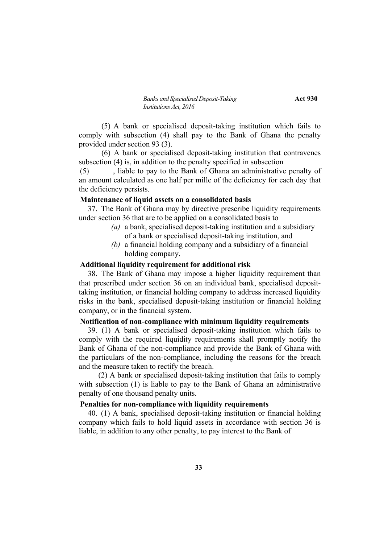*Banks and Specialised Deposit-Taking* **Act** 930 *Institutions Act, 2016*

(5) A bank or specialised deposit-taking institution which fails to comply with subsection (4) shall pay to the Bank of Ghana the penalty provided under section 93 (3).

(6) A bank or specialised deposit-taking institution that contravenes subsection (4) is, in addition to the penalty specified in subsection

(5) , liable to pay to the Bank of Ghana an administrative penalty of an amount calculated as one half per mille of the deficiency for each day that the deficiency persists.

#### **Maintenance of liquid assets on a consolidated basis**

37. The Bank of Ghana may by directive prescribe liquidity requirements under section 36 that are to be applied on a consolidated basis to

- *(a)* a bank, specialised deposit-taking institution and a subsidiary of a bank or specialised deposit-taking institution, and
- *(b)* a financial holding company and a subsidiary of a financial holding company.

# **Additional liquidity requirement for additional risk**

38. The Bank of Ghana may impose a higher liquidity requirement than that prescribed under section 36 on an individual bank, specialised deposittaking institution, or financial holding company to address increased liquidity risks in the bank, specialised deposit-taking institution or financial holding company, or in the financial system.

# **Notification of non-compliance with minimum liquidity requirements**

39. (1) A bank or specialised deposit-taking institution which fails to comply with the required liquidity requirements shall promptly notify the Bank of Ghana of the non-compliance and provide the Bank of Ghana with the particulars of the non-compliance, including the reasons for the breach and the measure taken to rectify the breach.

(2) A bank or specialised deposit-taking institution that fails to comply with subsection (1) is liable to pay to the Bank of Ghana an administrative penalty of one thousand penalty units.

# **Penalties for non-compliance with liquidity requirements**

40. (1) A bank, specialised deposit-taking institution or financial holding company which fails to hold liquid assets in accordance with section 36 is liable, in addition to any other penalty, to pay interest to the Bank of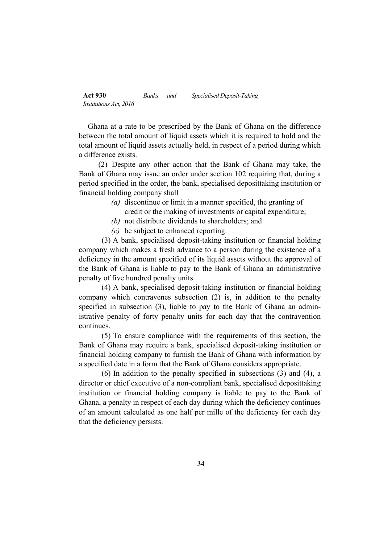Ghana at a rate to be prescribed by the Bank of Ghana on the difference between the total amount of liquid assets which it is required to hold and the total amount of liquid assets actually held, in respect of a period during which a difference exists.

(2) Despite any other action that the Bank of Ghana may take, the Bank of Ghana may issue an order under section 102 requiring that, during a period specified in the order, the bank, specialised deposittaking institution or financial holding company shall

- *(a)* discontinue or limit in a manner specified, the granting of credit or the making of investments or capital expenditure;
- *(b)* not distribute dividends to shareholders; and
- *(c)* be subject to enhanced reporting.

(3) A bank, specialised deposit-taking institution or financial holding company which makes a fresh advance to a person during the existence of a deficiency in the amount specified of its liquid assets without the approval of the Bank of Ghana is liable to pay to the Bank of Ghana an administrative penalty of five hundred penalty units.

(4) A bank, specialised deposit-taking institution or financial holding company which contravenes subsection (2) is, in addition to the penalty specified in subsection (3), liable to pay to the Bank of Ghana an administrative penalty of forty penalty units for each day that the contravention continues.

(5) To ensure compliance with the requirements of this section, the Bank of Ghana may require a bank, specialised deposit-taking institution or financial holding company to furnish the Bank of Ghana with information by a specified date in a form that the Bank of Ghana considers appropriate.

(6) In addition to the penalty specified in subsections (3) and (4), a director or chief executive of a non-compliant bank, specialised deposittaking institution or financial holding company is liable to pay to the Bank of Ghana, a penalty in respect of each day during which the deficiency continues of an amount calculated as one half per mille of the deficiency for each day that the deficiency persists.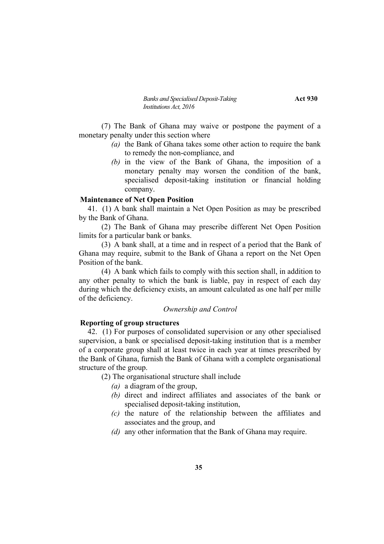*Banks and Specialised Deposit-Taking* **Act** 930 *Institutions Act, 2016*

(7) The Bank of Ghana may waive or postpone the payment of a monetary penalty under this section where

- *(a)* the Bank of Ghana takes some other action to require the bank to remedy the non-compliance, and
- *(b)* in the view of the Bank of Ghana, the imposition of a monetary penalty may worsen the condition of the bank, specialised deposit-taking institution or financial holding company.

#### **Maintenance of Net Open Position**

41. (1) A bank shall maintain a Net Open Position as may be prescribed by the Bank of Ghana.

(2) The Bank of Ghana may prescribe different Net Open Position limits for a particular bank or banks.

(3) A bank shall, at a time and in respect of a period that the Bank of Ghana may require, submit to the Bank of Ghana a report on the Net Open Position of the bank.

(4) A bank which fails to comply with this section shall, in addition to any other penalty to which the bank is liable, pay in respect of each day during which the deficiency exists, an amount calculated as one half per mille of the deficiency.

### *Ownership and Control*

### **Reporting of group structures**

42. (1) For purposes of consolidated supervision or any other specialised supervision, a bank or specialised deposit-taking institution that is a member of a corporate group shall at least twice in each year at times prescribed by the Bank of Ghana, furnish the Bank of Ghana with a complete organisational structure of the group.

(2) The organisational structure shall include

- *(a)* a diagram of the group,
- *(b)* direct and indirect affiliates and associates of the bank or specialised deposit-taking institution,
- *(c)* the nature of the relationship between the affiliates and associates and the group, and
- *(d)* any other information that the Bank of Ghana may require.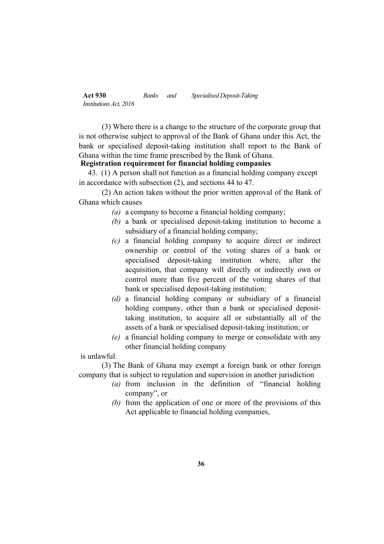(3) Where there is a change to the structure of the corporate group that is not otherwise subject to approval of the Bank of Ghana under this Act, the bank or specialised deposit-taking institution shall report to the Bank of Ghana within the time frame prescribed by the Bank of Ghana.

## **Registration requirement for financial holding companies**

43. (1) A person shall not function as a financial holding company except in accordance with subsection (2), and sections 44 to 47.

(2) An action taken without the prior written approval of the Bank of Ghana which causes

- *(a)* a company to become a financial holding company;
- *(b)* a bank or specialised deposit-taking institution to become a subsidiary of a financial holding company;
- *(c)* a financial holding company to acquire direct or indirect ownership or control of the voting shares of a bank or specialised deposit-taking institution where, after the acquisition, that company will directly or indirectly own or control more than five percent of the voting shares of that bank or specialised deposit-taking institution;
- *(d)* a financial holding company or subsidiary of a financial holding company, other than a bank or specialised deposittaking institution, to acquire all or substantially all of the assets of a bank or specialised deposit-taking institution; or
- *(e)* a financial holding company to merge or consolidate with any other financial holding company

is unlawful.

(3) The Bank of Ghana may exempt a foreign bank or other foreign company that is subject to regulation and supervision in another jurisdiction

- *(a)* from inclusion in the definition of "financial holding company", or
- *(b)* from the application of one or more of the provisions of this Act applicable to financial holding companies,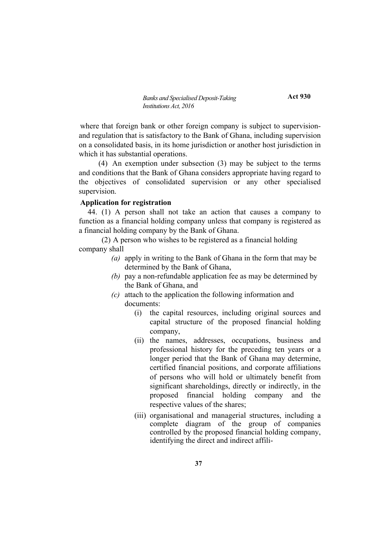**Act 930**

where that foreign bank or other foreign company is subject to supervisionand regulation that is satisfactory to the Bank of Ghana, including supervision on a consolidated basis, in its home jurisdiction or another host jurisdiction in which it has substantial operations.

(4) An exemption under subsection (3) may be subject to the terms and conditions that the Bank of Ghana considers appropriate having regard to the objectives of consolidated supervision or any other specialised supervision.

## **Application for registration**

44. (1) A person shall not take an action that causes a company to function as a financial holding company unless that company is registered as a financial holding company by the Bank of Ghana.

(2) A person who wishes to be registered as a financial holding company shall

- *(a)* apply in writing to the Bank of Ghana in the form that may be determined by the Bank of Ghana,
- *(b)* pay a non-refundable application fee as may be determined by the Bank of Ghana, and
- *(c)* attach to the application the following information and documents:
	- (i) the capital resources, including original sources and capital structure of the proposed financial holding company,
	- (ii) the names, addresses, occupations, business and professional history for the preceding ten years or a longer period that the Bank of Ghana may determine, certified financial positions, and corporate affiliations of persons who will hold or ultimately benefit from significant shareholdings, directly or indirectly, in the proposed financial holding company and the respective values of the shares;
	- (iii) organisational and managerial structures, including a complete diagram of the group of companies controlled by the proposed financial holding company, identifying the direct and indirect affili-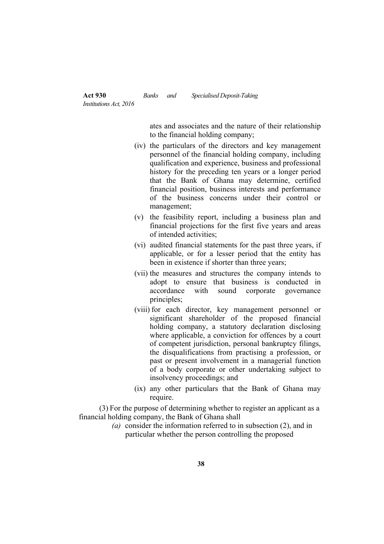ates and associates and the nature of their relationship to the financial holding company;

- (iv) the particulars of the directors and key management personnel of the financial holding company, including qualification and experience, business and professional history for the preceding ten years or a longer period that the Bank of Ghana may determine, certified financial position, business interests and performance of the business concerns under their control or management;
- (v) the feasibility report, including a business plan and financial projections for the first five years and areas of intended activities;
- (vi) audited financial statements for the past three years, if applicable, or for a lesser period that the entity has been in existence if shorter than three years;
- (vii) the measures and structures the company intends to adopt to ensure that business is conducted in accordance with sound corporate governance principles;
- (viii) for each director, key management personnel or significant shareholder of the proposed financial holding company, a statutory declaration disclosing where applicable, a conviction for offences by a court of competent jurisdiction, personal bankruptcy filings, the disqualifications from practising a profession, or past or present involvement in a managerial function of a body corporate or other undertaking subject to insolvency proceedings; and
- (ix) any other particulars that the Bank of Ghana may require.

(3) For the purpose of determining whether to register an applicant as a financial holding company, the Bank of Ghana shall

> *(a)* consider the information referred to in subsection (2), and in particular whether the person controlling the proposed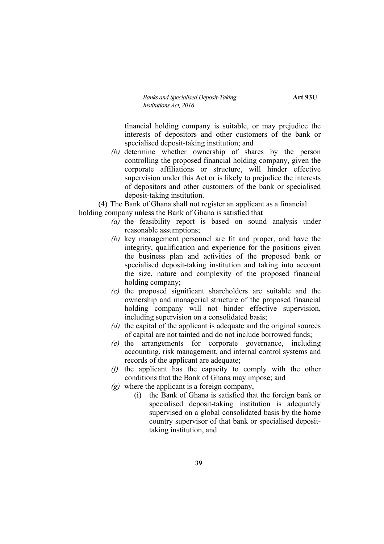financial holding company is suitable, or may prejudice the interests of depositors and other customers of the bank or specialised deposit-taking institution; and

*(b)* determine whether ownership of shares by the person controlling the proposed financial holding company, given the corporate affiliations or structure, will hinder effective supervision under this Act or is likely to prejudice the interests of depositors and other customers of the bank or specialised deposit-taking institution.

(4) The Bank of Ghana shall not register an applicant as a financial holding company unless the Bank of Ghana is satisfied that

- *(a)* the feasibility report is based on sound analysis under reasonable assumptions;
- *(b)* key management personnel are fit and proper, and have the integrity, qualification and experience for the positions given the business plan and activities of the proposed bank or specialised deposit-taking institution and taking into account the size, nature and complexity of the proposed financial holding company;
- *(c)* the proposed significant shareholders are suitable and the ownership and managerial structure of the proposed financial holding company will not hinder effective supervision, including supervision on a consolidated basis;
- *(d)* the capital of the applicant is adequate and the original sources of capital are not tainted and do not include borrowed funds;
- *(e)* the arrangements for corporate governance, including accounting, risk management, and internal control systems and records of the applicant are adequate;
- *(f)* the applicant has the capacity to comply with the other conditions that the Bank of Ghana may impose; and
- *(g)* where the applicant is a foreign company,
	- (i) the Bank of Ghana is satisfied that the foreign bank or specialised deposit-taking institution is adequately supervised on a global consolidated basis by the home country supervisor of that bank or specialised deposittaking institution, and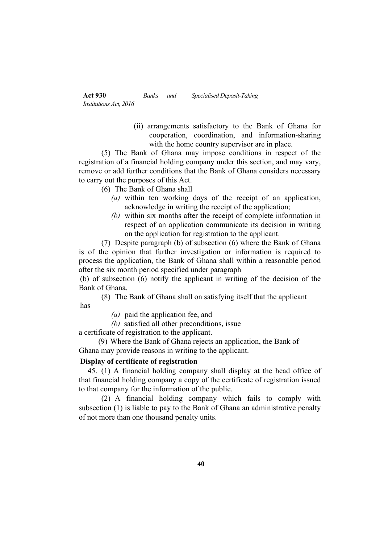> (ii) arrangements satisfactory to the Bank of Ghana for cooperation, coordination, and information-sharing with the home country supervisor are in place.

(5) The Bank of Ghana may impose conditions in respect of the registration of a financial holding company under this section, and may vary, remove or add further conditions that the Bank of Ghana considers necessary to carry out the purposes of this Act.

(6) The Bank of Ghana shall

- *(a)* within ten working days of the receipt of an application, acknowledge in writing the receipt of the application;
- *(b)* within six months after the receipt of complete information in respect of an application communicate its decision in writing on the application for registration to the applicant.

(7) Despite paragraph (b) of subsection (6) where the Bank of Ghana is of the opinion that further investigation or information is required to process the application, the Bank of Ghana shall within a reasonable period after the six month period specified under paragraph

(b) of subsection (6) notify the applicant in writing of the decision of the Bank of Ghana.

(8) The Bank of Ghana shall on satisfying itself that the applicant has

- *(a)* paid the application fee, and
- *(b)* satisfied all other preconditions, issue

a certificate of registration to the applicant.

(9) Where the Bank of Ghana rejects an application, the Bank of Ghana may provide reasons in writing to the applicant.

# **Display of certificate of registration**

45. (1) A financial holding company shall display at the head office of that financial holding company a copy of the certificate of registration issued to that company for the information of the public.

(2) A financial holding company which fails to comply with subsection (1) is liable to pay to the Bank of Ghana an administrative penalty of not more than one thousand penalty units.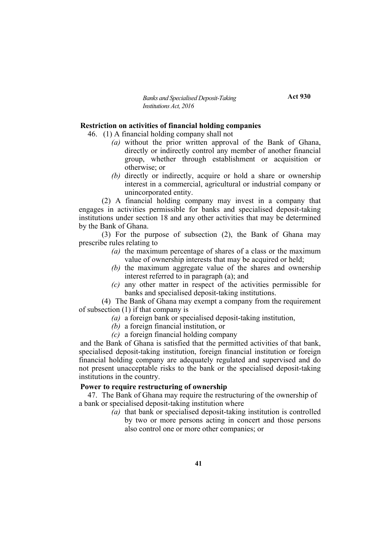**Act 930**

## **Restriction on activities of financial holding companies**

46. (1) A financial holding company shall not

- *(a)* without the prior written approval of the Bank of Ghana, directly or indirectly control any member of another financial group, whether through establishment or acquisition or otherwise; or
- *(b)* directly or indirectly, acquire or hold a share or ownership interest in a commercial, agricultural or industrial company or unincorporated entity.

(2) A financial holding company may invest in a company that engages in activities permissible for banks and specialised deposit-taking institutions under section 18 and any other activities that may be determined by the Bank of Ghana.

(3) For the purpose of subsection (2), the Bank of Ghana may prescribe rules relating to

- *(a)* the maximum percentage of shares of a class or the maximum value of ownership interests that may be acquired or held;
- *(b)* the maximum aggregate value of the shares and ownership interest referred to in paragraph (a); and
- *(c)* any other matter in respect of the activities permissible for banks and specialised deposit-taking institutions.

(4) The Bank of Ghana may exempt a company from the requirement of subsection (1) if that company is

- *(a)* a foreign bank or specialised deposit-taking institution,
- *(b)* a foreign financial institution, or
- *(c)* a foreign financial holding company

and the Bank of Ghana is satisfied that the permitted activities of that bank, specialised deposit-taking institution, foreign financial institution or foreign financial holding company are adequately regulated and supervised and do not present unacceptable risks to the bank or the specialised deposit-taking institutions in the country.

# **Power to require restructuring of ownership**

47. The Bank of Ghana may require the restructuring of the ownership of a bank or specialised deposit-taking institution where

> *(a)* that bank or specialised deposit-taking institution is controlled by two or more persons acting in concert and those persons also control one or more other companies; or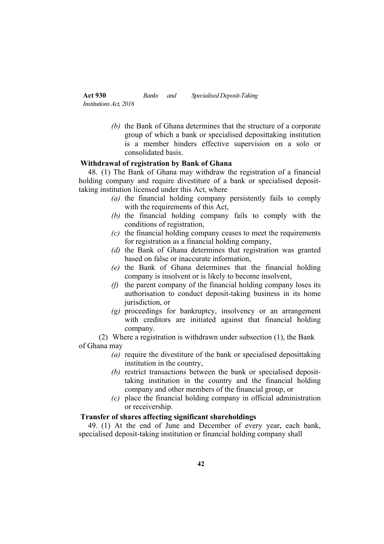> *(b)* the Bank of Ghana determines that the structure of a corporate group of which a bank or specialised deposittaking institution is a member hinders effective supervision on a solo or consolidated basis.

## **Withdrawal of registration by Bank of Ghana**

48. (1) The Bank of Ghana may withdraw the registration of a financial holding company and require divestiture of a bank or specialised deposittaking institution licensed under this Act, where

- *(a)* the financial holding company persistently fails to comply with the requirements of this Act,
- *(b)* the financial holding company fails to comply with the conditions of registration,
- *(c)* the financial holding company ceases to meet the requirements for registration as a financial holding company,
- *(d)* the Bank of Ghana determines that registration was granted based on false or inaccurate information,
- *(e)* the Bank of Ghana determines that the financial holding company is insolvent or is likely to become insolvent,
- *(f)* the parent company of the financial holding company loses its authorisation to conduct deposit-taking business in its home jurisdiction, or
- *(g)* proceedings for bankruptcy, insolvency or an arrangement with creditors are initiated against that financial holding company.

(2) Where a registration is withdrawn under subsection (1), the Bank of Ghana may

- *(a)* require the divestiture of the bank or specialised deposittaking institution in the country,
- *(b)* restrict transactions between the bank or specialised deposittaking institution in the country and the financial holding company and other members of the financial group, or
- *(c)* place the financial holding company in official administration or receivership.

# **Transfer of shares affecting significant shareholdings**

49. (1) At the end of June and December of every year, each bank, specialised deposit-taking institution or financial holding company shall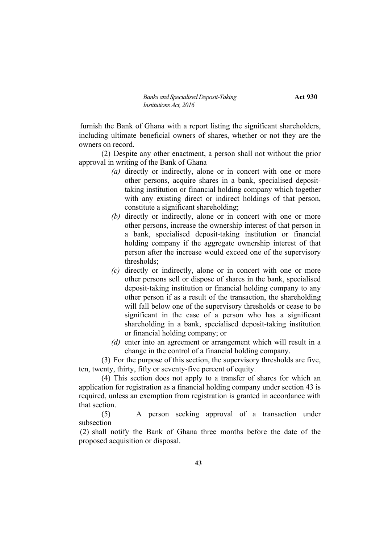furnish the Bank of Ghana with a report listing the significant shareholders, including ultimate beneficial owners of shares, whether or not they are the owners on record.

(2) Despite any other enactment, a person shall not without the prior approval in writing of the Bank of Ghana

- *(a)* directly or indirectly, alone or in concert with one or more other persons, acquire shares in a bank, specialised deposittaking institution or financial holding company which together with any existing direct or indirect holdings of that person, constitute a significant shareholding;
- *(b)* directly or indirectly, alone or in concert with one or more other persons, increase the ownership interest of that person in a bank, specialised deposit-taking institution or financial holding company if the aggregate ownership interest of that person after the increase would exceed one of the supervisory thresholds;
- *(c)* directly or indirectly, alone or in concert with one or more other persons sell or dispose of shares in the bank, specialised deposit-taking institution or financial holding company to any other person if as a result of the transaction, the shareholding will fall below one of the supervisory thresholds or cease to be significant in the case of a person who has a significant shareholding in a bank, specialised deposit-taking institution or financial holding company; or
- *(d)* enter into an agreement or arrangement which will result in a change in the control of a financial holding company.

(3) For the purpose of this section, the supervisory thresholds are five, ten, twenty, thirty, fifty or seventy-five percent of equity.

(4) This section does not apply to a transfer of shares for which an application for registration as a financial holding company under section 43 is required, unless an exemption from registration is granted in accordance with that section.

(5) A person seeking approval of a transaction under subsection

(2) shall notify the Bank of Ghana three months before the date of the proposed acquisition or disposal.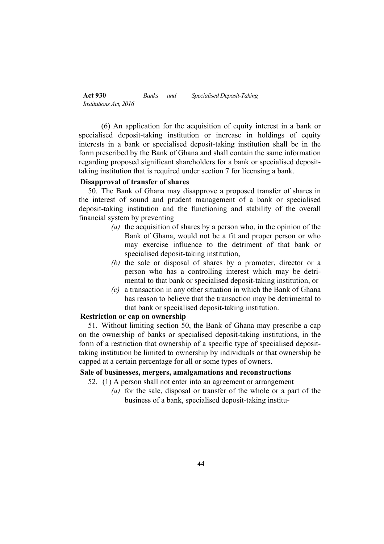(6) An application for the acquisition of equity interest in a bank or specialised deposit-taking institution or increase in holdings of equity interests in a bank or specialised deposit-taking institution shall be in the form prescribed by the Bank of Ghana and shall contain the same information regarding proposed significant shareholders for a bank or specialised deposittaking institution that is required under section 7 for licensing a bank.

### **Disapproval of transfer of shares**

50. The Bank of Ghana may disapprove a proposed transfer of shares in the interest of sound and prudent management of a bank or specialised deposit-taking institution and the functioning and stability of the overall financial system by preventing

- *(a)* the acquisition of shares by a person who, in the opinion of the Bank of Ghana, would not be a fit and proper person or who may exercise influence to the detriment of that bank or specialised deposit-taking institution,
- *(b)* the sale or disposal of shares by a promoter, director or a person who has a controlling interest which may be detrimental to that bank or specialised deposit-taking institution, or
- *(c)* a transaction in any other situation in which the Bank of Ghana has reason to believe that the transaction may be detrimental to that bank or specialised deposit-taking institution.

# **Restriction or cap on ownership**

51. Without limiting section 50, the Bank of Ghana may prescribe a cap on the ownership of banks or specialised deposit-taking institutions, in the form of a restriction that ownership of a specific type of specialised deposittaking institution be limited to ownership by individuals or that ownership be capped at a certain percentage for all or some types of owners.

## **Sale of businesses, mergers, amalgamations and reconstructions**

- 52. (1) A person shall not enter into an agreement or arrangement
	- *(a)* for the sale, disposal or transfer of the whole or a part of the business of a bank, specialised deposit-taking institu-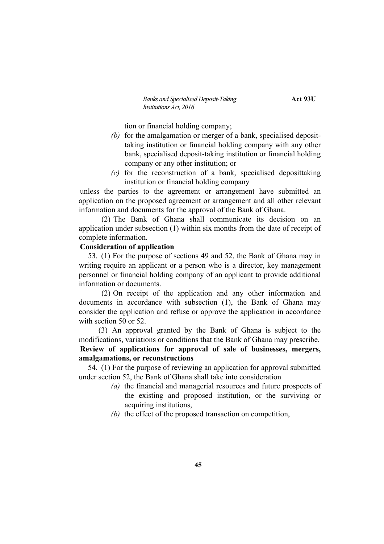*Banks and Specialised Deposit-Taking* **Act 93U** *Institutions Act, 2016*

tion or financial holding company;

- *(b)* for the amalgamation or merger of a bank, specialised deposittaking institution or financial holding company with any other bank, specialised deposit-taking institution or financial holding company or any other institution; or
- *(c)* for the reconstruction of a bank, specialised deposittaking institution or financial holding company

unless the parties to the agreement or arrangement have submitted an application on the proposed agreement or arrangement and all other relevant information and documents for the approval of the Bank of Ghana.

(2) The Bank of Ghana shall communicate its decision on an application under subsection (1) within six months from the date of receipt of complete information.

## **Consideration of application**

53. (1) For the purpose of sections 49 and 52, the Bank of Ghana may in writing require an applicant or a person who is a director, key management personnel or financial holding company of an applicant to provide additional information or documents.

(2) On receipt of the application and any other information and documents in accordance with subsection (1), the Bank of Ghana may consider the application and refuse or approve the application in accordance with section 50 or 52.

(3) An approval granted by the Bank of Ghana is subject to the modifications, variations or conditions that the Bank of Ghana may prescribe. **Review of applications for approval of sale of businesses, mergers, amalgamations, or reconstructions**

54. (1) For the purpose of reviewing an application for approval submitted under section 52, the Bank of Ghana shall take into consideration

- *(a)* the financial and managerial resources and future prospects of the existing and proposed institution, or the surviving or acquiring institutions,
- *(b)* the effect of the proposed transaction on competition,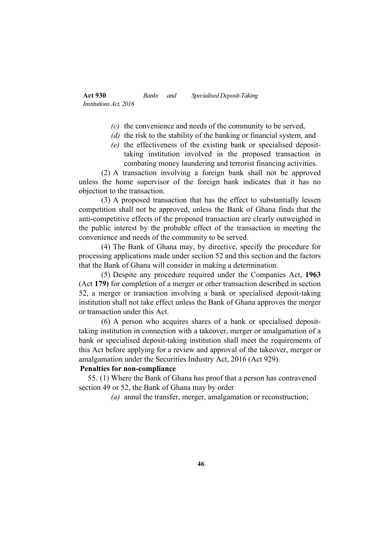- *(c)* the convenience and needs of the community to be served,
- *(d)* the risk to the stability of the banking or financial system, and
- *(e)* the effectiveness of the existing bank or specialised deposittaking institution involved in the proposed transaction in combating money laundering and terrorist financing activities.

(2) A transaction involving a foreign bank shall not be approved unless the home supervisor of the foreign bank indicates that it has no objection to the transaction.

(3) A proposed transaction that has the effect to substantially lessen competition shall not be approved, unless the Bank of Ghana finds that the anti-competitive effects of the proposed transaction are clearly outweighed in the public interest by the probable effect of the transaction in meeting the convenience and needs of the community to be served.

(4) The Bank of Ghana may, by directive, specify the procedure for processing applications made under section 52 and this section and the factors that the Bank of Ghana will consider in making a determination.

(5) Despite any procedure required under the Companies Act, **1963**  (Act **179)** for completion of a merger or other transaction described in section 52, a merger or transaction involving a bank or specialised deposit-taking institution shall not take effect unless the Bank of Ghana approves the merger or transaction under this Act.

(6) A person who acquires shares of a bank or specialised deposittaking institution in connection with a takeover, merger or amalgamation of a bank or specialised deposit-taking institution shall meet the requirements of this Act before applying for a review and approval of the takeover, merger or amalgamation under the Securities Industry Act, 2016 (Act 929).

# **Penalties for non-compliance**

55. (1) Where the Bank of Ghana has proof that a person has contravened section 49 or 52, the Bank of Ghana may by order

*(a)* annul the transfer, merger, amalgamation or reconstruction;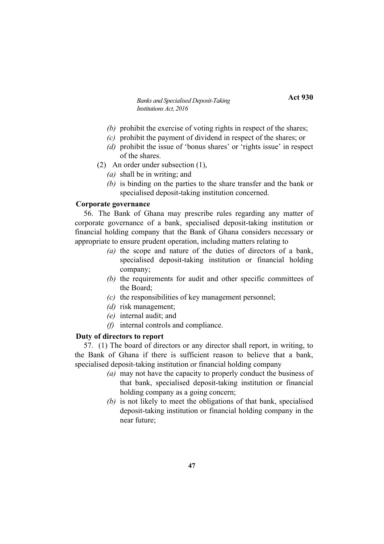- *(b)* prohibit the exercise of voting rights in respect of the shares;
- *(c)* prohibit the payment of dividend in respect of the shares; or
- *(d)* prohibit the issue of 'bonus shares' or 'rights issue' in respect of the shares.
- (2) An order under subsection (1),
	- *(a)* shall be in writing; and
	- *(b)* is binding on the parties to the share transfer and the bank or specialised deposit-taking institution concerned.

# **Corporate governance**

56. The Bank of Ghana may prescribe rules regarding any matter of corporate governance of a bank, specialised deposit-taking institution or financial holding company that the Bank of Ghana considers necessary or appropriate to ensure prudent operation, including matters relating to

- *(a)* the scope and nature of the duties of directors of a bank, specialised deposit-taking institution or financial holding company;
- *(b)* the requirements for audit and other specific committees of the Board;
- *(c)* the responsibilities of key management personnel;
- *(d)* risk management;
- *(e)* internal audit; and
- *(f)* internal controls and compliance.

# **Duty of directors to report**

57. (1) The board of directors or any director shall report, in writing, to the Bank of Ghana if there is sufficient reason to believe that a bank, specialised deposit-taking institution or financial holding company

- *(a)* may not have the capacity to properly conduct the business of that bank, specialised deposit-taking institution or financial holding company as a going concern;
- *(b)* is not likely to meet the obligations of that bank, specialised deposit-taking institution or financial holding company in the near future;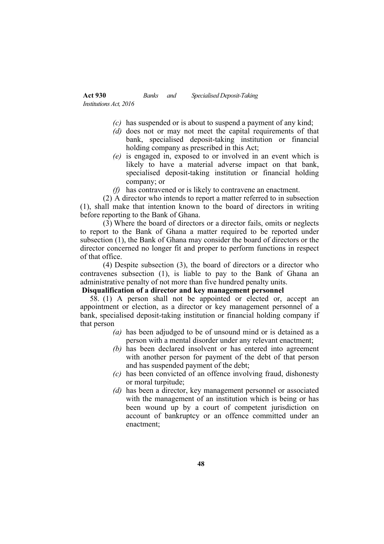- *(c)* has suspended or is about to suspend a payment of any kind;
- *(d)* does not or may not meet the capital requirements of that bank, specialised deposit-taking institution or financial holding company as prescribed in this Act;
- *(e)* is engaged in, exposed to or involved in an event which is likely to have a material adverse impact on that bank, specialised deposit-taking institution or financial holding company; or
- *(f)* has contravened or is likely to contravene an enactment.

(2) A director who intends to report a matter referred to in subsection (1), shall make that intention known to the board of directors in writing before reporting to the Bank of Ghana.

(3) Where the board of directors or a director fails, omits or neglects to report to the Bank of Ghana a matter required to be reported under subsection (1), the Bank of Ghana may consider the board of directors or the director concerned no longer fit and proper to perform functions in respect of that office.

(4) Despite subsection (3), the board of directors or a director who contravenes subsection (1), is liable to pay to the Bank of Ghana an administrative penalty of not more than five hundred penalty units.

# **Disqualification of a director and key management personnel**

58. (1) A person shall not be appointed or elected or, accept an appointment or election, as a director or key management personnel of a bank, specialised deposit-taking institution or financial holding company if that person

- *(a)* has been adjudged to be of unsound mind or is detained as a person with a mental disorder under any relevant enactment;
- *(b)* has been declared insolvent or has entered into agreement with another person for payment of the debt of that person and has suspended payment of the debt;
- *(c)* has been convicted of an offence involving fraud, dishonesty or moral turpitude;
- *(d)* has been a director, key management personnel or associated with the management of an institution which is being or has been wound up by a court of competent jurisdiction on account of bankruptcy or an offence committed under an enactment;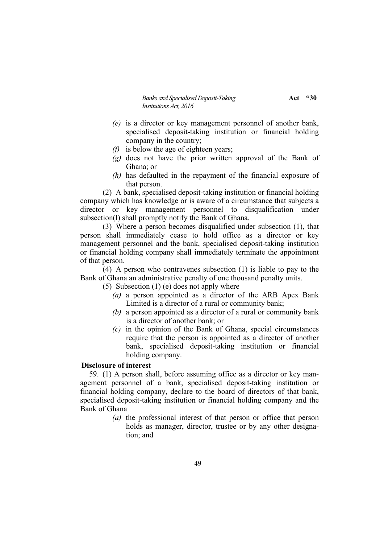*Banks and Specialised Deposit-Taking* **Act**  $\cdot$ **30** *Institutions Act, 2016*

- *(e)* is a director or key management personnel of another bank, specialised deposit-taking institution or financial holding company in the country;
- *(f)* is below the age of eighteen years;
- *(g)* does not have the prior written approval of the Bank of Ghana; or
- *(h)* has defaulted in the repayment of the financial exposure of that person.

(2) A bank, specialised deposit-taking institution or financial holding company which has knowledge or is aware of a circumstance that subjects a director or key management personnel to disqualification under subsection(l) shall promptly notify the Bank of Ghana.

(3) Where a person becomes disqualified under subsection (1), that person shall immediately cease to hold office as a director or key management personnel and the bank, specialised deposit-taking institution or financial holding company shall immediately terminate the appointment of that person.

(4) A person who contravenes subsection (1) is liable to pay to the Bank of Ghana an administrative penalty of one thousand penalty units.

(5) Subsection  $(1)$  (e) does not apply where

- *(a)* a person appointed as a director of the ARB Apex Bank Limited is a director of a rural or community bank;
- *(b)* a person appointed as a director of a rural or community bank is a director of another bank; or
- *(c)* in the opinion of the Bank of Ghana, special circumstances require that the person is appointed as a director of another bank, specialised deposit-taking institution or financial holding company.

#### **Disclosure of interest**

59. (1) A person shall, before assuming office as a director or key management personnel of a bank, specialised deposit-taking institution or financial holding company, declare to the board of directors of that bank, specialised deposit-taking institution or financial holding company and the Bank of Ghana

> *(a)* the professional interest of that person or office that person holds as manager, director, trustee or by any other designation; and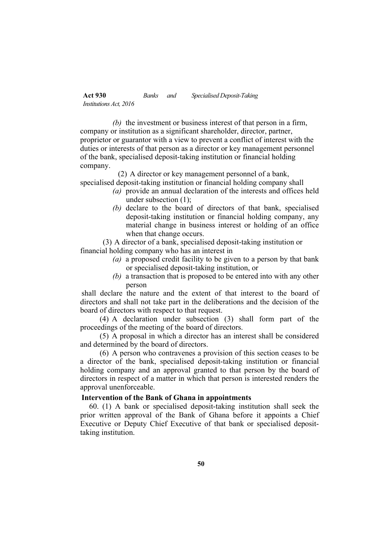*(b)* the investment or business interest of that person in a firm, company or institution as a significant shareholder, director, partner, proprietor or guarantor with a view to prevent a conflict of interest with the duties or interests of that person as a director or key management personnel of the bank, specialised deposit-taking institution or financial holding company.

(2) A director or key management personnel of a bank, specialised deposit-taking institution or financial holding company shall

- *(a)* provide an annual declaration of the interests and offices held under subsection (1);
- *(b)* declare to the board of directors of that bank, specialised deposit-taking institution or financial holding company, any material change in business interest or holding of an office when that change occurs.

(3) A director of a bank, specialised deposit-taking institution or financial holding company who has an interest in

- *(a)* a proposed credit facility to be given to a person by that bank or specialised deposit-taking institution, or
- *(b)* a transaction that is proposed to be entered into with any other person

shall declare the nature and the extent of that interest to the board of directors and shall not take part in the deliberations and the decision of the board of directors with respect to that request.

(4) A declaration under subsection (3) shall form part of the proceedings of the meeting of the board of directors.

(5) A proposal in which a director has an interest shall be considered and determined by the board of directors.

(6) A person who contravenes a provision of this section ceases to be a director of the bank, specialised deposit-taking institution or financial holding company and an approval granted to that person by the board of directors in respect of a matter in which that person is interested renders the approval unenforceable.

### **Intervention of the Bank of Ghana in appointments**

60. (1) A bank or specialised deposit-taking institution shall seek the prior written approval of the Bank of Ghana before it appoints a Chief Executive or Deputy Chief Executive of that bank or specialised deposittaking institution.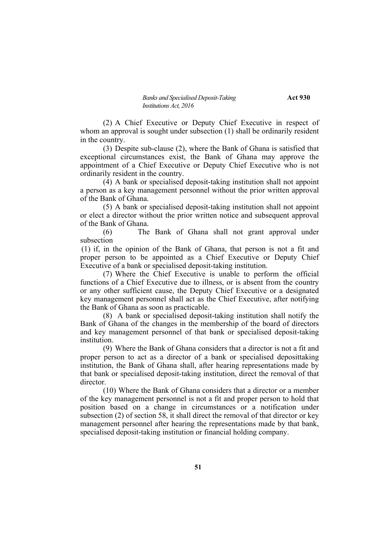(2) A Chief Executive or Deputy Chief Executive in respect of whom an approval is sought under subsection (1) shall be ordinarily resident in the country.

(3) Despite sub-clause (2), where the Bank of Ghana is satisfied that exceptional circumstances exist, the Bank of Ghana may approve the appointment of a Chief Executive or Deputy Chief Executive who is not ordinarily resident in the country.

(4) A bank or specialised deposit-taking institution shall not appoint a person as a key management personnel without the prior written approval of the Bank of Ghana.

(5) A bank or specialised deposit-taking institution shall not appoint or elect a director without the prior written notice and subsequent approval of the Bank of Ghana.

(6) The Bank of Ghana shall not grant approval under subsection

(1) if, in the opinion of the Bank of Ghana, that person is not a fit and proper person to be appointed as a Chief Executive or Deputy Chief Executive of a bank or specialised deposit-taking institution.

(7) Where the Chief Executive is unable to perform the official functions of a Chief Executive due to illness, or is absent from the country or any other sufficient cause, the Deputy Chief Executive or a designated key management personnel shall act as the Chief Executive, after notifying the Bank of Ghana as soon as practicable.

(8) A bank or specialised deposit-taking institution shall notify the Bank of Ghana of the changes in the membership of the board of directors and key management personnel of that bank or specialised deposit-taking institution.

(9) Where the Bank of Ghana considers that a director is not a fit and proper person to act as a director of a bank or specialised deposittaking institution, the Bank of Ghana shall, after hearing representations made by that bank or specialised deposit-taking institution, direct the removal of that director.

(10) Where the Bank of Ghana considers that a director or a member of the key management personnel is not a fit and proper person to hold that position based on a change in circumstances or a notification under subsection (2) of section 58, it shall direct the removal of that director or key management personnel after hearing the representations made by that bank, specialised deposit-taking institution or financial holding company.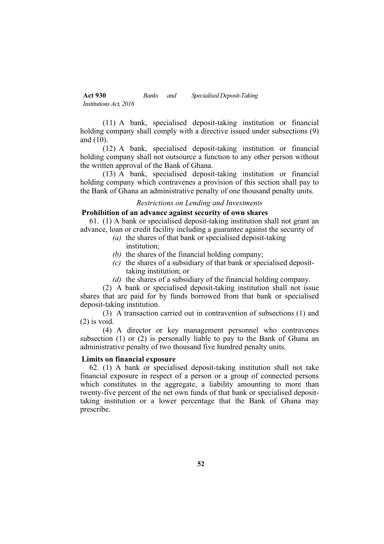(11) A bank, specialised deposit-taking institution or financial holding company shall comply with a directive issued under subsections (9) and (10).

(12) A bank, specialised deposit-taking institution or financial holding company shall not outsource a function to any other person without the written approval of the Bank of Ghana.

(13) A bank, specialised deposit-taking institution or financial holding company which contravenes a provision of this section shall pay to the Bank of Ghana an administrative penalty of one thousand penalty units.

#### *Restrictions on Lending and Investments*

# **Prohibition of an advance against security of own shares**

61. (1) A bank or specialised deposit-taking institution shall not grant an advance, loan or credit facility including a guarantee against the security of

- *(a)* the shares of that bank or specialised deposit-taking institution;
- *(b)* the shares of the financial holding company;
- *(c)* the shares of a subsidiary of that bank or specialised deposittaking institution; or
- *(d)* the shares of a subsidiary of the financial holding company.

(2) A bank or specialised deposit-taking institution shall not issue shares that are paid for by funds borrowed from that bank or specialised deposit-taking institution.

(3) A transaction carried out in contravention of subsections (1) and (2) is void.

(4) A director or key management personnel who contravenes subsection (1) or (2) is personally liable to pay to the Bank of Ghana an administrative penalty of two thousand five hundred penalty units.

#### **Limits on financial exposure**

62. (1) A bank or specialised deposit-taking institution shall not take financial exposure in respect of a person or a group of connected persons which constitutes in the aggregate, a liability amounting to more than twenty-five percent of the net own funds of that bank or specialised deposittaking institution or a lower percentage that the Bank of Ghana may prescribe.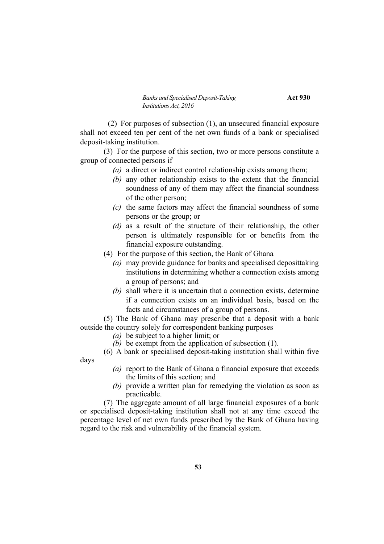*Banks and Specialised Deposit-Taking* **Act 930** *Institutions Act, 2016*

(2) For purposes of subsection (1), an unsecured financial exposure shall not exceed ten per cent of the net own funds of a bank or specialised deposit-taking institution.

(3) For the purpose of this section, two or more persons constitute a group of connected persons if

- *(a)* a direct or indirect control relationship exists among them;
- *(b)* any other relationship exists to the extent that the financial soundness of any of them may affect the financial soundness of the other person;
- *(c)* the same factors may affect the financial soundness of some persons or the group; or
- *(d)* as a result of the structure of their relationship, the other person is ultimately responsible for or benefits from the financial exposure outstanding.
- (4) For the purpose of this section, the Bank of Ghana
	- *(a)* may provide guidance for banks and specialised deposittaking institutions in determining whether a connection exists among a group of persons; and
	- *(b)* shall where it is uncertain that a connection exists, determine if a connection exists on an individual basis, based on the facts and circumstances of a group of persons.

(5) The Bank of Ghana may prescribe that a deposit with a bank outside the country solely for correspondent banking purposes

- *(a)* be subject to a higher limit; or
- *(b)* be exempt from the application of subsection (1).

(6) A bank or specialised deposit-taking institution shall within five days

- *(a)* report to the Bank of Ghana a financial exposure that exceeds the limits of this section; and
- *(b)* provide a written plan for remedying the violation as soon as practicable.

(7) The aggregate amount of all large financial exposures of a bank or specialised deposit-taking institution shall not at any time exceed the percentage level of net own funds prescribed by the Bank of Ghana having regard to the risk and vulnerability of the financial system.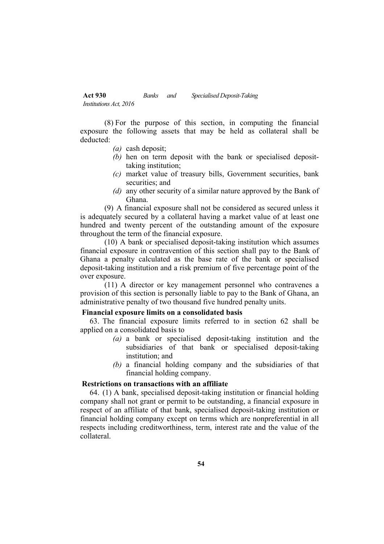(8) For the purpose of this section, in computing the financial exposure the following assets that may be held as collateral shall be deducted:

- *(a)* cash deposit;
- *(b)* hen on term deposit with the bank or specialised deposittaking institution;
- *(c)* market value of treasury bills, Government securities, bank securities; and
- *(d)* any other security of a similar nature approved by the Bank of Ghana.

(9) A financial exposure shall not be considered as secured unless it is adequately secured by a collateral having a market value of at least one hundred and twenty percent of the outstanding amount of the exposure throughout the term of the financial exposure.

(10) A bank or specialised deposit-taking institution which assumes financial exposure in contravention of this section shall pay to the Bank of Ghana a penalty calculated as the base rate of the bank or specialised deposit-taking institution and a risk premium of five percentage point of the over exposure.

(11) A director or key management personnel who contravenes a provision of this section is personally liable to pay to the Bank of Ghana, an administrative penalty of two thousand five hundred penalty units.

# **Financial exposure limits on a consolidated basis**

63. The financial exposure limits referred to in section 62 shall be applied on a consolidated basis to

- *(a)* a bank or specialised deposit-taking institution and the subsidiaries of that bank or specialised deposit-taking institution; and
- *(b)* a financial holding company and the subsidiaries of that financial holding company.

#### **Restrictions on transactions with an affiliate**

64. (1) A bank, specialised deposit-taking institution or financial holding company shall not grant or permit to be outstanding, a financial exposure in respect of an affiliate of that bank, specialised deposit-taking institution or financial holding company except on terms which are nonpreferential in all respects including creditworthiness, term, interest rate and the value of the collateral.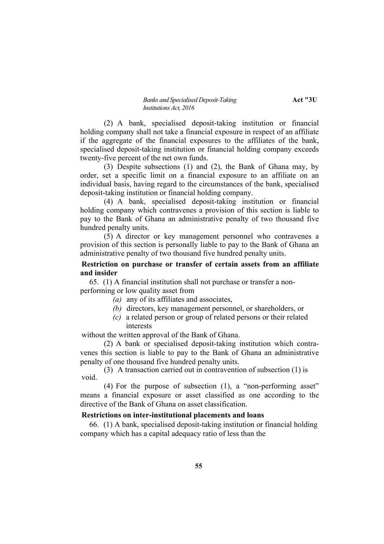#### *Banks and Specialised Deposit-Taking* **Act "3U** *Institutions Act, 2016*

(2) A bank, specialised deposit-taking institution or financial holding company shall not take a financial exposure in respect of an affiliate if the aggregate of the financial exposures to the affiliates of the bank, specialised deposit-taking institution or financial holding company exceeds twenty-five percent of the net own funds.

(3) Despite subsections (1) and (2), the Bank of Ghana may, by order, set a specific limit on a financial exposure to an affiliate on an individual basis, having regard to the circumstances of the bank, specialised deposit-taking institution or financial holding company.

(4) A bank, specialised deposit-taking institution or financial holding company which contravenes a provision of this section is liable to pay to the Bank of Ghana an administrative penalty of two thousand five hundred penalty units.

(5) A director or key management personnel who contravenes a provision of this section is personally liable to pay to the Bank of Ghana an administrative penalty of two thousand five hundred penalty units.

# **Restriction on purchase or transfer of certain assets from an affiliate and insider**

65. (1) A financial institution shall not purchase or transfer a nonperforming or low quality asset from

- *(a)* any of its affiliates and associates,
- *(b)* directors, key management personnel, or shareholders, or
- *(c)* a related person or group of related persons or their related interests

without the written approval of the Bank of Ghana.

(2) A bank or specialised deposit-taking institution which contravenes this section is liable to pay to the Bank of Ghana an administrative penalty of one thousand five hundred penalty units.

(3) A transaction carried out in contravention of subsection (1) is void.

(4) For the purpose of subsection (1), a "non-performing asset" means a financial exposure or asset classified as one according to the directive of the Bank of Ghana on asset classification.

## **Restrictions on inter-institutional placements and loans**

66. (1) A bank, specialised deposit-taking institution or financial holding company which has a capital adequacy ratio of less than the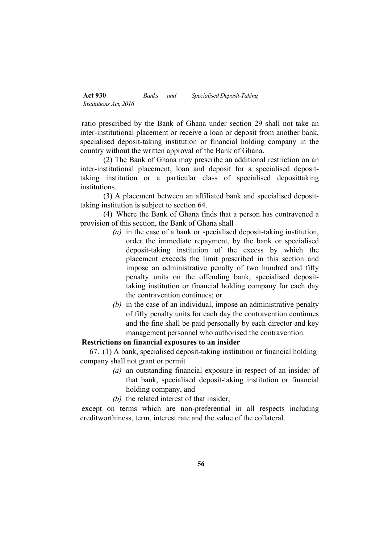ratio prescribed by the Bank of Ghana under section 29 shall not take an inter-institutional placement or receive a loan or deposit from another bank, specialised deposit-taking institution or financial holding company in the country without the written approval of the Bank of Ghana.

(2) The Bank of Ghana may prescribe an additional restriction on an inter-institutional placement, loan and deposit for a specialised deposittaking institution or a particular class of specialised deposittaking institutions.

(3) A placement between an affiliated bank and specialised deposittaking institution is subject to section 64.

(4) Where the Bank of Ghana finds that a person has contravened a provision of this section, the Bank of Ghana shall

- *(a)* in the case of a bank or specialised deposit-taking institution, order the immediate repayment, by the bank or specialised deposit-taking institution of the excess by which the placement exceeds the limit prescribed in this section and impose an administrative penalty of two hundred and fifty penalty units on the offending bank, specialised deposittaking institution or financial holding company for each day the contravention continues; or
- *(b)* in the case of an individual, impose an administrative penalty of fifty penalty units for each day the contravention continues and the fine shall be paid personally by each director and key management personnel who authorised the contravention.

# **Restrictions on financial exposures to an insider**

67. (1) A bank, specialised deposit-taking institution or financial holding company shall not grant or permit

- *(a)* an outstanding financial exposure in respect of an insider of that bank, specialised deposit-taking institution or financial holding company, and
- *(b)* the related interest of that insider,

except on terms which are non-preferential in all respects including creditworthiness, term, interest rate and the value of the collateral.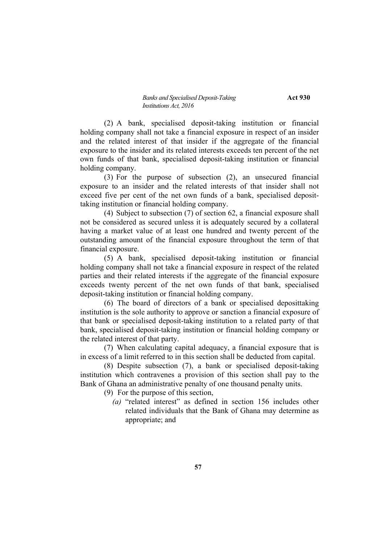(2) A bank, specialised deposit-taking institution or financial holding company shall not take a financial exposure in respect of an insider and the related interest of that insider if the aggregate of the financial exposure to the insider and its related interests exceeds ten percent of the net own funds of that bank, specialised deposit-taking institution or financial holding company.

(3) For the purpose of subsection (2), an unsecured financial exposure to an insider and the related interests of that insider shall not exceed five per cent of the net own funds of a bank, specialised deposittaking institution or financial holding company.

(4) Subject to subsection (7) of section 62, a financial exposure shall not be considered as secured unless it is adequately secured by a collateral having a market value of at least one hundred and twenty percent of the outstanding amount of the financial exposure throughout the term of that financial exposure.

(5) A bank, specialised deposit-taking institution or financial holding company shall not take a financial exposure in respect of the related parties and their related interests if the aggregate of the financial exposure exceeds twenty percent of the net own funds of that bank, specialised deposit-taking institution or financial holding company.

(6) The board of directors of a bank or specialised deposittaking institution is the sole authority to approve or sanction a financial exposure of that bank or specialised deposit-taking institution to a related party of that bank, specialised deposit-taking institution or financial holding company or the related interest of that party.

(7) When calculating capital adequacy, a financial exposure that is in excess of a limit referred to in this section shall be deducted from capital.

(8) Despite subsection (7), a bank or specialised deposit-taking institution which contravenes a provision of this section shall pay to the Bank of Ghana an administrative penalty of one thousand penalty units.

(9) For the purpose of this section,

*(a)* "related interest" as defined in section 156 includes other related individuals that the Bank of Ghana may determine as appropriate; and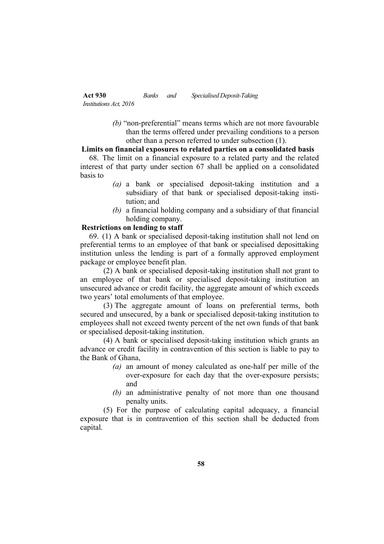> *(b)* "non-preferential" means terms which are not more favourable than the terms offered under prevailing conditions to a person other than a person referred to under subsection (1).

## **Limits on financial exposures to related parties on a consolidated basis**

68. The limit on a financial exposure to a related party and the related interest of that party under section 67 shall be applied on a consolidated basis to

- *(a)* a bank or specialised deposit-taking institution and a subsidiary of that bank or specialised deposit-taking institution; and
- *(b)* a financial holding company and a subsidiary of that financial holding company.

# **Restrictions on lending to staff**

69. (1) A bank or specialised deposit-taking institution shall not lend on preferential terms to an employee of that bank or specialised deposittaking institution unless the lending is part of a formally approved employment package or employee benefit plan.

(2) A bank or specialised deposit-taking institution shall not grant to an employee of that bank or specialised deposit-taking institution an unsecured advance or credit facility, the aggregate amount of which exceeds two years' total emoluments of that employee.

(3) The aggregate amount of loans on preferential terms, both secured and unsecured, by a bank or specialised deposit-taking institution to employees shall not exceed twenty percent of the net own funds of that bank or specialised deposit-taking institution.

(4) A bank or specialised deposit-taking institution which grants an advance or credit facility in contravention of this section is liable to pay to the Bank of Ghana,

- *(a)* an amount of money calculated as one-half per mille of the over-exposure for each day that the over-exposure persists; and
- *(b)* an administrative penalty of not more than one thousand penalty units.

(5) For the purpose of calculating capital adequacy, a financial exposure that is in contravention of this section shall be deducted from capital.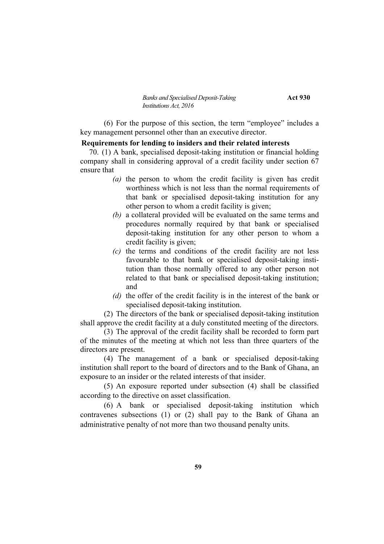(6) For the purpose of this section, the term "employee" includes a key management personnel other than an executive director.

#### **Requirements for lending to insiders and their related interests**

70. (1) A bank, specialised deposit-taking institution or financial holding company shall in considering approval of a credit facility under section 67 ensure that

- *(a)* the person to whom the credit facility is given has credit worthiness which is not less than the normal requirements of that bank or specialised deposit-taking institution for any other person to whom a credit facility is given;
- *(b)* a collateral provided will be evaluated on the same terms and procedures normally required by that bank or specialised deposit-taking institution for any other person to whom a credit facility is given;
- *(c)* the terms and conditions of the credit facility are not less favourable to that bank or specialised deposit-taking institution than those normally offered to any other person not related to that bank or specialised deposit-taking institution; and
- *(d)* the offer of the credit facility is in the interest of the bank or specialised deposit-taking institution.

(2) The directors of the bank or specialised deposit-taking institution shall approve the credit facility at a duly constituted meeting of the directors.

(3) The approval of the credit facility shall be recorded to form part of the minutes of the meeting at which not less than three quarters of the directors are present.

(4) The management of a bank or specialised deposit-taking institution shall report to the board of directors and to the Bank of Ghana, an exposure to an insider or the related interests of that insider.

(5) An exposure reported under subsection (4) shall be classified according to the directive on asset classification.

(6) A bank or specialised deposit-taking institution which contravenes subsections (1) or (2) shall pay to the Bank of Ghana an administrative penalty of not more than two thousand penalty units.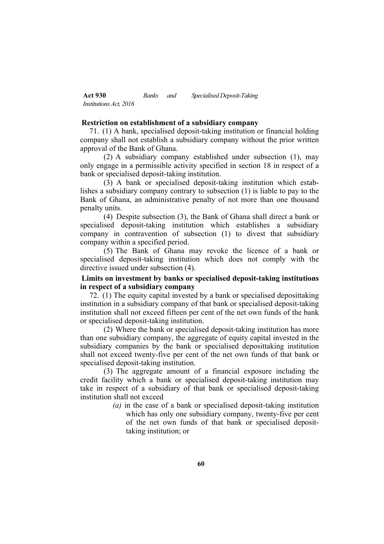### **Restriction on establishment of a subsidiary company**

71. (1) A bank, specialised deposit-taking institution or financial holding company shall not establish a subsidiary company without the prior written approval of the Bank of Ghana.

(2) A subsidiary company established under subsection (1), may only engage in a permissible activity specified in section 18 in respect of a bank or specialised deposit-taking institution.

(3) A bank or specialised deposit-taking institution which establishes a subsidiary company contrary to subsection (1) is liable to pay to the Bank of Ghana, an administrative penalty of not more than one thousand penalty units.

(4) Despite subsection (3), the Bank of Ghana shall direct a bank or specialised deposit-taking institution which establishes a subsidiary company in contravention of subsection (1) to divest that subsidiary company within a specified period.

(5) The Bank of Ghana may revoke the licence of a bank or specialised deposit-taking institution which does not comply with the directive issued under subsection (4).

# **Limits on investment by banks or specialised deposit-taking institutions in respect of a subsidiary company**

72. (1) The equity capital invested by a bank or specialised deposittaking institution in a subsidiary company of that bank or specialised deposit-taking institution shall not exceed fifteen per cent of the net own funds of the bank or specialised deposit-taking institution.

(2) Where the bank or specialised deposit-taking institution has more than one subsidiary company, the aggregate of equity capital invested in the subsidiary companies by the bank or specialised deposittaking institution shall not exceed twenty-five per cent of the net own funds of that bank or specialised deposit-taking institution.

(3) The aggregate amount of a financial exposure including the credit facility which a bank or specialised deposit-taking institution may take in respect of a subsidiary of that bank or specialised deposit-taking institution shall not exceed

> *(a)* in the case of a bank or specialised deposit-taking institution which has only one subsidiary company, twenty-five per cent of the net own funds of that bank or specialised deposittaking institution; or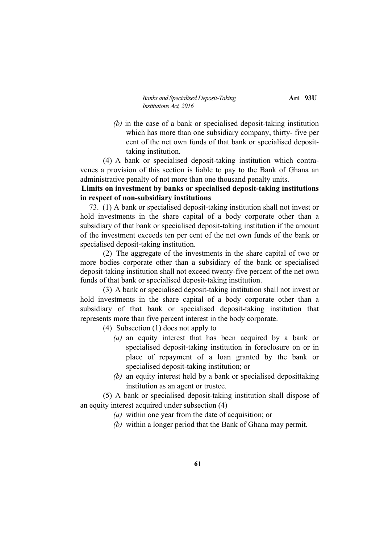*Banks and Specialised Deposit-Taking* **Art** 93U *Institutions Act, 2016*

*(b)* in the case of a bank or specialised deposit-taking institution which has more than one subsidiary company, thirty- five per cent of the net own funds of that bank or specialised deposittaking institution.

(4) A bank or specialised deposit-taking institution which contravenes a provision of this section is liable to pay to the Bank of Ghana an administrative penalty of not more than one thousand penalty units.

# **Limits on investment by banks or specialised deposit-taking institutions in respect of non-subsidiary institutions**

73. (1) A bank or specialised deposit-taking institution shall not invest or hold investments in the share capital of a body corporate other than a subsidiary of that bank or specialised deposit-taking institution if the amount of the investment exceeds ten per cent of the net own funds of the bank or specialised deposit-taking institution.

(2) The aggregate of the investments in the share capital of two or more bodies corporate other than a subsidiary of the bank or specialised deposit-taking institution shall not exceed twenty-five percent of the net own funds of that bank or specialised deposit-taking institution.

(3) A bank or specialised deposit-taking institution shall not invest or hold investments in the share capital of a body corporate other than a subsidiary of that bank or specialised deposit-taking institution that represents more than five percent interest in the body corporate.

(4) Subsection (1) does not apply to

- *(a)* an equity interest that has been acquired by a bank or specialised deposit-taking institution in foreclosure on or in place of repayment of a loan granted by the bank or specialised deposit-taking institution; or
- *(b)* an equity interest held by a bank or specialised deposittaking institution as an agent or trustee.

(5) A bank or specialised deposit-taking institution shall dispose of an equity interest acquired under subsection (4)

- *(a)* within one year from the date of acquisition; or
- *(b)* within a longer period that the Bank of Ghana may permit.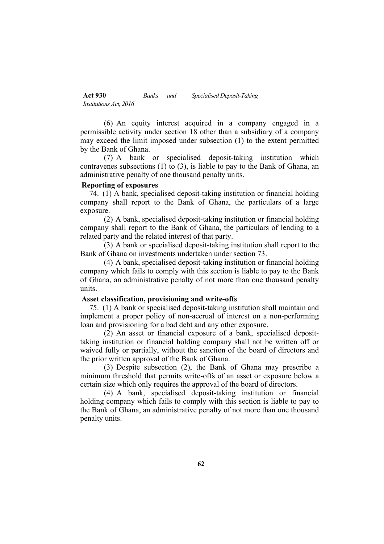(6) An equity interest acquired in a company engaged in a permissible activity under section 18 other than a subsidiary of a company may exceed the limit imposed under subsection (1) to the extent permitted by the Bank of Ghana.

(7) A bank or specialised deposit-taking institution which contravenes subsections (1) to (3), is liable to pay to the Bank of Ghana, an administrative penalty of one thousand penalty units.

#### **Reporting of exposures**

74. (1) A bank, specialised deposit-taking institution or financial holding company shall report to the Bank of Ghana, the particulars of a large exposure.

(2) A bank, specialised deposit-taking institution or financial holding company shall report to the Bank of Ghana, the particulars of lending to a related party and the related interest of that party.

(3) A bank or specialised deposit-taking institution shall report to the Bank of Ghana on investments undertaken under section 73.

(4) A bank, specialised deposit-taking institution or financial holding company which fails to comply with this section is liable to pay to the Bank of Ghana, an administrative penalty of not more than one thousand penalty units.

#### **Asset classification, provisioning and write-offs**

75. (1) A bank or specialised deposit-taking institution shall maintain and implement a proper policy of non-accrual of interest on a non-performing loan and provisioning for a bad debt and any other exposure.

(2) An asset or financial exposure of a bank, specialised deposittaking institution or financial holding company shall not be written off or waived fully or partially, without the sanction of the board of directors and the prior written approval of the Bank of Ghana.

(3) Despite subsection (2), the Bank of Ghana may prescribe a minimum threshold that permits write-offs of an asset or exposure below a certain size which only requires the approval of the board of directors.

(4) A bank, specialised deposit-taking institution or financial holding company which fails to comply with this section is liable to pay to the Bank of Ghana, an administrative penalty of not more than one thousand penalty units.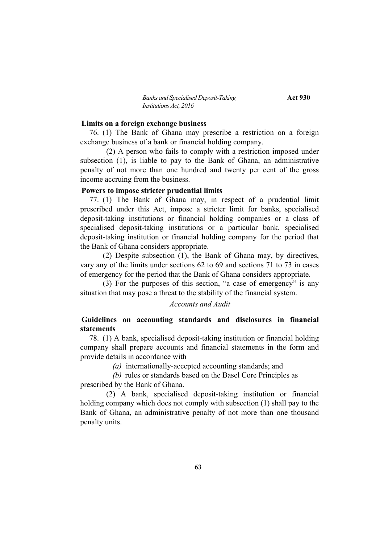*Banks and Specialised Deposit-Taking* **Act 930** *Institutions Act, 2016*

#### **Limits on a foreign exchange business**

76. (1) The Bank of Ghana may prescribe a restriction on a foreign exchange business of a bank or financial holding company.

(2) A person who fails to comply with a restriction imposed under subsection (1), is liable to pay to the Bank of Ghana, an administrative penalty of not more than one hundred and twenty per cent of the gross income accruing from the business.

#### **Powers to impose stricter prudential limits**

77. (1) The Bank of Ghana may, in respect of a prudential limit prescribed under this Act, impose a stricter limit for banks, specialised deposit-taking institutions or financial holding companies or a class of specialised deposit-taking institutions or a particular bank, specialised deposit-taking institution or financial holding company for the period that the Bank of Ghana considers appropriate.

(2) Despite subsection (1), the Bank of Ghana may, by directives, vary any of the limits under sections 62 to 69 and sections 71 to 73 in cases of emergency for the period that the Bank of Ghana considers appropriate.

(3) For the purposes of this section, "a case of emergency" is any situation that may pose a threat to the stability of the financial system.

# *Accounts and Audit*

# **Guidelines on accounting standards and disclosures in financial statements**

78. (1) A bank, specialised deposit-taking institution or financial holding company shall prepare accounts and financial statements in the form and provide details in accordance with

*(a)* internationally-accepted accounting standards; and

*(b)* rules or standards based on the Basel Core Principles as prescribed by the Bank of Ghana.

(2) A bank, specialised deposit-taking institution or financial holding company which does not comply with subsection (1) shall pay to the Bank of Ghana, an administrative penalty of not more than one thousand penalty units.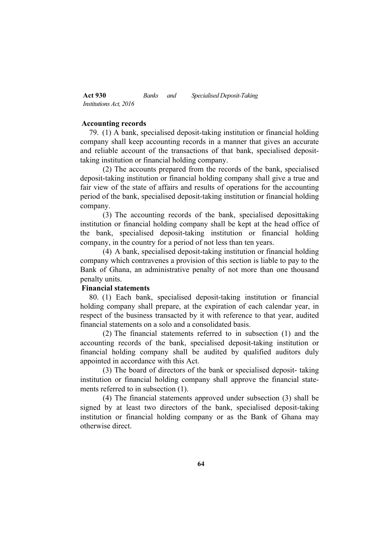## **Accounting records**

79. (1) A bank, specialised deposit-taking institution or financial holding company shall keep accounting records in a manner that gives an accurate and reliable account of the transactions of that bank, specialised deposittaking institution or financial holding company.

(2) The accounts prepared from the records of the bank, specialised deposit-taking institution or financial holding company shall give a true and fair view of the state of affairs and results of operations for the accounting period of the bank, specialised deposit-taking institution or financial holding company.

(3) The accounting records of the bank, specialised deposittaking institution or financial holding company shall be kept at the head office of the bank, specialised deposit-taking institution or financial holding company, in the country for a period of not less than ten years.

(4) A bank, specialised deposit-taking institution or financial holding company which contravenes a provision of this section is liable to pay to the Bank of Ghana, an administrative penalty of not more than one thousand penalty units.

# **Financial statements**

80. (1) Each bank, specialised deposit-taking institution or financial holding company shall prepare, at the expiration of each calendar year, in respect of the business transacted by it with reference to that year, audited financial statements on a solo and a consolidated basis.

(2) The financial statements referred to in subsection (1) and the accounting records of the bank, specialised deposit-taking institution or financial holding company shall be audited by qualified auditors duly appointed in accordance with this Act.

(3) The board of directors of the bank or specialised deposit- taking institution or financial holding company shall approve the financial statements referred to in subsection (1).

(4) The financial statements approved under subsection (3) shall be signed by at least two directors of the bank, specialised deposit-taking institution or financial holding company or as the Bank of Ghana may otherwise direct.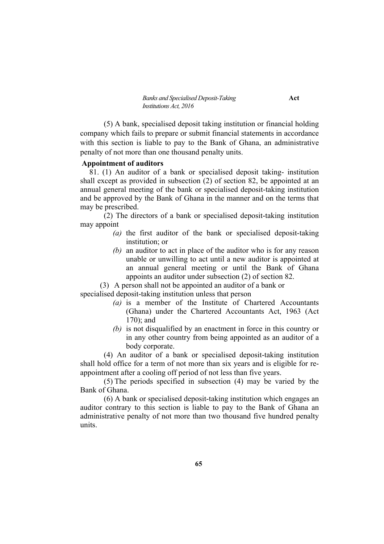(5) A bank, specialised deposit taking institution or financial holding company which fails to prepare or submit financial statements in accordance with this section is liable to pay to the Bank of Ghana, an administrative penalty of not more than one thousand penalty units.

#### **Appointment of auditors**

81. (1) An auditor of a bank or specialised deposit taking- institution shall except as provided in subsection (2) of section 82, be appointed at an annual general meeting of the bank or specialised deposit-taking institution and be approved by the Bank of Ghana in the manner and on the terms that may be prescribed.

(2) The directors of a bank or specialised deposit-taking institution may appoint

- *(a)* the first auditor of the bank or specialised deposit-taking institution; or
- *(b)* an auditor to act in place of the auditor who is for any reason unable or unwilling to act until a new auditor is appointed at an annual general meeting or until the Bank of Ghana appoints an auditor under subsection (2) of section 82.

(3) A person shall not be appointed an auditor of a bank or

specialised deposit-taking institution unless that person

- *(a)* is a member of the Institute of Chartered Accountants (Ghana) under the Chartered Accountants Act, 1963 (Act 170); and
- *(b)* is not disqualified by an enactment in force in this country or in any other country from being appointed as an auditor of a body corporate.

(4) An auditor of a bank or specialised deposit-taking institution shall hold office for a term of not more than six years and is eligible for reappointment after a cooling off period of not less than five years.

(5) The periods specified in subsection (4) may be varied by the Bank of Ghana.

(6) A bank or specialised deposit-taking institution which engages an auditor contrary to this section is liable to pay to the Bank of Ghana an administrative penalty of not more than two thousand five hundred penalty units.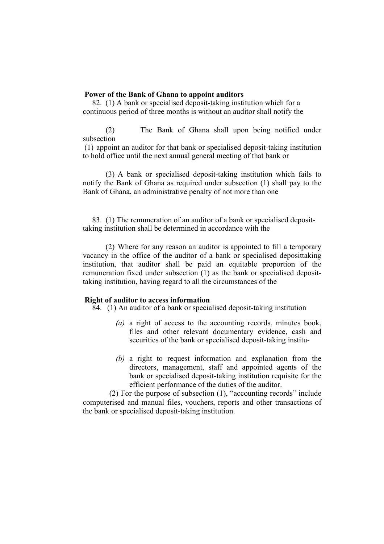# **Power of the Bank of Ghana to appoint auditors**

82. (1) A bank or specialised deposit-taking institution which for a continuous period of three months is without an auditor shall notify the

(2) The Bank of Ghana shall upon being notified under subsection

(1) appoint an auditor for that bank or specialised deposit-taking institution to hold office until the next annual general meeting of that bank or

(3) A bank or specialised deposit-taking institution which fails to notify the Bank of Ghana as required under subsection (1) shall pay to the Bank of Ghana, an administrative penalty of not more than one

83. (1) The remuneration of an auditor of a bank or specialised deposittaking institution shall be determined in accordance with the

(2) Where for any reason an auditor is appointed to fill a temporary vacancy in the office of the auditor of a bank or specialised deposittaking institution, that auditor shall be paid an equitable proportion of the remuneration fixed under subsection (1) as the bank or specialised deposittaking institution, having regard to all the circumstances of the

## **Right of auditor to access information**

84. (1) An auditor of a bank or specialised deposit-taking institution

- *(a)* a right of access to the accounting records, minutes book, files and other relevant documentary evidence, cash and securities of the bank or specialised deposit-taking institu-
- *(b)* a right to request information and explanation from the directors, management, staff and appointed agents of the bank or specialised deposit-taking institution requisite for the efficient performance of the duties of the auditor.

(2) For the purpose of subsection (1), "accounting records" include computerised and manual files, vouchers, reports and other transactions of the bank or specialised deposit-taking institution.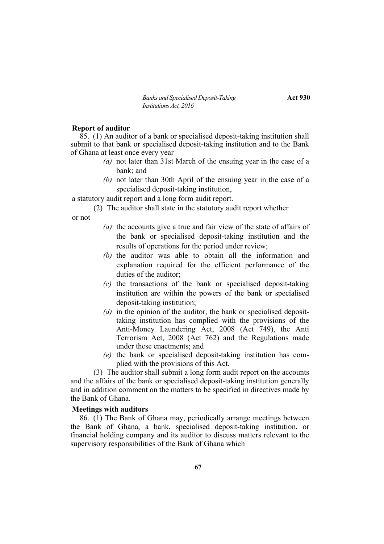*Banks and Specialised Deposit-Taking* **Act 930** *Institutions Act, 2016*

#### **Report of auditor**

 $\overline{85}$ . (1) An auditor of a bank or specialised deposit-taking institution shall submit to that bank or specialised deposit-taking institution and to the Bank of Ghana at least once every year

- *(a)* not later than 31st March of the ensuing year in the case of a bank; and
- *(b)* not later than 30th April of the ensuing year in the case of a specialised deposit-taking institution,

a statutory audit report and a long form audit report.

- (2) The auditor shall state in the statutory audit report whether
- or not
- *(a)* the accounts give a true and fair view of the state of affairs of the bank or specialised deposit-taking institution and the results of operations for the period under review;
- *(b)* the auditor was able to obtain all the information and explanation required for the efficient performance of the duties of the auditor;
- *(c)* the transactions of the bank or specialised deposit-taking institution are within the powers of the bank or specialised deposit-taking institution;
- *(d)* in the opinion of the auditor, the bank or specialised deposittaking institution has complied with the provisions of the Anti-Money Laundering Act, 2008 (Act 749), the Anti Terrorism Act, 2008 (Act 762) and the Regulations made under these enactments; and
- *(e)* the bank or specialised deposit-taking institution has complied with the provisions of this Act.

(3) The auditor shall submit a long form audit report on the accounts and the affairs of the bank or specialised deposit-taking institution generally and in addition comment on the matters to be specified in directives made by the Bank of Ghana.

### **Meetings with auditors**

86. (1) The Bank of Ghana may, periodically arrange meetings between the Bank of Ghana, a bank, specialised deposit-taking institution, or financial holding company and its auditor to discuss matters relevant to the supervisory responsibilities of the Bank of Ghana which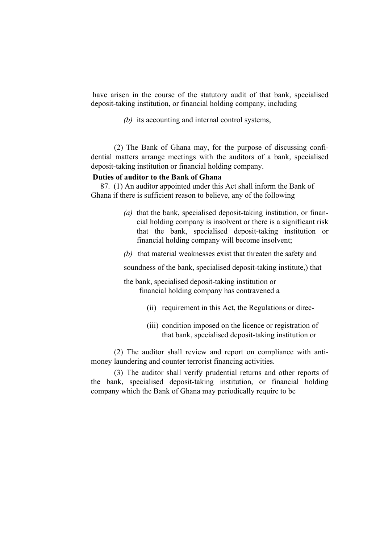have arisen in the course of the statutory audit of that bank, specialised deposit-taking institution, or financial holding company, including

*(b)* its accounting and internal control systems,

(2) The Bank of Ghana may, for the purpose of discussing confidential matters arrange meetings with the auditors of a bank, specialised deposit-taking institution or financial holding company.

# **Duties of auditor to the Bank of Ghana**

87. (1) An auditor appointed under this Act shall inform the Bank of Ghana if there is sufficient reason to believe, any of the following

- *(a)* that the bank, specialised deposit-taking institution, or financial holding company is insolvent or there is a significant risk that the bank, specialised deposit-taking institution or financial holding company will become insolvent;
- *(b)* that material weaknesses exist that threaten the safety and

soundness of the bank, specialised deposit-taking institute,) that

the bank, specialised deposit-taking institution or financial holding company has contravened a

- (ii) requirement in this Act, the Regulations or direc-
- (iii) condition imposed on the licence or registration of that bank, specialised deposit-taking institution or

(2) The auditor shall review and report on compliance with antimoney laundering and counter terrorist financing activities.

(3) The auditor shall verify prudential returns and other reports of the bank, specialised deposit-taking institution, or financial holding company which the Bank of Ghana may periodically require to be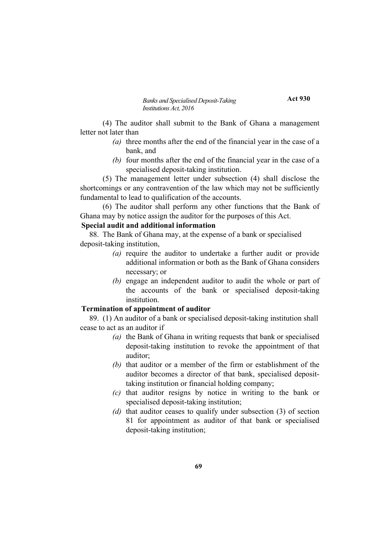**Act 930**

(4) The auditor shall submit to the Bank of Ghana a management letter not later than

- *(a)* three months after the end of the financial year in the case of a bank, and
- *(b)* four months after the end of the financial year in the case of a specialised deposit-taking institution.

(5) The management letter under subsection (4) shall disclose the shortcomings or any contravention of the law which may not be sufficiently fundamental to lead to qualification of the accounts.

(6) The auditor shall perform any other functions that the Bank of Ghana may by notice assign the auditor for the purposes of this Act.

# **Special audit and additional information**

88. The Bank of Ghana may, at the expense of a bank or specialised deposit-taking institution,

- *(a)* require the auditor to undertake a further audit or provide additional information or both as the Bank of Ghana considers necessary; or
- *(b)* engage an independent auditor to audit the whole or part of the accounts of the bank or specialised deposit-taking institution.

## **Termination of appointment of auditor**

89. (1) An auditor of a bank or specialised deposit-taking institution shall cease to act as an auditor if

- *(a)* the Bank of Ghana in writing requests that bank or specialised deposit-taking institution to revoke the appointment of that auditor;
- *(b)* that auditor or a member of the firm or establishment of the auditor becomes a director of that bank, specialised deposittaking institution or financial holding company;
- *(c)* that auditor resigns by notice in writing to the bank or specialised deposit-taking institution;
- *(d)* that auditor ceases to qualify under subsection (3) of section 81 for appointment as auditor of that bank or specialised deposit-taking institution;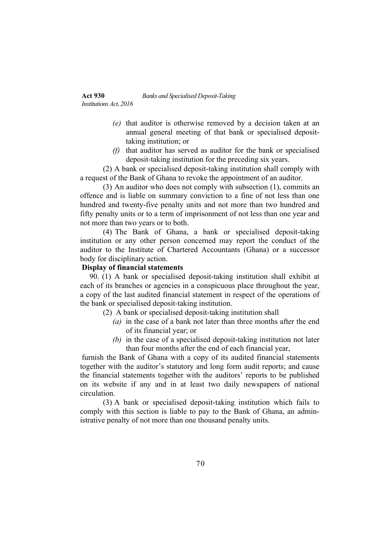- *(e)* that auditor is otherwise removed by a decision taken at an annual general meeting of that bank or specialised deposittaking institution; or
- *(f)* that auditor has served as auditor for the bank or specialised deposit-taking institution for the preceding six years.

(2) A bank or specialised deposit-taking institution shall comply with a request of the Bank of Ghana to revoke the appointment of an auditor.

(3) An auditor who does not comply with subsection (1), commits an offence and is liable on summary conviction to a fine of not less than one hundred and twenty-five penalty units and not more than two hundred and fifty penalty units or to a term of imprisonment of not less than one year and not more than two years or to both.

(4) The Bank of Ghana, a bank or specialised deposit-taking institution or any other person concerned may report the conduct of the auditor to the Institute of Chartered Accountants (Ghana) or a successor body for disciplinary action.

# **Display of financial statements**

90. (1) A bank or specialised deposit-taking institution shall exhibit at each of its branches or agencies in a conspicuous place throughout the year, a copy of the last audited financial statement in respect of the operations of the bank or specialised deposit-taking institution.

- (2) A bank or specialised deposit-taking institution shall
	- *(a)* in the case of a bank not later than three months after the end of its financial year; or
	- *(b)* in the case of a specialised deposit-taking institution not later than four months after the end of each financial year,

furnish the Bank of Ghana with a copy of its audited financial statements together with the auditor's statutory and long form audit reports; and cause the financial statements together with the auditors' reports to be published on its website if any and in at least two daily newspapers of national circulation.

(3) A bank or specialised deposit-taking institution which fails to comply with this section is liable to pay to the Bank of Ghana, an administrative penalty of not more than one thousand penalty units.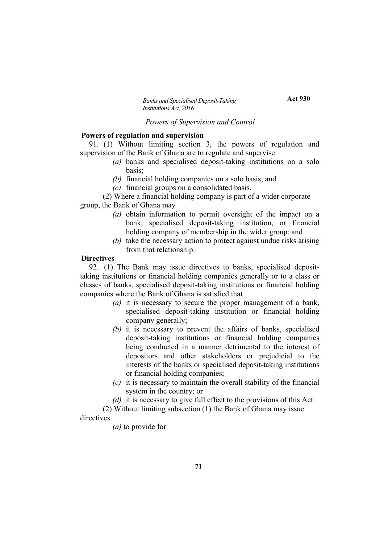**Act 930**

## *Powers of Supervision and Control*

#### **Powers of regulation and supervision**

91. (1) Without limiting section 3, the powers of regulation and supervision of the Bank of Ghana are to regulate and supervise

- *(a)* banks and specialised deposit-taking institutions on a solo basis;
- *(b)* financial holding companies on a solo basis; and
- *(c)* financial groups on a consolidated basis.

(2) Where a financial holding company is part of a wider corporate group, the Bank of Ghana may

- *(a)* obtain information to permit oversight of the impact on a bank, specialised deposit-taking institution, or financial holding company of membership in the wider group; and
- *(b)* take the necessary action to protect against undue risks arising from that relationship.

#### **Directives**

92. (1) The Bank may issue directives to banks, specialised deposittaking institutions or financial holding companies generally or to a class or classes of banks, specialised deposit-taking institutions or financial holding companies where the Bank of Ghana is satisfied that

- *(a)* it is necessary to secure the proper management of a bank, specialised deposit-taking institution or financial holding company generally;
- *(b)* it is necessary to prevent the affairs of banks, specialised deposit-taking institutions or financial holding companies being conducted in a manner detrimental to the interest of depositors and other stakeholders or prejudicial to the interests of the banks or specialised deposit-taking institutions or financial holding companies;
- *(c)* it is necessary to maintain the overall stability of the financial system in the country; or
- *(d)* it is necessary to give full effect to the provisions of this Act.
- (2) Without limiting subsection (1) the Bank of Ghana may issue

#### directives

*(a)* to provide for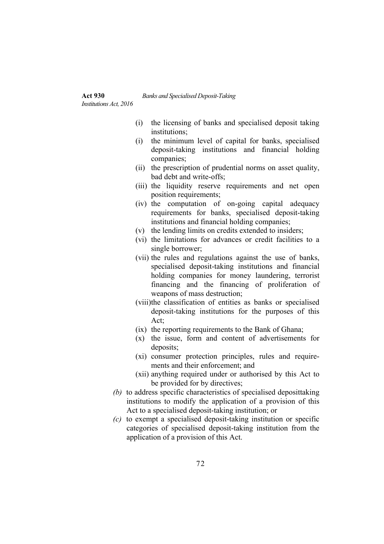*Institutions Act, 2016*

- (i) the licensing of banks and specialised deposit taking institutions;
- (i) the minimum level of capital for banks, specialised deposit-taking institutions and financial holding companies;
- (ii) the prescription of prudential norms on asset quality, bad debt and write-offs;
- (iii) the liquidity reserve requirements and net open position requirements;
- (iv) the computation of on-going capital adequacy requirements for banks, specialised deposit-taking institutions and financial holding companies;
- (v) the lending limits on credits extended to insiders;
- (vi) the limitations for advances or credit facilities to a single borrower;
- (vii) the rules and regulations against the use of banks, specialised deposit-taking institutions and financial holding companies for money laundering, terrorist financing and the financing of proliferation of weapons of mass destruction;
- (viii)the classification of entities as banks or specialised deposit-taking institutions for the purposes of this Act;
- (ix) the reporting requirements to the Bank of Ghana;
- (x) the issue, form and content of advertisements for deposits;
- (xi) consumer protection principles, rules and requirements and their enforcement; and
- (xii) anything required under or authorised by this Act to be provided for by directives;
- *(b)* to address specific characteristics of specialised deposittaking institutions to modify the application of a provision of this Act to a specialised deposit-taking institution; or
- *(c)* to exempt a specialised deposit-taking institution or specific categories of specialised deposit-taking institution from the application of a provision of this Act.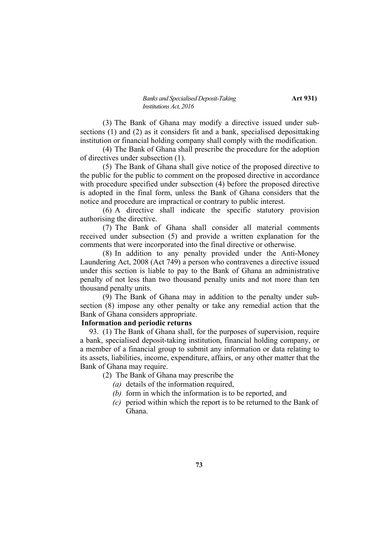(3) The Bank of Ghana may modify a directive issued under subsections (1) and (2) as it considers fit and a bank, specialised deposittaking institution or financial holding company shall comply with the modification.

(4) The Bank of Ghana shall prescribe the procedure for the adoption of directives under subsection (1).

(5) The Bank of Ghana shall give notice of the proposed directive to the public for the public to comment on the proposed directive in accordance with procedure specified under subsection (4) before the proposed directive is adopted in the final form, unless the Bank of Ghana considers that the notice and procedure are impractical or contrary to public interest.

(6) A directive shall indicate the specific statutory provision authorising the directive.

(7) The Bank of Ghana shall consider all material comments received under subsection (5) and provide a written explanation for the comments that were incorporated into the final directive or otherwise.

(8) In addition to any penalty provided under the Anti-Money Laundering Act, 2008 (Act 749) a person who contravenes a directive issued under this section is liable to pay to the Bank of Ghana an administrative penalty of not less than two thousand penalty units and not more than ten thousand penalty units.

(9) The Bank of Ghana may in addition to the penalty under subsection (8) impose any other penalty or take any remedial action that the Bank of Ghana considers appropriate.

### **Information and periodic returns**

93. (1) The Bank of Ghana shall, for the purposes of supervision, require a bank, specialised deposit-taking institution, financial holding company, or a member of a financial group to submit any information or data relating to its assets, liabilities, income, expenditure, affairs, or any other matter that the Bank of Ghana may require.

(2) The Bank of Ghana may prescribe the

- *(a)* details of the information required,
- *(b)* form in which the information is to be reported, and
- *(c)* period within which the report is to be returned to the Bank of Ghana.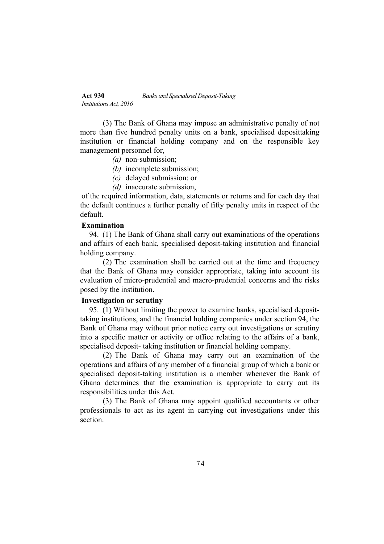(3) The Bank of Ghana may impose an administrative penalty of not more than five hundred penalty units on a bank, specialised deposittaking institution or financial holding company and on the responsible key management personnel for,

- *(a)* non-submission;
- *(b)* incomplete submission;
- *(c)* delayed submission; or
- *(d)* inaccurate submission,

of the required information, data, statements or returns and for each day that the default continues a further penalty of fifty penalty units in respect of the default.

### **Examination**

94. (1) The Bank of Ghana shall carry out examinations of the operations and affairs of each bank, specialised deposit-taking institution and financial holding company.

(2) The examination shall be carried out at the time and frequency that the Bank of Ghana may consider appropriate, taking into account its evaluation of micro-prudential and macro-prudential concerns and the risks posed by the institution.

## **Investigation or scrutiny**

95. (1) Without limiting the power to examine banks, specialised deposittaking institutions, and the financial holding companies under section 94, the Bank of Ghana may without prior notice carry out investigations or scrutiny into a specific matter or activity or office relating to the affairs of a bank, specialised deposit- taking institution or financial holding company.

(2) The Bank of Ghana may carry out an examination of the operations and affairs of any member of a financial group of which a bank or specialised deposit-taking institution is a member whenever the Bank of Ghana determines that the examination is appropriate to carry out its responsibilities under this Act.

(3) The Bank of Ghana may appoint qualified accountants or other professionals to act as its agent in carrying out investigations under this section.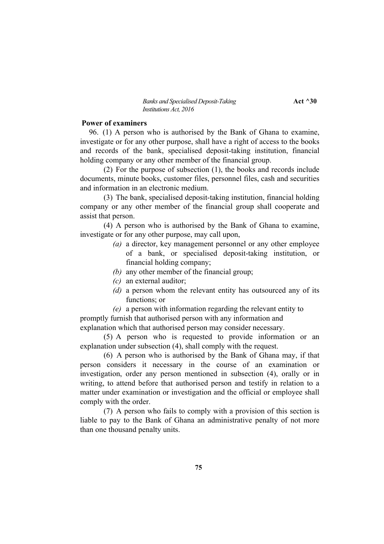#### *Banks and Specialised Deposit-Taking* **Act**  $\triangle 30$ *Institutions Act, 2016*

## **Power of examiners**

96. (1) A person who is authorised by the Bank of Ghana to examine, investigate or for any other purpose, shall have a right of access to the books and records of the bank, specialised deposit-taking institution, financial holding company or any other member of the financial group.

(2) For the purpose of subsection (1), the books and records include documents, minute books, customer files, personnel files, cash and securities and information in an electronic medium.

(3) The bank, specialised deposit-taking institution, financial holding company or any other member of the financial group shall cooperate and assist that person.

(4) A person who is authorised by the Bank of Ghana to examine, investigate or for any other purpose, may call upon,

- *(a)* a director, key management personnel or any other employee of a bank, or specialised deposit-taking institution, or financial holding company;
- *(b)* any other member of the financial group;
- *(c)* an external auditor;
- *(d)* a person whom the relevant entity has outsourced any of its functions; or
- *(e)* a person with information regarding the relevant entity to promptly furnish that authorised person with any information and explanation which that authorised person may consider necessary.

(5) A person who is requested to provide information or an explanation under subsection (4), shall comply with the request.

(6) A person who is authorised by the Bank of Ghana may, if that person considers it necessary in the course of an examination or investigation, order any person mentioned in subsection (4), orally or in writing, to attend before that authorised person and testify in relation to a matter under examination or investigation and the official or employee shall comply with the order.

(7) A person who fails to comply with a provision of this section is liable to pay to the Bank of Ghana an administrative penalty of not more than one thousand penalty units.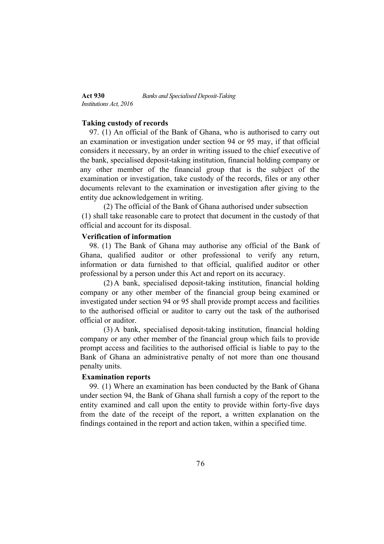### **Taking custody of records**

97. (1) An official of the Bank of Ghana, who is authorised to carry out an examination or investigation under section 94 or 95 may, if that official considers it necessary, by an order in writing issued to the chief executive of the bank, specialised deposit-taking institution, financial holding company or any other member of the financial group that is the subject of the examination or investigation, take custody of the records, files or any other documents relevant to the examination or investigation after giving to the entity due acknowledgement in writing.

(2) The official of the Bank of Ghana authorised under subsection (1) shall take reasonable care to protect that document in the custody of that official and account for its disposal.

# **Verification of information**

98. (1) The Bank of Ghana may authorise any official of the Bank of Ghana, qualified auditor or other professional to verify any return, information or data furnished to that official, qualified auditor or other professional by a person under this Act and report on its accuracy.

(2) A bank, specialised deposit-taking institution, financial holding company or any other member of the financial group being examined or investigated under section 94 or 95 shall provide prompt access and facilities to the authorised official or auditor to carry out the task of the authorised official or auditor.

(3) A bank, specialised deposit-taking institution, financial holding company or any other member of the financial group which fails to provide prompt access and facilities to the authorised official is liable to pay to the Bank of Ghana an administrative penalty of not more than one thousand penalty units.

### **Examination reports**

99. (1) Where an examination has been conducted by the Bank of Ghana under section 94, the Bank of Ghana shall furnish a copy of the report to the entity examined and call upon the entity to provide within forty-five days from the date of the receipt of the report, a written explanation on the findings contained in the report and action taken, within a specified time.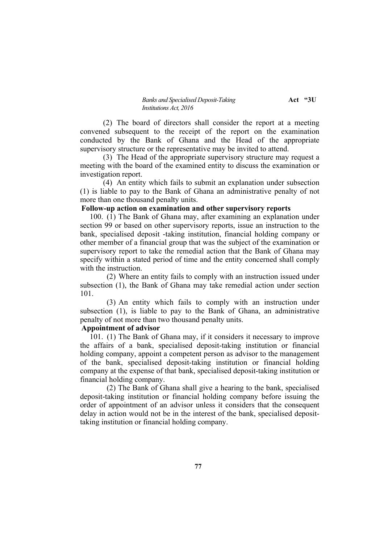#### *Banks and Specialised Deposit-Taking* **Act "3U** *Institutions Act, 2016*

(2) The board of directors shall consider the report at a meeting convened subsequent to the receipt of the report on the examination conducted by the Bank of Ghana and the Head of the appropriate supervisory structure or the representative may be invited to attend.

(3) The Head of the appropriate supervisory structure may request a meeting with the board of the examined entity to discuss the examination or investigation report.

(4) An entity which fails to submit an explanation under subsection (1) is liable to pay to the Bank of Ghana an administrative penalty of not more than one thousand penalty units.

## **Follow-up action on examination and other supervisory reports**

100. (1) The Bank of Ghana may, after examining an explanation under section 99 or based on other supervisory reports, issue an instruction to the bank, specialised deposit -taking institution, financial holding company or other member of a financial group that was the subject of the examination or supervisory report to take the remedial action that the Bank of Ghana may specify within a stated period of time and the entity concerned shall comply with the instruction.

(2) Where an entity fails to comply with an instruction issued under subsection (1), the Bank of Ghana may take remedial action under section 101.

(3) An entity which fails to comply with an instruction under subsection (1), is liable to pay to the Bank of Ghana, an administrative penalty of not more than two thousand penalty units.

# **Appointment of advisor**

101. (1) The Bank of Ghana may, if it considers it necessary to improve the affairs of a bank, specialised deposit-taking institution or financial holding company, appoint a competent person as advisor to the management of the bank, specialised deposit-taking institution or financial holding company at the expense of that bank, specialised deposit-taking institution or financial holding company.

(2) The Bank of Ghana shall give a hearing to the bank, specialised deposit-taking institution or financial holding company before issuing the order of appointment of an advisor unless it considers that the consequent delay in action would not be in the interest of the bank, specialised deposittaking institution or financial holding company.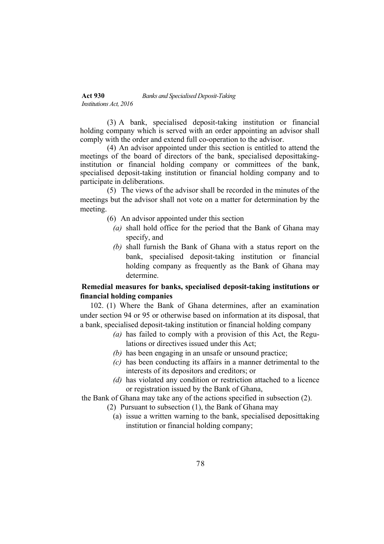(3) A bank, specialised deposit-taking institution or financial holding company which is served with an order appointing an advisor shall comply with the order and extend full co-operation to the advisor.

(4) An advisor appointed under this section is entitled to attend the meetings of the board of directors of the bank, specialised deposittakinginstitution or financial holding company or committees of the bank, specialised deposit-taking institution or financial holding company and to participate in deliberations.

(5) The views of the advisor shall be recorded in the minutes of the meetings but the advisor shall not vote on a matter for determination by the meeting.

- (6) An advisor appointed under this section
	- *(a)* shall hold office for the period that the Bank of Ghana may specify, and
	- *(b)* shall furnish the Bank of Ghana with a status report on the bank, specialised deposit-taking institution or financial holding company as frequently as the Bank of Ghana may determine.

# **Remedial measures for banks, specialised deposit-taking institutions or financial holding companies**

102. (1) Where the Bank of Ghana determines, after an examination under section 94 or 95 or otherwise based on information at its disposal, that a bank, specialised deposit-taking institution or financial holding company

- *(a)* has failed to comply with a provision of this Act, the Regulations or directives issued under this Act;
- *(b)* has been engaging in an unsafe or unsound practice;
- *(c)* has been conducting its affairs in a manner detrimental to the interests of its depositors and creditors; or
- *(d)* has violated any condition or restriction attached to a licence or registration issued by the Bank of Ghana,

the Bank of Ghana may take any of the actions specified in subsection (2).

- (2) Pursuant to subsection (1), the Bank of Ghana may
	- (a) issue a written warning to the bank, specialised deposittaking institution or financial holding company;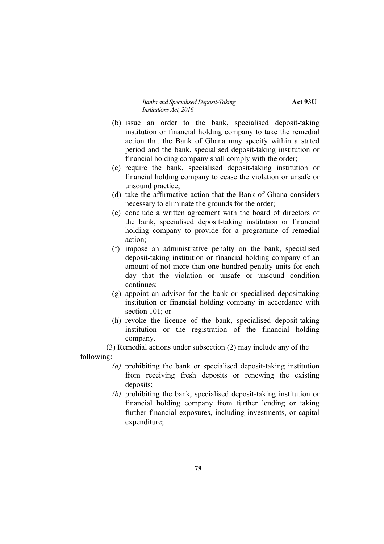*Banks and Specialised Deposit-Taking* **Act 93U** *Institutions Act, 2016*

- (b) issue an order to the bank, specialised deposit-taking institution or financial holding company to take the remedial action that the Bank of Ghana may specify within a stated period and the bank, specialised deposit-taking institution or financial holding company shall comply with the order;
- (c) require the bank, specialised deposit-taking institution or financial holding company to cease the violation or unsafe or unsound practice;
- (d) take the affirmative action that the Bank of Ghana considers necessary to eliminate the grounds for the order;
- (e) conclude a written agreement with the board of directors of the bank, specialised deposit-taking institution or financial holding company to provide for a programme of remedial action;
- (f) impose an administrative penalty on the bank, specialised deposit-taking institution or financial holding company of an amount of not more than one hundred penalty units for each day that the violation or unsafe or unsound condition continues;
- (g) appoint an advisor for the bank or specialised deposittaking institution or financial holding company in accordance with section 101; or
- (h) revoke the licence of the bank, specialised deposit-taking institution or the registration of the financial holding company.

(3) Remedial actions under subsection (2) may include any of the

following:

- *(a)* prohibiting the bank or specialised deposit-taking institution from receiving fresh deposits or renewing the existing deposits;
- *(b)* prohibiting the bank, specialised deposit-taking institution or financial holding company from further lending or taking further financial exposures, including investments, or capital expenditure;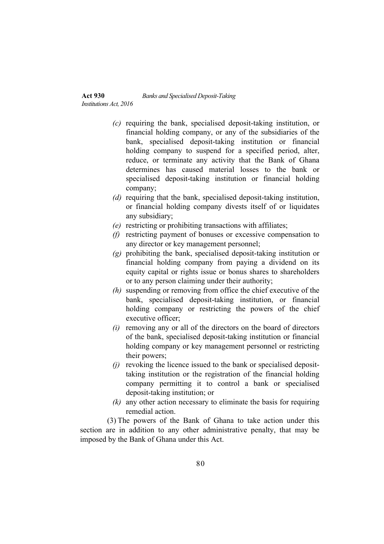- *(c)* requiring the bank, specialised deposit-taking institution, or financial holding company, or any of the subsidiaries of the bank, specialised deposit-taking institution or financial holding company to suspend for a specified period, alter, reduce, or terminate any activity that the Bank of Ghana determines has caused material losses to the bank or specialised deposit-taking institution or financial holding company;
- *(d)* requiring that the bank, specialised deposit-taking institution, or financial holding company divests itself of or liquidates any subsidiary;
- *(e)* restricting or prohibiting transactions with affiliates;
- *(f)* restricting payment of bonuses or excessive compensation to any director or key management personnel;
- *(g)* prohibiting the bank, specialised deposit-taking institution or financial holding company from paying a dividend on its equity capital or rights issue or bonus shares to shareholders or to any person claiming under their authority;
- *(h)* suspending or removing from office the chief executive of the bank, specialised deposit-taking institution, or financial holding company or restricting the powers of the chief executive officer;
- *(i)* removing any or all of the directors on the board of directors of the bank, specialised deposit-taking institution or financial holding company or key management personnel or restricting their powers;
- *(j)* revoking the licence issued to the bank or specialised deposittaking institution or the registration of the financial holding company permitting it to control a bank or specialised deposit-taking institution; or
- *(k)* any other action necessary to eliminate the basis for requiring remedial action.

(3) The powers of the Bank of Ghana to take action under this section are in addition to any other administrative penalty, that may be imposed by the Bank of Ghana under this Act.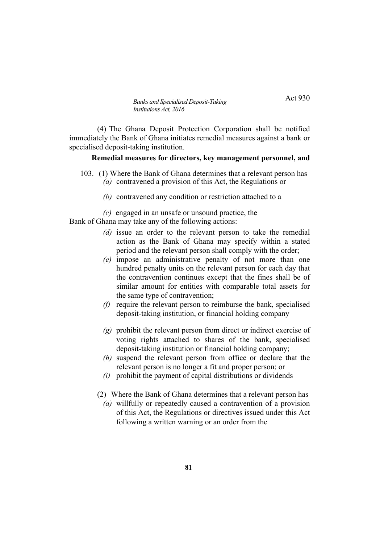Act 930

(4) The Ghana Deposit Protection Corporation shall be notified immediately the Bank of Ghana initiates remedial measures against a bank or specialised deposit-taking institution.

### **Remedial measures for directors, key management personnel, and**

- 103. (1) Where the Bank of Ghana determines that a relevant person has *(a)* contravened a provision of this Act, the Regulations or
	- *(b)* contravened any condition or restriction attached to a

*(c)* engaged in an unsafe or unsound practice, the

Bank of Ghana may take any of the following actions:

*Institutions Act, 2016*

- *(d)* issue an order to the relevant person to take the remedial action as the Bank of Ghana may specify within a stated period and the relevant person shall comply with the order;
- *(e)* impose an administrative penalty of not more than one hundred penalty units on the relevant person for each day that the contravention continues except that the fines shall be of similar amount for entities with comparable total assets for the same type of contravention;
- *(f)* require the relevant person to reimburse the bank, specialised deposit-taking institution, or financial holding company
- *(g)* prohibit the relevant person from direct or indirect exercise of voting rights attached to shares of the bank, specialised deposit-taking institution or financial holding company;
- *(h)* suspend the relevant person from office or declare that the relevant person is no longer a fit and proper person; or
- *(i)* prohibit the payment of capital distributions or dividends
- (2) Where the Bank of Ghana determines that a relevant person has
	- *(a)* willfully or repeatedly caused a contravention of a provision of this Act, the Regulations or directives issued under this Act following a written warning or an order from the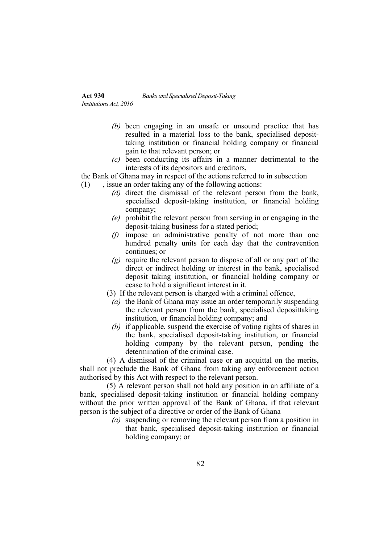# **Act 930** *Banks and Specialised Deposit-Taking*

*Institutions Act, 2016*

- *(b)* been engaging in an unsafe or unsound practice that has resulted in a material loss to the bank, specialised deposittaking institution or financial holding company or financial gain to that relevant person; or
- *(c)* been conducting its affairs in a manner detrimental to the interests of its depositors and creditors,

the Bank of Ghana may in respect of the actions referred to in subsection

- (1) , issue an order taking any of the following actions:
	- *(d)* direct the dismissal of the relevant person from the bank, specialised deposit-taking institution, or financial holding company;
	- *(e)* prohibit the relevant person from serving in or engaging in the deposit-taking business for a stated period;
	- *(f)* impose an administrative penalty of not more than one hundred penalty units for each day that the contravention continues; or
	- *(g)* require the relevant person to dispose of all or any part of the direct or indirect holding or interest in the bank, specialised deposit taking institution, or financial holding company or cease to hold a significant interest in it.
	- (3) If the relevant person is charged with a criminal offence,
		- *(a)* the Bank of Ghana may issue an order temporarily suspending the relevant person from the bank, specialised deposittaking institution, or financial holding company; and
		- *(b)* if applicable, suspend the exercise of voting rights of shares in the bank, specialised deposit-taking institution, or financial holding company by the relevant person, pending the determination of the criminal case.

(4) A dismissal of the criminal case or an acquittal on the merits, shall not preclude the Bank of Ghana from taking any enforcement action authorised by this Act with respect to the relevant person.

(5) A relevant person shall not hold any position in an affiliate of a bank, specialised deposit-taking institution or financial holding company without the prior written approval of the Bank of Ghana, if that relevant person is the subject of a directive or order of the Bank of Ghana

*(a)* suspending or removing the relevant person from a position in that bank, specialised deposit-taking institution or financial holding company; or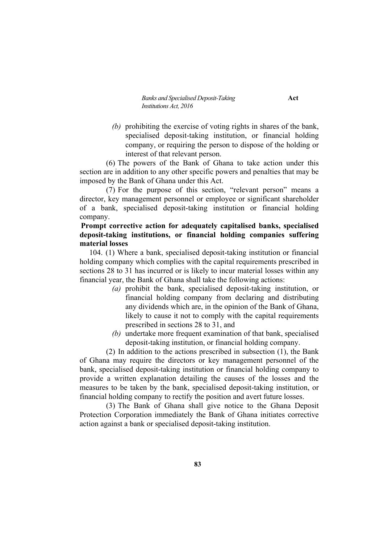*Banks and Specialised Deposit-Taking* **Act** *Institutions Act, 2016*

*(b)* prohibiting the exercise of voting rights in shares of the bank, specialised deposit-taking institution, or financial holding company, or requiring the person to dispose of the holding or interest of that relevant person.

(6) The powers of the Bank of Ghana to take action under this section are in addition to any other specific powers and penalties that may be imposed by the Bank of Ghana under this Act.

(7) For the purpose of this section, "relevant person" means a director, key management personnel or employee or significant shareholder of a bank, specialised deposit-taking institution or financial holding company.

# **Prompt corrective action for adequately capitalised banks, specialised deposit-taking institutions, or financial holding companies suffering material losses**

104. (1) Where a bank, specialised deposit-taking institution or financial holding company which complies with the capital requirements prescribed in sections 28 to 31 has incurred or is likely to incur material losses within any financial year, the Bank of Ghana shall take the following actions:

- *(a)* prohibit the bank, specialised deposit-taking institution, or financial holding company from declaring and distributing any dividends which are, in the opinion of the Bank of Ghana, likely to cause it not to comply with the capital requirements prescribed in sections 28 to 31, and
- *(b)* undertake more frequent examination of that bank, specialised deposit-taking institution, or financial holding company.

(2) In addition to the actions prescribed in subsection (1), the Bank of Ghana may require the directors or key management personnel of the bank, specialised deposit-taking institution or financial holding company to provide a written explanation detailing the causes of the losses and the measures to be taken by the bank, specialised deposit-taking institution, or financial holding company to rectify the position and avert future losses.

(3) The Bank of Ghana shall give notice to the Ghana Deposit Protection Corporation immediately the Bank of Ghana initiates corrective action against a bank or specialised deposit-taking institution.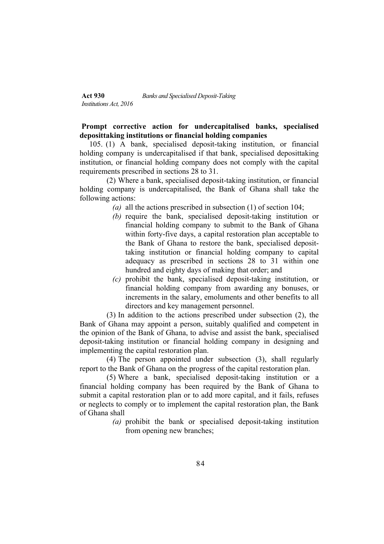# **Prompt corrective action for undercapitalised banks, specialised deposittaking institutions or financial holding companies**

105. (1) A bank, specialised deposit-taking institution, or financial holding company is undercapitalised if that bank, specialised deposittaking institution, or financial holding company does not comply with the capital requirements prescribed in sections 28 to 31.

(2) Where a bank, specialised deposit-taking institution, or financial holding company is undercapitalised, the Bank of Ghana shall take the following actions:

- *(a)* all the actions prescribed in subsection (1) of section 104;
- *(b)* require the bank, specialised deposit-taking institution or financial holding company to submit to the Bank of Ghana within forty-five days, a capital restoration plan acceptable to the Bank of Ghana to restore the bank, specialised deposittaking institution or financial holding company to capital adequacy as prescribed in sections 28 to 31 within one hundred and eighty days of making that order; and
- *(c)* prohibit the bank, specialised deposit-taking institution, or financial holding company from awarding any bonuses, or increments in the salary, emoluments and other benefits to all directors and key management personnel.

(3) In addition to the actions prescribed under subsection (2), the Bank of Ghana may appoint a person, suitably qualified and competent in the opinion of the Bank of Ghana, to advise and assist the bank, specialised deposit-taking institution or financial holding company in designing and implementing the capital restoration plan.

(4) The person appointed under subsection (3), shall regularly report to the Bank of Ghana on the progress of the capital restoration plan.

(5) Where a bank, specialised deposit-taking institution or a financial holding company has been required by the Bank of Ghana to submit a capital restoration plan or to add more capital, and it fails, refuses or neglects to comply or to implement the capital restoration plan, the Bank of Ghana shall

*(a)* prohibit the bank or specialised deposit-taking institution from opening new branches;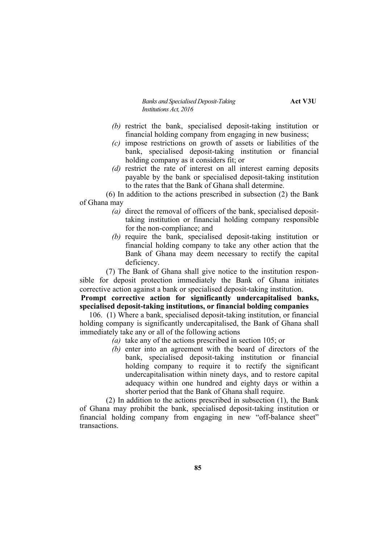*Banks and Specialised Deposit-Taking* **Act V3U** *Institutions Act, 2016*

- *(b)* restrict the bank, specialised deposit-taking institution or financial holding company from engaging in new business;
- *(c)* impose restrictions on growth of assets or liabilities of the bank, specialised deposit-taking institution or financial holding company as it considers fit; or
- *(d)* restrict the rate of interest on all interest earning deposits payable by the bank or specialised deposit-taking institution to the rates that the Bank of Ghana shall determine.

(6) In addition to the actions prescribed in subsection (2) the Bank of Ghana may

- *(a)* direct the removal of officers of the bank, specialised deposittaking institution or financial holding company responsible for the non-compliance; and
- *(b)* require the bank, specialised deposit-taking institution or financial holding company to take any other action that the Bank of Ghana may deem necessary to rectify the capital deficiency.

(7) The Bank of Ghana shall give notice to the institution responsible for deposit protection immediately the Bank of Ghana initiates corrective action against a bank or specialised deposit-taking institution.

**Prompt corrective action for significantly undercapitalised banks, specialised deposit-taking institutions, or financial bolding companies**

106. (1) Where a bank, specialised deposit-taking institution, or financial holding company is significantly undercapitalised, the Bank of Ghana shall immediately take any or all of the following actions

- *(a)* take any of the actions prescribed in section 105; or
- *(b)* enter into an agreement with the board of directors of the bank, specialised deposit-taking institution or financial holding company to require it to rectify the significant undercapitalisation within ninety days, and to restore capital adequacy within one hundred and eighty days or within a shorter period that the Bank of Ghana shall require.

(2) In addition to the actions prescribed in subsection (1), the Bank of Ghana may prohibit the bank, specialised deposit-taking institution or financial holding company from engaging in new "off-balance sheet" transactions.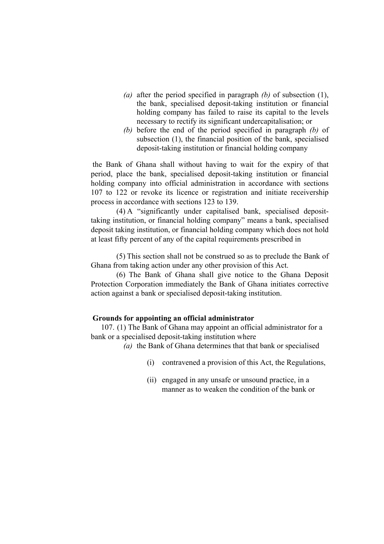- *(a)* after the period specified in paragraph *(b)* of subsection (1), the bank, specialised deposit-taking institution or financial holding company has failed to raise its capital to the levels necessary to rectify its significant undercapitalisation; or
- *(b)* before the end of the period specified in paragraph *(b)* of subsection (1), the financial position of the bank, specialised deposit-taking institution or financial holding company

the Bank of Ghana shall without having to wait for the expiry of that period, place the bank, specialised deposit-taking institution or financial holding company into official administration in accordance with sections 107 to 122 or revoke its licence or registration and initiate receivership process in accordance with sections 123 to 139.

(4) A "significantly under capitalised bank, specialised deposittaking institution, or financial holding company" means a bank, specialised deposit taking institution, or financial holding company which does not hold at least fifty percent of any of the capital requirements prescribed in

(5) This section shall not be construed so as to preclude the Bank of Ghana from taking action under any other provision of this Act.

(6) The Bank of Ghana shall give notice to the Ghana Deposit Protection Corporation immediately the Bank of Ghana initiates corrective action against a bank or specialised deposit-taking institution.

## **Grounds for appointing an official administrator**

107. (1) The Bank of Ghana may appoint an official administrator for a bank or a specialised deposit-taking institution where

*(a)* the Bank of Ghana determines that that bank or specialised

- (i) contravened a provision of this Act, the Regulations,
- (ii) engaged in any unsafe or unsound practice, in a manner as to weaken the condition of the bank or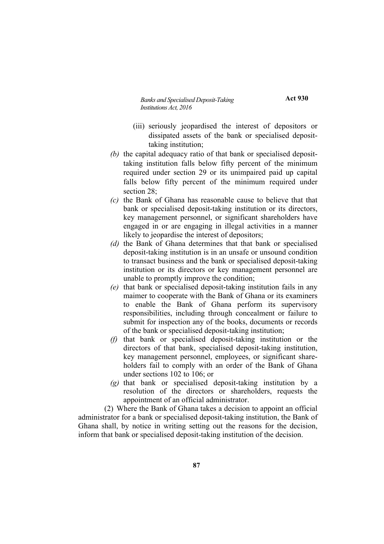*Banks and Specialised Deposit-Taking* **Act 930** *Institutions Act, 2016*

- (iii) seriously jeopardised the interest of depositors or dissipated assets of the bank or specialised deposittaking institution;
- *(b)* the capital adequacy ratio of that bank or specialised deposittaking institution falls below fifty percent of the minimum required under section 29 or its unimpaired paid up capital falls below fifty percent of the minimum required under section 28;
- *(c)* the Bank of Ghana has reasonable cause to believe that that bank or specialised deposit-taking institution or its directors, key management personnel, or significant shareholders have engaged in or are engaging in illegal activities in a manner likely to jeopardise the interest of depositors;
- *(d)* the Bank of Ghana determines that that bank or specialised deposit-taking institution is in an unsafe or unsound condition to transact business and the bank or specialised deposit-taking institution or its directors or key management personnel are unable to promptly improve the condition;
- *(e)* that bank or specialised deposit-taking institution fails in any maimer to cooperate with the Bank of Ghana or its examiners to enable the Bank of Ghana perform its supervisory responsibilities, including through concealment or failure to submit for inspection any of the books, documents or records of the bank or specialised deposit-taking institution;
- *(f)* that bank or specialised deposit-taking institution or the directors of that bank, specialised deposit-taking institution, key management personnel, employees, or significant shareholders fail to comply with an order of the Bank of Ghana under sections 102 to 106; or
- *(g)* that bank or specialised deposit-taking institution by a resolution of the directors or shareholders, requests the appointment of an official administrator.

(2) Where the Bank of Ghana takes a decision to appoint an official administrator for a bank or specialised deposit-taking institution, the Bank of Ghana shall, by notice in writing setting out the reasons for the decision, inform that bank or specialised deposit-taking institution of the decision.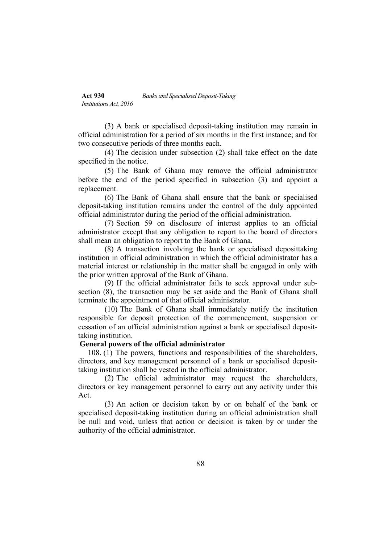(3) A bank or specialised deposit-taking institution may remain in official administration for a period of six months in the first instance; and for two consecutive periods of three months each.

(4) The decision under subsection (2) shall take effect on the date specified in the notice.

(5) The Bank of Ghana may remove the official administrator before the end of the period specified in subsection (3) and appoint a replacement.

(6) The Bank of Ghana shall ensure that the bank or specialised deposit-taking institution remains under the control of the duly appointed official administrator during the period of the official administration.

(7) Section 59 on disclosure of interest applies to an official administrator except that any obligation to report to the board of directors shall mean an obligation to report to the Bank of Ghana.

(8) A transaction involving the bank or specialised deposittaking institution in official administration in which the official administrator has a material interest or relationship in the matter shall be engaged in only with the prior written approval of the Bank of Ghana.

(9) If the official administrator fails to seek approval under subsection (8), the transaction may be set aside and the Bank of Ghana shall terminate the appointment of that official administrator.

(10) The Bank of Ghana shall immediately notify the institution responsible for deposit protection of the commencement, suspension or cessation of an official administration against a bank or specialised deposittaking institution.

## **General powers of the official administrator**

108. (1) The powers, functions and responsibilities of the shareholders, directors, and key management personnel of a bank or specialised deposittaking institution shall be vested in the official administrator.

(2) The official administrator may request the shareholders, directors or key management personnel to carry out any activity under this Act.

(3) An action or decision taken by or on behalf of the bank or specialised deposit-taking institution during an official administration shall be null and void, unless that action or decision is taken by or under the authority of the official administrator.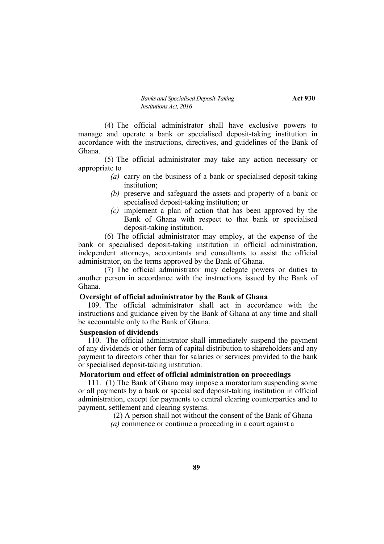#### *Banks and Specialised Deposit-Taking* **Act 930** *Institutions Act, 2016*

(4) The official administrator shall have exclusive powers to manage and operate a bank or specialised deposit-taking institution in accordance with the instructions, directives, and guidelines of the Bank of Ghana.

(5) The official administrator may take any action necessary or appropriate to

- *(a)* carry on the business of a bank or specialised deposit-taking institution;
- *(b)* preserve and safeguard the assets and property of a bank or specialised deposit-taking institution; or
- *(c)* implement a plan of action that has been approved by the Bank of Ghana with respect to that bank or specialised deposit-taking institution.

(6) The official administrator may employ, at the expense of the bank or specialised deposit-taking institution in official administration, independent attorneys, accountants and consultants to assist the official administrator, on the terms approved by the Bank of Ghana.

(7) The official administrator may delegate powers or duties to another person in accordance with the instructions issued by the Bank of Ghana.

### **Oversight of official administrator by the Bank of Ghana**

109. The official administrator shall act in accordance with the instructions and guidance given by the Bank of Ghana at any time and shall be accountable only to the Bank of Ghana.

### **Suspension of dividends**

110. The official administrator shall immediately suspend the payment of any dividends or other form of capital distribution to shareholders and any payment to directors other than for salaries or services provided to the bank or specialised deposit-taking institution.

### **Moratorium and effect of official administration on proceedings**

111. (1) The Bank of Ghana may impose a moratorium suspending some or all payments by a bank or specialised deposit-taking institution in official administration, except for payments to central clearing counterparties and to payment, settlement and clearing systems.

> (2) A person shall not without the consent of the Bank of Ghana *(a)* commence or continue a proceeding in a court against a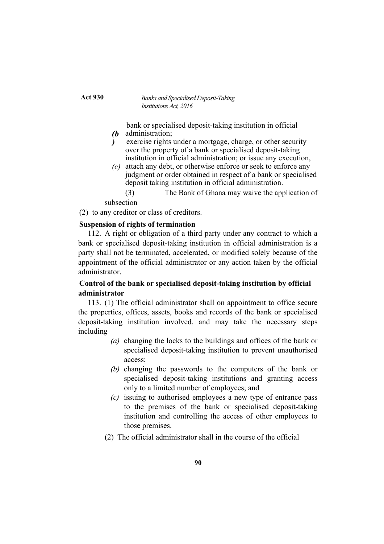*(b* bank or specialised deposit-taking institution in official administration;

- *)* exercise rights under a mortgage, charge, or other security over the property of a bank or specialised deposit-taking institution in official administration; or issue any execution,
- *(c)* attach any debt, or otherwise enforce or seek to enforce any judgment or order obtained in respect of a bank or specialised deposit taking institution in official administration.

(3) The Bank of Ghana may waive the application of subsection

(2) to any creditor or class of creditors.

## **Suspension of rights of termination**

112. A right or obligation of a third party under any contract to which a bank or specialised deposit-taking institution in official administration is a party shall not be terminated, accelerated, or modified solely because of the appointment of the official administrator or any action taken by the official administrator.

# **Control of the bank or specialised deposit-taking institution by official administrator**

113. (1) The official administrator shall on appointment to office secure the properties, offices, assets, books and records of the bank or specialised deposit-taking institution involved, and may take the necessary steps including

- *(a)* changing the locks to the buildings and offices of the bank or specialised deposit-taking institution to prevent unauthorised access;
- *(b)* changing the passwords to the computers of the bank or specialised deposit-taking institutions and granting access only to a limited number of employees; and
- *(c)* issuing to authorised employees a new type of entrance pass to the premises of the bank or specialised deposit-taking institution and controlling the access of other employees to those premises.
- (2) The official administrator shall in the course of the official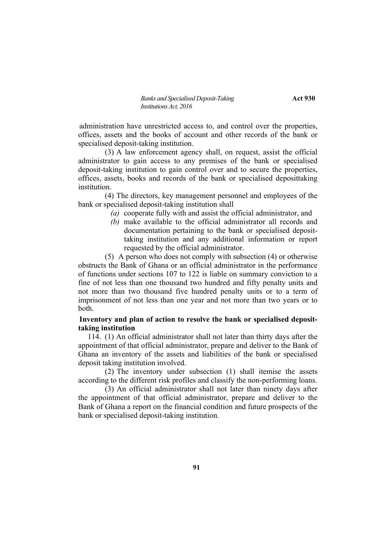*Banks and Specialised Deposit-Taking* **Act 930** *Institutions Act, 2016*

administration have unrestricted access to, and control over the properties, offices, assets and the books of account and other records of the bank or specialised deposit-taking institution.

(3) A law enforcement agency shall, on request, assist the official administrator to gain access to any premises of the bank or specialised deposit-taking institution to gain control over and to secure the properties, offices, assets, books and records of the bank or specialised deposittaking institution.

(4) The directors, key management personnel and employees of the bank or specialised deposit-taking institution shall

- *(a)* cooperate fully with and assist the official administrator, and
- *(b)* make available to the official administrator all records and documentation pertaining to the bank or specialised deposittaking institution and any additional information or report requested by the official administrator.

(5) A person who does not comply with subsection (4) or otherwise obstructs the Bank of Ghana or an official administrator in the performance of functions under sections 107 to 122 is liable on summary conviction to a fine of not less than one thousand two hundred and fifty penalty units and not more than two thousand five hundred penalty units or to a term of imprisonment of not less than one year and not more than two years or to both.

## **Inventory and plan of action to resolve the bank or specialised deposittaking institution**

114. (1) An official administrator shall not later than thirty days after the appointment of that official administrator, prepare and deliver to the Bank of Ghana an inventory of the assets and liabilities of the bank or specialised deposit taking institution involved.

(2) The inventory under subsection (1) shall itemise the assets according to the different risk profiles and classify the non-performing loans.

(3) An official administrator shall not later than ninety days after the appointment of that official administrator, prepare and deliver to the Bank of Ghana a report on the financial condition and future prospects of the bank or specialised deposit-taking institution.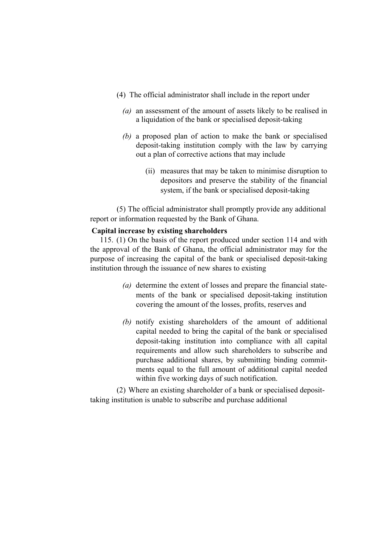- (4) The official administrator shall include in the report under
	- *(a)* an assessment of the amount of assets likely to be realised in a liquidation of the bank or specialised deposit-taking
	- *(b)* a proposed plan of action to make the bank or specialised deposit-taking institution comply with the law by carrying out a plan of corrective actions that may include
		- (ii) measures that may be taken to minimise disruption to depositors and preserve the stability of the financial system, if the bank or specialised deposit-taking

(5) The official administrator shall promptly provide any additional report or information requested by the Bank of Ghana.

### **Capital increase by existing shareholders**

115. (1) On the basis of the report produced under section 114 and with the approval of the Bank of Ghana, the official administrator may for the purpose of increasing the capital of the bank or specialised deposit-taking institution through the issuance of new shares to existing

- *(a)* determine the extent of losses and prepare the financial statements of the bank or specialised deposit-taking institution covering the amount of the losses, profits, reserves and
- *(b)* notify existing shareholders of the amount of additional capital needed to bring the capital of the bank or specialised deposit-taking institution into compliance with all capital requirements and allow such shareholders to subscribe and purchase additional shares, by submitting binding commitments equal to the full amount of additional capital needed within five working days of such notification.

(2) Where an existing shareholder of a bank or specialised deposittaking institution is unable to subscribe and purchase additional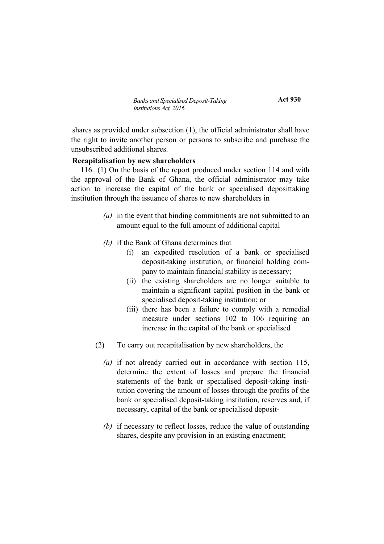**Act 930**

shares as provided under subsection (1), the official administrator shall have the right to invite another person or persons to subscribe and purchase the unsubscribed additional shares.

### **Recapitalisation by new shareholders**

116. (1) On the basis of the report produced under section 114 and with the approval of the Bank of Ghana, the official administrator may take action to increase the capital of the bank or specialised deposittaking institution through the issuance of shares to new shareholders in

- *(a)* in the event that binding commitments are not submitted to an amount equal to the full amount of additional capital
- *(b)* if the Bank of Ghana determines that
	- (i) an expedited resolution of a bank or specialised deposit-taking institution, or financial holding company to maintain financial stability is necessary;
	- (ii) the existing shareholders are no longer suitable to maintain a significant capital position in the bank or specialised deposit-taking institution; or
	- (iii) there has been a failure to comply with a remedial measure under sections 102 to 106 requiring an increase in the capital of the bank or specialised
- (2) To carry out recapitalisation by new shareholders, the
	- *(a)* if not already carried out in accordance with section 115, determine the extent of losses and prepare the financial statements of the bank or specialised deposit-taking institution covering the amount of losses through the profits of the bank or specialised deposit-taking institution, reserves and, if necessary, capital of the bank or specialised deposit-
	- *(b)* if necessary to reflect losses, reduce the value of outstanding shares, despite any provision in an existing enactment;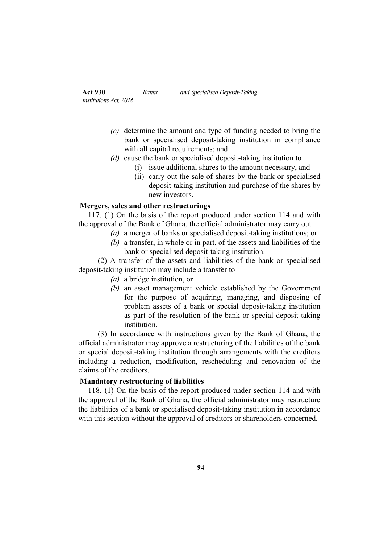- *(c)* determine the amount and type of funding needed to bring the bank or specialised deposit-taking institution in compliance with all capital requirements; and
- *(d)* cause the bank or specialised deposit-taking institution to
	- (i) issue additional shares to the amount necessary, and
	- (ii) carry out the sale of shares by the bank or specialised deposit-taking institution and purchase of the shares by new investors.

### **Mergers, sales and other restructurings**

117. (1) On the basis of the report produced under section 114 and with the approval of the Bank of Ghana, the official administrator may carry out

- *(a)* a merger of banks or specialised deposit-taking institutions; or
- *(b)* a transfer, in whole or in part, of the assets and liabilities of the bank or specialised deposit-taking institution.

(2) A transfer of the assets and liabilities of the bank or specialised deposit-taking institution may include a transfer to

- *(a)* a bridge institution, or
- *(b)* an asset management vehicle established by the Government for the purpose of acquiring, managing, and disposing of problem assets of a bank or special deposit-taking institution as part of the resolution of the bank or special deposit-taking institution.

(3) In accordance with instructions given by the Bank of Ghana, the official administrator may approve a restructuring of the liabilities of the bank or special deposit-taking institution through arrangements with the creditors including a reduction, modification, rescheduling and renovation of the claims of the creditors.

## **Mandatory restructuring of liabilities**

118. (1) On the basis of the report produced under section 114 and with the approval of the Bank of Ghana, the official administrator may restructure the liabilities of a bank or specialised deposit-taking institution in accordance with this section without the approval of creditors or shareholders concerned.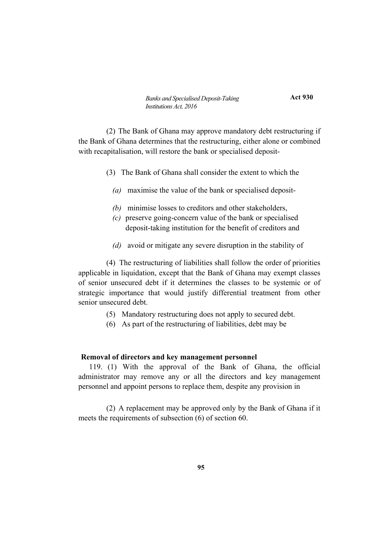**Act 930**

(2) The Bank of Ghana may approve mandatory debt restructuring if the Bank of Ghana determines that the restructuring, either alone or combined with recapitalisation, will restore the bank or specialised deposit-

- (3) The Bank of Ghana shall consider the extent to which the
	- *(a)* maximise the value of the bank or specialised deposit-
	- *(b)* minimise losses to creditors and other stakeholders,
	- *(c)* preserve going-concern value of the bank or specialised deposit-taking institution for the benefit of creditors and
	- *(d)* avoid or mitigate any severe disruption in the stability of

(4) The restructuring of liabilities shall follow the order of priorities applicable in liquidation, except that the Bank of Ghana may exempt classes of senior unsecured debt if it determines the classes to be systemic or of strategic importance that would justify differential treatment from other senior unsecured debt.

- (5) Mandatory restructuring does not apply to secured debt.
- (6) As part of the restructuring of liabilities, debt may be

### **Removal of directors and key management personnel**

119. (1) With the approval of the Bank of Ghana, the official administrator may remove any or all the directors and key management personnel and appoint persons to replace them, despite any provision in

(2) A replacement may be approved only by the Bank of Ghana if it meets the requirements of subsection (6) of section 60.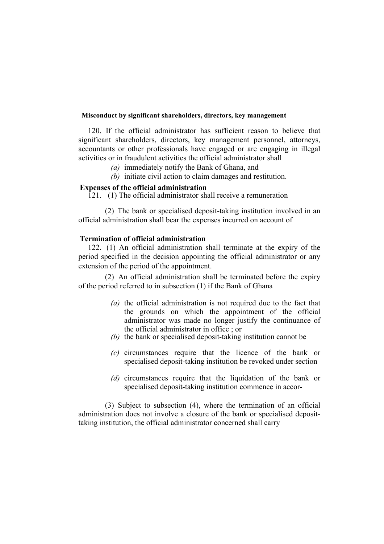### **Misconduct by significant shareholders, directors, key management**

120. If the official administrator has sufficient reason to believe that significant shareholders, directors, key management personnel, attorneys, accountants or other professionals have engaged or are engaging in illegal activities or in fraudulent activities the official administrator shall

- *(a)* immediately notify the Bank of Ghana, and
- *(b)* initiate civil action to claim damages and restitution.

## **Expenses of the official administration**

121. (1) The official administrator shall receive a remuneration

(2) The bank or specialised deposit-taking institution involved in an official administration shall bear the expenses incurred on account of

## **Termination of official administration**

122. (1) An official administration shall terminate at the expiry of the period specified in the decision appointing the official administrator or any extension of the period of the appointment.

(2) An official administration shall be terminated before the expiry of the period referred to in subsection (1) if the Bank of Ghana

- *(a)* the official administration is not required due to the fact that the grounds on which the appointment of the official administrator was made no longer justify the continuance of the official administrator in office ; or
- *(b)* the bank or specialised deposit-taking institution cannot be
- *(c)* circumstances require that the licence of the bank or specialised deposit-taking institution be revoked under section
- *(d)* circumstances require that the liquidation of the bank or specialised deposit-taking institution commence in accor-

(3) Subject to subsection (4), where the termination of an official administration does not involve a closure of the bank or specialised deposittaking institution, the official administrator concerned shall carry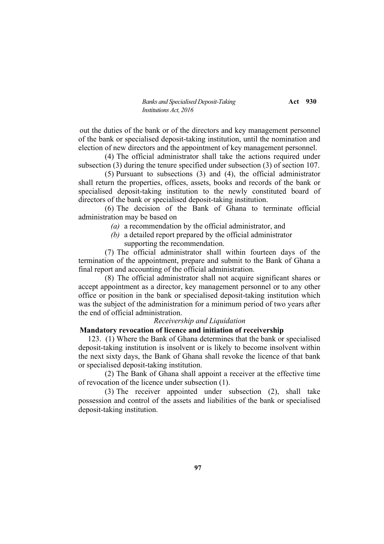*Banks and Specialised Deposit-Taking* **Act** 930 *Institutions Act, 2016*

out the duties of the bank or of the directors and key management personnel of the bank or specialised deposit-taking institution, until the nomination and election of new directors and the appointment of key management personnel.

(4) The official administrator shall take the actions required under subsection (3) during the tenure specified under subsection (3) of section 107.

(5) Pursuant to subsections (3) and (4), the official administrator shall return the properties, offices, assets, books and records of the bank or specialised deposit-taking institution to the newly constituted board of directors of the bank or specialised deposit-taking institution.

(6) The decision of the Bank of Ghana to terminate official administration may be based on

- *(a)* a recommendation by the official administrator, and
- *(b)* a detailed report prepared by the official administrator supporting the recommendation.

(7) The official administrator shall within fourteen days of the termination of the appointment, prepare and submit to the Bank of Ghana a final report and accounting of the official administration.

(8) The official administrator shall not acquire significant shares or accept appointment as a director, key management personnel or to any other office or position in the bank or specialised deposit-taking institution which was the subject of the administration for a minimum period of two years after the end of official administration.

### *Receivership and Liquidation*

### **Mandatory revocation of licence and initiation of receivership**

123. (1) Where the Bank of Ghana determines that the bank or specialised deposit-taking institution is insolvent or is likely to become insolvent within the next sixty days, the Bank of Ghana shall revoke the licence of that bank or specialised deposit-taking institution.

(2) The Bank of Ghana shall appoint a receiver at the effective time of revocation of the licence under subsection (1).

(3) The receiver appointed under subsection (2), shall take possession and control of the assets and liabilities of the bank or specialised deposit-taking institution.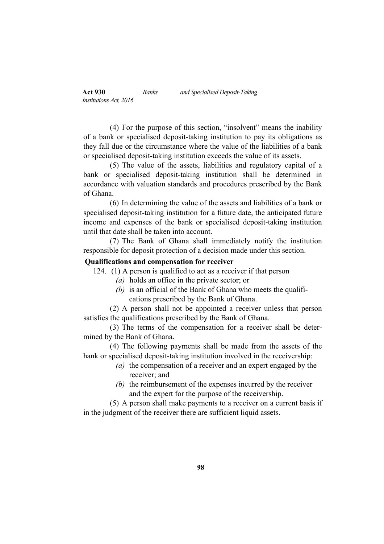(4) For the purpose of this section, "insolvent" means the inability of a bank or specialised deposit-taking institution to pay its obligations as they fall due or the circumstance where the value of the liabilities of a bank or specialised deposit-taking institution exceeds the value of its assets.

(5) The value of the assets, liabilities and regulatory capital of a bank or specialised deposit-taking institution shall be determined in accordance with valuation standards and procedures prescribed by the Bank of Ghana.

(6) In determining the value of the assets and liabilities of a bank or specialised deposit-taking institution for a future date, the anticipated future income and expenses of the bank or specialised deposit-taking institution until that date shall be taken into account.

(7) The Bank of Ghana shall immediately notify the institution responsible for deposit protection of a decision made under this section.

## **Qualifications and compensation for receiver**

124. (1) A person is qualified to act as a receiver if that person

- *(a)* holds an office in the private sector; or
- *(b)* is an official of the Bank of Ghana who meets the qualifications prescribed by the Bank of Ghana.

(2) A person shall not be appointed a receiver unless that person satisfies the qualifications prescribed by the Bank of Ghana.

(3) The terms of the compensation for a receiver shall be determined by the Bank of Ghana.

(4) The following payments shall be made from the assets of the hank or specialised deposit-taking institution involved in the receivership:

- *(a)* the compensation of a receiver and an expert engaged by the receiver; and
- *(b)* the reimbursement of the expenses incurred by the receiver and the expert for the purpose of the receivership.

(5) A person shall make payments to a receiver on a current basis if in the judgment of the receiver there are sufficient liquid assets.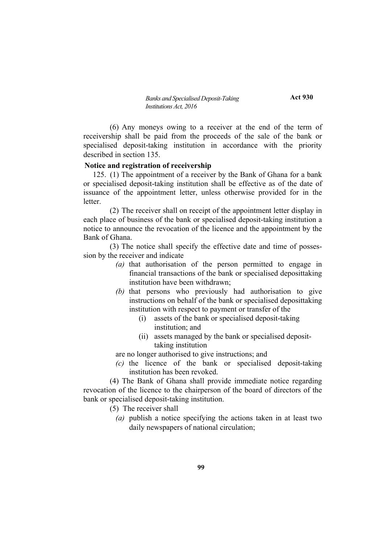**Act 930**

(6) Any moneys owing to a receiver at the end of the term of receivership shall be paid from the proceeds of the sale of the bank or specialised deposit-taking institution in accordance with the priority described in section 135.

### **Notice and registration of receivership**

125. (1) The appointment of a receiver by the Bank of Ghana for a bank or specialised deposit-taking institution shall be effective as of the date of issuance of the appointment letter, unless otherwise provided for in the letter.

(2) The receiver shall on receipt of the appointment letter display in each place of business of the bank or specialised deposit-taking institution a notice to announce the revocation of the licence and the appointment by the Bank of Ghana.

(3) The notice shall specify the effective date and time of possession by the receiver and indicate

- *(a)* that authorisation of the person permitted to engage in financial transactions of the bank or specialised deposittaking institution have been withdrawn;
- *(b)* that persons who previously had authorisation to give instructions on behalf of the bank or specialised deposittaking institution with respect to payment or transfer of the
	- (i) assets of the bank or specialised deposit-taking institution; and
	- (ii) assets managed by the bank or specialised deposittaking institution

are no longer authorised to give instructions; and

*(c)* the licence of the bank or specialised deposit-taking institution has been revoked.

(4) The Bank of Ghana shall provide immediate notice regarding revocation of the licence to the chairperson of the board of directors of the bank or specialised deposit-taking institution.

(5) The receiver shall

*(a)* publish a notice specifying the actions taken in at least two daily newspapers of national circulation;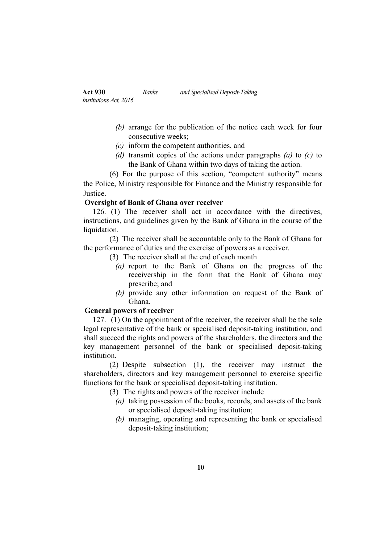- *(b)* arrange for the publication of the notice each week for four consecutive weeks;
- *(c)* inform the competent authorities, and
- *(d)* transmit copies of the actions under paragraphs *(a)* to *(c)* to the Bank of Ghana within two days of taking the action.

(6) For the purpose of this section, "competent authority" means the Police, Ministry responsible for Finance and the Ministry responsible for **Justice** 

## **Oversight of Bank of Ghana over receiver**

126. (1) The receiver shall act in accordance with the directives, instructions, and guidelines given by the Bank of Ghana in the course of the liquidation.

(2) The receiver shall be accountable only to the Bank of Ghana for the performance of duties and the exercise of powers as a receiver.

- (3) The receiver shall at the end of each month
	- *(a)* report to the Bank of Ghana on the progress of the receivership in the form that the Bank of Ghana may prescribe; and
	- *(b)* provide any other information on request of the Bank of Ghana.

# **General powers of receiver**

127. (1) On the appointment of the receiver, the receiver shall be the sole legal representative of the bank or specialised deposit-taking institution, and shall succeed the rights and powers of the shareholders, the directors and the key management personnel of the bank or specialised deposit-taking **institution** 

(2) Despite subsection (1), the receiver may instruct the shareholders, directors and key management personnel to exercise specific functions for the bank or specialised deposit-taking institution.

- (3) The rights and powers of the receiver include
	- *(a)* taking possession of the books, records, and assets of the bank or specialised deposit-taking institution;
	- *(b)* managing, operating and representing the bank or specialised deposit-taking institution;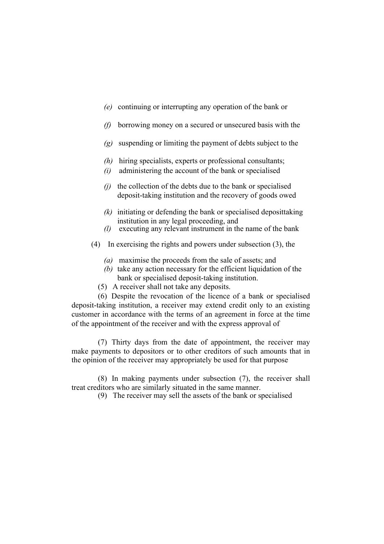- *(e)* continuing or interrupting any operation of the bank or
- *(f)* borrowing money on a secured or unsecured basis with the
- *(g)* suspending or limiting the payment of debts subject to the
- *(h)* hiring specialists, experts or professional consultants;
- *(i)* administering the account of the bank or specialised
- *(j)* the collection of the debts due to the bank or specialised deposit-taking institution and the recovery of goods owed
- *(k)* initiating or defending the bank or specialised deposittaking institution in any legal proceeding, and
- *(l)* executing any relevant instrument in the name of the bank
- (4) In exercising the rights and powers under subsection (3), the
	- *(a)* maximise the proceeds from the sale of assets; and
	- *(b)* take any action necessary for the efficient liquidation of the bank or specialised deposit-taking institution.
	- (5) A receiver shall not take any deposits.

(6) Despite the revocation of the licence of a bank or specialised deposit-taking institution, a receiver may extend credit only to an existing customer in accordance with the terms of an agreement in force at the time of the appointment of the receiver and with the express approval of

(7) Thirty days from the date of appointment, the receiver may make payments to depositors or to other creditors of such amounts that in the opinion of the receiver may appropriately be used for that purpose

(8) In making payments under subsection (7), the receiver shall treat creditors who are similarly situated in the same manner.

(9) The receiver may sell the assets of the bank or specialised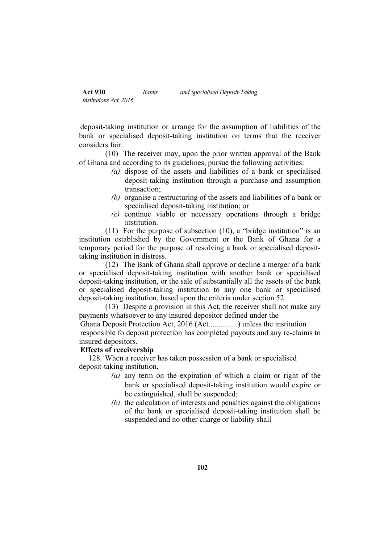| <b>Act 930</b>         | Banks | and Specialised Deposit-Taking |
|------------------------|-------|--------------------------------|
| Institutions Act, 2016 |       |                                |

deposit-taking institution or arrange for the assumption of liabilities of the bank or specialised deposit-taking institution on terms that the receiver considers fair.

(10) The receiver may, upon the prior written approval of the Bank of Ghana and according to its guidelines, pursue the following activities:

- *(a)* dispose of the assets and liabilities of a bank or specialised deposit-taking institution through a purchase and assumption transaction;
- *(b)* organise a restructuring of the assets and liabilities of a bank or specialised deposit-taking institution; or
- *(c)* continue viable or necessary operations through a bridge institution.

(11) For the purpose of subsection (10), a "bridge institution" is an institution established by the Government or the Bank of Ghana for a temporary period for the purpose of resolving a bank or specialised deposittaking institution in distress.

(12) The Bank of Ghana shall approve or decline a merger of a bank or specialised deposit-taking institution with another bank or specialised deposit-taking institution, or the sale of substantially all the assets of the bank or specialised deposit-taking institution to any one bank or specialised deposit-taking institution, based upon the criteria under section 52.

(13) Despite a provision in this Act, the receiver shall not make any payments whatsoever to any insured depositor defined under the

Ghana Deposit Protection Act, 2016 (Act...............) unless the institution responsible fo deposit protection has completed payouts and any re-claims to insured depositors.

# **Effects of receivership**

128. When a receiver has taken possession of a bank or specialised deposit-taking institution,

- *(a)* any term on the expiration of which a claim or right of the bank or specialised deposit-taking institution would expire or be extinguished, shall be suspended;
- *(b)* the calculation of interests and penalties against the obligations of the bank or specialised deposit-taking institution shall be suspended and no other charge or liability shall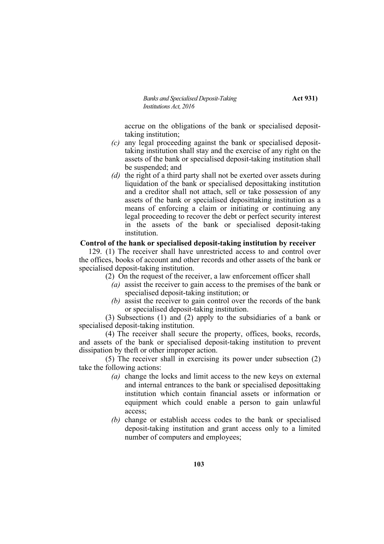*Banks and Specialised Deposit-Taking* **Act 931** *Institutions Act, 2016*

accrue on the obligations of the bank or specialised deposittaking institution;

- *(c)* any legal proceeding against the bank or specialised deposittaking institution shall stay and the exercise of any right on the assets of the bank or specialised deposit-taking institution shall be suspended; and
- *(d)* the right of a third party shall not be exerted over assets during liquidation of the bank or specialised deposittaking institution and a creditor shall not attach, sell or take possession of any assets of the bank or specialised deposittaking institution as a means of enforcing a claim or initiating or continuing any legal proceeding to recover the debt or perfect security interest in the assets of the bank or specialised deposit-taking institution.

### **Control of the hank or specialised deposit-taking institution by receiver**

129. (1) The receiver shall have unrestricted access to and control over the offices, books of account and other records and other assets of the bank or specialised deposit-taking institution.

- (2) On the request of the receiver, a law enforcement officer shall
	- *(a)* assist the receiver to gain access to the premises of the bank or specialised deposit-taking institution; or
	- *(b)* assist the receiver to gain control over the records of the bank or specialised deposit-taking institution.

(3) Subsections (1) and (2) apply to the subsidiaries of a bank or specialised deposit-taking institution.

(4) The receiver shall secure the property, offices, books, records, and assets of the bank or specialised deposit-taking institution to prevent dissipation by theft or other improper action.

(5) The receiver shall in exercising its power under subsection (2) take the following actions:

- *(a)* change the locks and limit access to the new keys on external and internal entrances to the bank or specialised deposittaking institution which contain financial assets or information or equipment which could enable a person to gain unlawful access;
- *(b)* change or establish access codes to the bank or specialised deposit-taking institution and grant access only to a limited number of computers and employees;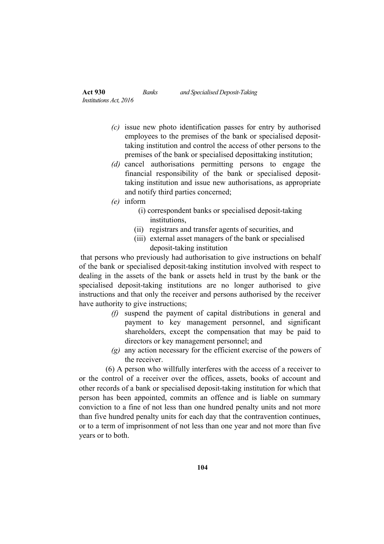- *(c)* issue new photo identification passes for entry by authorised employees to the premises of the bank or specialised deposittaking institution and control the access of other persons to the premises of the bank or specialised deposittaking institution;
- *(d)* cancel authorisations permitting persons to engage the financial responsibility of the bank or specialised deposittaking institution and issue new authorisations, as appropriate and notify third parties concerned;
- *(e)* inform
	- (i) correspondent banks or specialised deposit-taking **institutions**
	- (ii) registrars and transfer agents of securities, and
	- (iii) external asset managers of the bank or specialised deposit-taking institution

that persons who previously had authorisation to give instructions on behalf of the bank or specialised deposit-taking institution involved with respect to dealing in the assets of the bank or assets held in trust by the bank or the specialised deposit-taking institutions are no longer authorised to give instructions and that only the receiver and persons authorised by the receiver have authority to give instructions;

- *(f)* suspend the payment of capital distributions in general and payment to key management personnel, and significant shareholders, except the compensation that may be paid to directors or key management personnel; and
- *(g)* any action necessary for the efficient exercise of the powers of the receiver.

(6) A person who willfully interferes with the access of a receiver to or the control of a receiver over the offices, assets, books of account and other records of a bank or specialised deposit-taking institution for which that person has been appointed, commits an offence and is liable on summary conviction to a fine of not less than one hundred penalty units and not more than five hundred penalty units for each day that the contravention continues, or to a term of imprisonment of not less than one year and not more than five years or to both.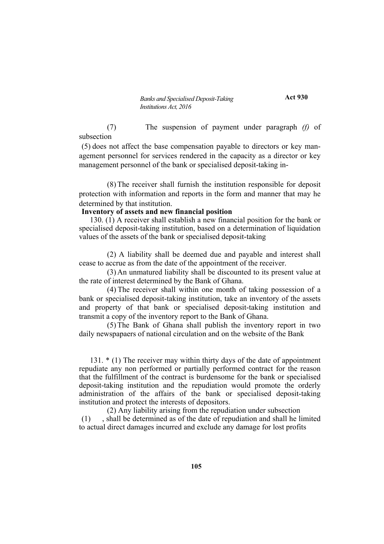**Act 930**

(7) The suspension of payment under paragraph *(f)* of subsection

(5) does not affect the base compensation payable to directors or key management personnel for services rendered in the capacity as a director or key management personnel of the bank or specialised deposit-taking in-

(8) The receiver shall furnish the institution responsible for deposit protection with information and reports in the form and manner that may he determined by that institution.

## **Inventory of assets and new financial position**

130. (1) A receiver shall establish a new financial position for the bank or specialised deposit-taking institution, based on a determination of liquidation values of the assets of the bank or specialised deposit-taking

(2) A liability shall be deemed due and payable and interest shall cease to accrue as from the date of the appointment of the receiver.

(3) An unmatured liability shall be discounted to its present value at the rate of interest determined by the Bank of Ghana.

(4) The receiver shall within one month of taking possession of a bank or specialised deposit-taking institution, take an inventory of the assets and property of that bank or specialised deposit-taking institution and transmit a copy of the inventory report to the Bank of Ghana.

(5) The Bank of Ghana shall publish the inventory report in two daily newspapaers of national circulation and on the website of the Bank

131. \* (1) The receiver may within thirty days of the date of appointment repudiate any non performed or partially performed contract for the reason that the fulfillment of the contract is burdensome for the bank or specialised deposit-taking institution and the repudiation would promote the orderly administration of the affairs of the bank or specialised deposit-taking institution and protect the interests of depositors.

(2) Any liability arising from the repudiation under subsection (1) , shall be determined as of the date of repudiation and shall he limited to actual direct damages incurred and exclude any damage for lost profits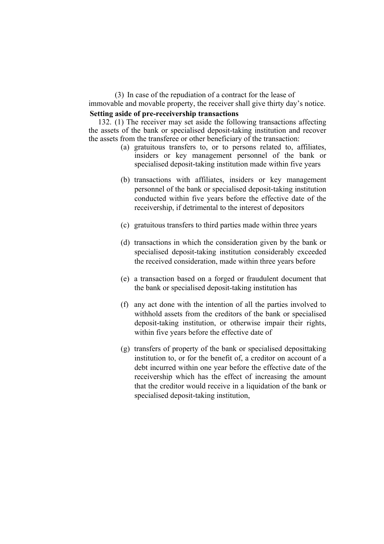(3) In case of the repudiation of a contract for the lease of immovable and movable property, the receiver shall give thirty day's notice. **Setting aside of pre-receivership transactions**

132. (1) The receiver may set aside the following transactions affecting the assets of the bank or specialised deposit-taking institution and recover the assets from the transferee or other beneficiary of the transaction:

- (a) gratuitous transfers to, or to persons related to, affiliates, insiders or key management personnel of the bank or specialised deposit-taking institution made within five years
- (b) transactions with affiliates, insiders or key management personnel of the bank or specialised deposit-taking institution conducted within five years before the effective date of the receivership, if detrimental to the interest of depositors
- (c) gratuitous transfers to third parties made within three years
- (d) transactions in which the consideration given by the bank or specialised deposit-taking institution considerably exceeded the received consideration, made within three years before
- (e) a transaction based on a forged or fraudulent document that the bank or specialised deposit-taking institution has
- (f) any act done with the intention of all the parties involved to withhold assets from the creditors of the bank or specialised deposit-taking institution, or otherwise impair their rights, within five years before the effective date of
- (g) transfers of property of the bank or specialised deposittaking institution to, or for the benefit of, a creditor on account of a debt incurred within one year before the effective date of the receivership which has the effect of increasing the amount that the creditor would receive in a liquidation of the bank or specialised deposit-taking institution,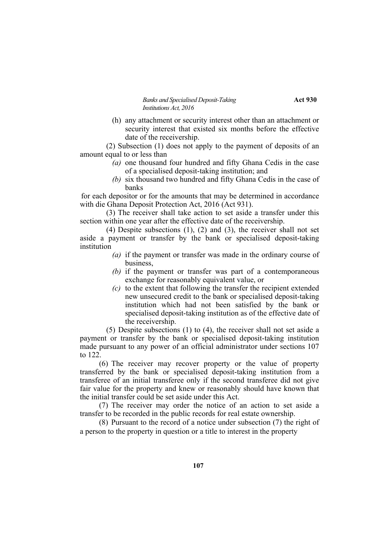*Banks and Specialised Deposit-Taking* **Act 930** *Institutions Act, 2016*

(h) any attachment or security interest other than an attachment or security interest that existed six months before the effective date of the receivership.

(2) Subsection (1) does not apply to the payment of deposits of an amount equal to or less than

- *(a)* one thousand four hundred and fifty Ghana Cedis in the case of a specialised deposit-taking institution; and
- *(b)* six thousand two hundred and fifty Ghana Cedis in the case of banks

for each depositor or for the amounts that may be determined in accordance with die Ghana Deposit Protection Act, 2016 (Act 931).

(3) The receiver shall take action to set aside a transfer under this section within one year after the effective date of the receivership.

(4) Despite subsections (1), (2) and (3), the receiver shall not set aside a payment or transfer by the bank or specialised deposit-taking institution

- *(a)* if the payment or transfer was made in the ordinary course of business,
- *(b)* if the payment or transfer was part of a contemporaneous exchange for reasonably equivalent value, or
- *(c)* to the extent that following the transfer the recipient extended new unsecured credit to the bank or specialised deposit-taking institution which had not been satisfied by the bank or specialised deposit-taking institution as of the effective date of the receivership.

(5) Despite subsections (1) to (4), the receiver shall not set aside a payment or transfer by the bank or specialised deposit-taking institution made pursuant to any power of an official administrator under sections 107 to 122.

(6) The receiver may recover property or the value of property transferred by the bank or specialised deposit-taking institution from a transferee of an initial transferee only if the second transferee did not give fair value for the property and knew or reasonably should have known that the initial transfer could be set aside under this Act.

(7) The receiver may order the notice of an action to set aside a transfer to be recorded in the public records for real estate ownership.

(8) Pursuant to the record of a notice under subsection (7) the right of a person to the property in question or a title to interest in the property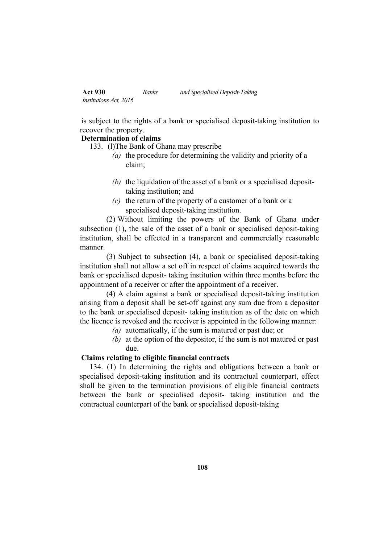| <b>Act 930</b>         | Banks | and Specialised Deposit-Taking |
|------------------------|-------|--------------------------------|
| Institutions Act, 2016 |       |                                |

is subject to the rights of a bank or specialised deposit-taking institution to recover the property.

# **Determination of claims**

133. (l)The Bank of Ghana may prescribe

- *(a)* the procedure for determining the validity and priority of a claim;
- *(b)* the liquidation of the asset of a bank or a specialised deposittaking institution; and
- *(c)* the return of the property of a customer of a bank or a specialised deposit-taking institution.

(2) Without limiting the powers of the Bank of Ghana under subsection (1), the sale of the asset of a bank or specialised deposit-taking institution, shall be effected in a transparent and commercially reasonable manner.

(3) Subject to subsection (4), a bank or specialised deposit-taking institution shall not allow a set off in respect of claims acquired towards the bank or specialised deposit- taking institution within three months before the appointment of a receiver or after the appointment of a receiver.

(4) A claim against a bank or specialised deposit-taking institution arising from a deposit shall be set-off against any sum due from a depositor to the bank or specialised deposit- taking institution as of the date on which the licence is revoked and the receiver is appointed in the following manner:

- *(a)* automatically, if the sum is matured or past due; or
- *(b)* at the option of the depositor, if the sum is not matured or past due.

# **Claims relating to eligible financial contracts**

134. (1) In determining the rights and obligations between a bank or specialised deposit-taking institution and its contractual counterpart, effect shall be given to the termination provisions of eligible financial contracts between the bank or specialised deposit- taking institution and the contractual counterpart of the bank or specialised deposit-taking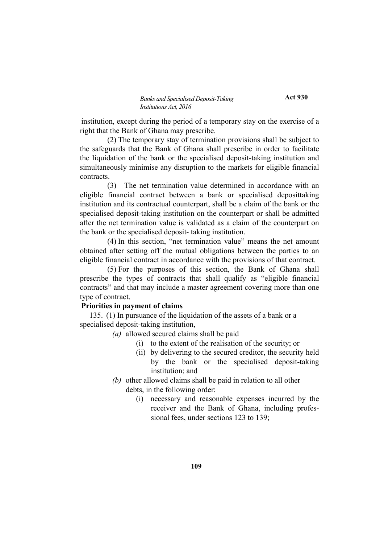**Act 930**

institution, except during the period of a temporary stay on the exercise of a right that the Bank of Ghana may prescribe.

(2) The temporary stay of termination provisions shall be subject to the safeguards that the Bank of Ghana shall prescribe in order to facilitate the liquidation of the bank or the specialised deposit-taking institution and simultaneously minimise any disruption to the markets for eligible financial contracts.

(3) The net termination value determined in accordance with an eligible financial contract between a bank or specialised deposittaking institution and its contractual counterpart, shall be a claim of the bank or the specialised deposit-taking institution on the counterpart or shall be admitted after the net termination value is validated as a claim of the counterpart on the bank or the specialised deposit- taking institution.

(4) In this section, "net termination value" means the net amount obtained after setting off the mutual obligations between the parties to an eligible financial contract in accordance with the provisions of that contract.

(5) For the purposes of this section, the Bank of Ghana shall prescribe the types of contracts that shall qualify as "eligible financial contracts" and that may include a master agreement covering more than one type of contract.

### **Priorities in payment of claims**

135. (1) In pursuance of the liquidation of the assets of a bank or a specialised deposit-taking institution,

- *(a)* allowed secured claims shall be paid
	- (i) to the extent of the realisation of the security; or
	- (ii) by delivering to the secured creditor, the security held by the bank or the specialised deposit-taking institution; and
- *(b)* other allowed claims shall be paid in relation to all other debts, in the following order:
	- (i) necessary and reasonable expenses incurred by the receiver and the Bank of Ghana, including professional fees, under sections 123 to 139;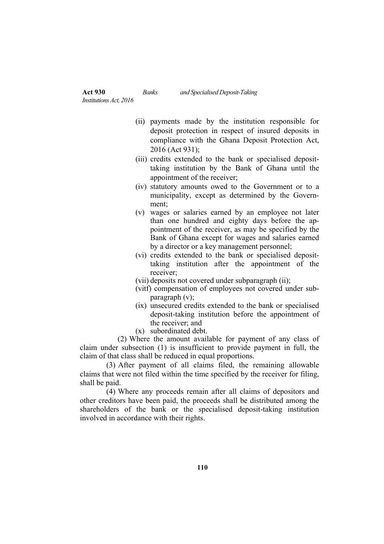(ii) payments made by the institution responsible for deposit protection in respect of insured deposits in compliance with the Ghana Deposit Protection Act, 2016 (Act 931);

- (iii) credits extended to the bank or specialised deposittaking institution by the Bank of Ghana until the appointment of the receiver;
- (iv) statutory amounts owed to the Government or to a municipality, except as determined by the Government;
- (v) wages or salaries earned by an employee not later than one hundred and eighty days before the appointment of the receiver, as may be specified by the Bank of Ghana except for wages and salaries earned by a director or a key management personnel;
- (vi) credits extended to the bank or specialised deposittaking institution after the appointment of the receiver;
- (vii) deposits not covered under subparagraph (ii);
- (vitf) compensation of employees not covered under subparagraph (v);
- (ix) unsecured credits extended to the bank or specialised deposit-taking institution before the appointment of the receiver: and
- (x) subordinated debt.

(2) Where the amount available for payment of any class of claim under subsection (1) is insufficient to provide payment in full, the claim of that class shall be reduced in equal proportions.

(3) After payment of all claims filed, the remaining allowable claims that were not filed within the time specified by the receiver for filing, shall be paid.

(4) Where any proceeds remain after all claims of depositors and other creditors have been paid, the proceeds shall be distributed among the shareholders of the bank or the specialised deposit-taking institution involved in accordance with their rights.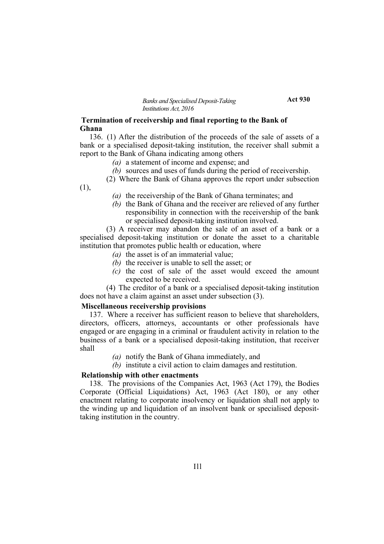### **Termination of receivership and final reporting to the Bank of Ghana**

136. (1) After the distribution of the proceeds of the sale of assets of a bank or a specialised deposit-taking institution, the receiver shall submit a report to the Bank of Ghana indicating among others

- *(a)* a statement of income and expense; and
- *(b)* sources and uses of funds during the period of receivership.
- (2) Where the Bank of Ghana approves the report under subsection (1),
	- *(a)* the receivership of the Bank of Ghana terminates; and
	- *(b)* the Bank of Ghana and the receiver are relieved of any further responsibility in connection with the receivership of the bank or specialised deposit-taking institution involved.

(3) A receiver may abandon the sale of an asset of a bank or a specialised deposit-taking institution or donate the asset to a charitable institution that promotes public health or education, where

- *(a)* the asset is of an immaterial value;
- *(b)* the receiver is unable to sell the asset; or
- *(c)* the cost of sale of the asset would exceed the amount expected to be received.

(4) The creditor of a bank or a specialised deposit-taking institution does not have a claim against an asset under subsection (3).

#### **Miscellaneous receivership provisions**

137. Where a receiver has sufficient reason to believe that shareholders, directors, officers, attorneys, accountants or other professionals have engaged or are engaging in a criminal or fraudulent activity in relation to the business of a bank or a specialised deposit-taking institution, that receiver shall

- *(a)* notify the Bank of Ghana immediately, and
- *(b)* institute a civil action to claim damages and restitution.

#### **Relationship with other enactments**

138. The provisions of the Companies Act, 1963 (Act 179), the Bodies Corporate (Official Liquidations) Act, 1963 (Act 180), or any other enactment relating to corporate insolvency or liquidation shall not apply to the winding up and liquidation of an insolvent bank or specialised deposittaking institution in the country.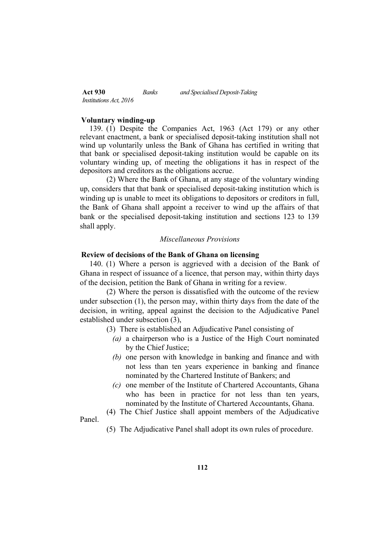| <b>Act 930</b>                | Banks | and Specialised Deposit-Taking |
|-------------------------------|-------|--------------------------------|
| <i>Institutions Act, 2016</i> |       |                                |

#### **Voluntary winding-up**

Panel.

139. (1) Despite the Companies Act, 1963 (Act 179) or any other relevant enactment, a bank or specialised deposit-taking institution shall not wind up voluntarily unless the Bank of Ghana has certified in writing that that bank or specialised deposit-taking institution would be capable on its voluntary winding up, of meeting the obligations it has in respect of the depositors and creditors as the obligations accrue.

(2) Where the Bank of Ghana, at any stage of the voluntary winding up, considers that that bank or specialised deposit-taking institution which is winding up is unable to meet its obligations to depositors or creditors in full, the Bank of Ghana shall appoint a receiver to wind up the affairs of that bank or the specialised deposit-taking institution and sections 123 to 139 shall apply.

#### *Miscellaneous Provisions*

### **Review of decisions of the Bank of Ghana on licensing**

140. (1) Where a person is aggrieved with a decision of the Bank of Ghana in respect of issuance of a licence, that person may, within thirty days of the decision, petition the Bank of Ghana in writing for a review.

(2) Where the person is dissatisfied with the outcome of the review under subsection (1), the person may, within thirty days from the date of the decision, in writing, appeal against the decision to the Adjudicative Panel established under subsection (3),

- (3) There is established an Adjudicative Panel consisting of
	- *(a)* a chairperson who is a Justice of the High Court nominated by the Chief Justice;
	- *(b)* one person with knowledge in banking and finance and with not less than ten years experience in banking and finance nominated by the Chartered Institute of Bankers; and
	- *(c)* one member of the Institute of Chartered Accountants, Ghana who has been in practice for not less than ten years, nominated by the Institute of Chartered Accountants, Ghana.
- (4) The Chief Justice shall appoint members of the Adjudicative
- (5) The Adjudicative Panel shall adopt its own rules of procedure.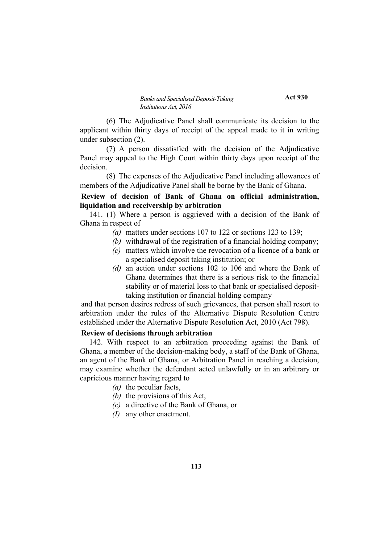**Act 930**

(6) The Adjudicative Panel shall communicate its decision to the applicant within thirty days of receipt of the appeal made to it in writing under subsection (2).

(7) A person dissatisfied with the decision of the Adjudicative Panel may appeal to the High Court within thirty days upon receipt of the decision.

(8) The expenses of the Adjudicative Panel including allowances of members of the Adjudicative Panel shall be borne by the Bank of Ghana.

### **Review of decision of Bank of Ghana on official administration, liquidation and receivership by arbitration**

141. (1) Where a person is aggrieved with a decision of the Bank of Ghana in respect of

- *(a)* matters under sections 107 to 122 or sections 123 to 139;
- *(b)* withdrawal of the registration of a financial holding company;
- *(c)* matters which involve the revocation of a licence of a bank or a specialised deposit taking institution; or
- *(d)* an action under sections 102 to 106 and where the Bank of Ghana determines that there is a serious risk to the financial stability or of material loss to that bank or specialised deposittaking institution or financial holding company

and that person desires redress of such grievances, that person shall resort to arbitration under the rules of the Alternative Dispute Resolution Centre established under the Alternative Dispute Resolution Act, 2010 (Act 798).

### **Review of decisions through arbitration**

142. With respect to an arbitration proceeding against the Bank of Ghana, a member of the decision-making body, a staff of the Bank of Ghana, an agent of the Bank of Ghana, or Arbitration Panel in reaching a decision, may examine whether the defendant acted unlawfully or in an arbitrary or capricious manner having regard to

- *(a)* the peculiar facts,
- *(b)* the provisions of this Act,
- *(c)* a directive of the Bank of Ghana, or
- *(I)* any other enactment.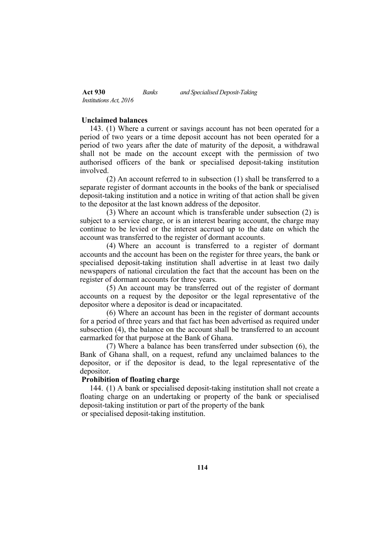| <b>Act 930</b>                | Banks | and Specialised Deposit-Taking |
|-------------------------------|-------|--------------------------------|
| <i>Institutions Act, 2016</i> |       |                                |

#### **Unclaimed balances**

143. (1) Where a current or savings account has not been operated for a period of two years or a time deposit account has not been operated for a period of two years after the date of maturity of the deposit, a withdrawal shall not be made on the account except with the permission of two authorised officers of the bank or specialised deposit-taking institution involved.

(2) An account referred to in subsection (1) shall be transferred to a separate register of dormant accounts in the books of the bank or specialised deposit-taking institution and a notice in writing of that action shall be given to the depositor at the last known address of the depositor.

(3) Where an account which is transferable under subsection (2) is subject to a service charge, or is an interest bearing account, the charge may continue to be levied or the interest accrued up to the date on which the account was transferred to the register of dormant accounts.

(4) Where an account is transferred to a register of dormant accounts and the account has been on the register for three years, the bank or specialised deposit-taking institution shall advertise in at least two daily newspapers of national circulation the fact that the account has been on the register of dormant accounts for three years.

(5) An account may be transferred out of the register of dormant accounts on a request by the depositor or the legal representative of the depositor where a depositor is dead or incapacitated.

(6) Where an account has been in the register of dormant accounts for a period of three years and that fact has been advertised as required under subsection (4), the balance on the account shall be transferred to an account earmarked for that purpose at the Bank of Ghana.

(7) Where a balance has been transferred under subsection (6), the Bank of Ghana shall, on a request, refund any unclaimed balances to the depositor, or if the depositor is dead, to the legal representative of the depositor.

#### **Prohibition of floating charge**

144. (1) A bank or specialised deposit-taking institution shall not create a floating charge on an undertaking or property of the bank or specialised deposit-taking institution or part of the property of the bank or specialised deposit-taking institution.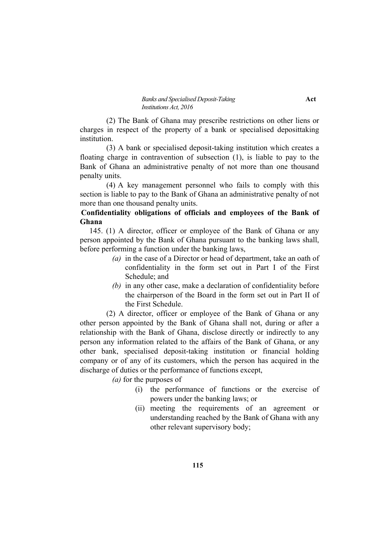(2) The Bank of Ghana may prescribe restrictions on other liens or charges in respect of the property of a bank or specialised deposittaking institution.

(3) A bank or specialised deposit-taking institution which creates a floating charge in contravention of subsection (1), is liable to pay to the Bank of Ghana an administrative penalty of not more than one thousand penalty units.

(4) A key management personnel who fails to comply with this section is liable to pay to the Bank of Ghana an administrative penalty of not more than one thousand penalty units.

### **Confidentiality obligations of officials and employees of the Bank of Ghana**

145. (1) A director, officer or employee of the Bank of Ghana or any person appointed by the Bank of Ghana pursuant to the banking laws shall, before performing a function under the banking laws,

- *(a)* in the case of a Director or head of department, take an oath of confidentiality in the form set out in Part I of the First Schedule; and
- *(b)* in any other case, make a declaration of confidentiality before the chairperson of the Board in the form set out in Part II of the First Schedule.

(2) A director, officer or employee of the Bank of Ghana or any other person appointed by the Bank of Ghana shall not, during or after a relationship with the Bank of Ghana, disclose directly or indirectly to any person any information related to the affairs of the Bank of Ghana, or any other bank, specialised deposit-taking institution or financial holding company or of any of its customers, which the person has acquired in the discharge of duties or the performance of functions except,

*(a)* for the purposes of

- (i) the performance of functions or the exercise of powers under the banking laws; or
- (ii) meeting the requirements of an agreement or understanding reached by the Bank of Ghana with any other relevant supervisory body;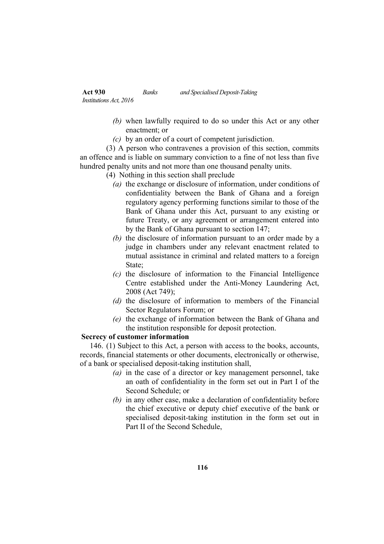- *(b)* when lawfully required to do so under this Act or any other enactment; or
- *(c)* by an order of a court of competent jurisdiction.

(3) A person who contravenes a provision of this section, commits an offence and is liable on summary conviction to a fine of not less than five hundred penalty units and not more than one thousand penalty units.

- (4) Nothing in this section shall preclude
	- *(a)* the exchange or disclosure of information, under conditions of confidentiality between the Bank of Ghana and a foreign regulatory agency performing functions similar to those of the Bank of Ghana under this Act, pursuant to any existing or future Treaty, or any agreement or arrangement entered into by the Bank of Ghana pursuant to section 147;
	- *(b)* the disclosure of information pursuant to an order made by a judge in chambers under any relevant enactment related to mutual assistance in criminal and related matters to a foreign State:
	- *(c)* the disclosure of information to the Financial Intelligence Centre established under the Anti-Money Laundering Act, 2008 (Act 749);
	- *(d)* the disclosure of information to members of the Financial Sector Regulators Forum; or
	- *(e)* the exchange of information between the Bank of Ghana and the institution responsible for deposit protection.

### **Secrecy of customer information**

146. (1) Subject to this Act, a person with access to the books, accounts, records, financial statements or other documents, electronically or otherwise, of a bank or specialised deposit-taking institution shall,

- *(a)* in the case of a director or key management personnel, take an oath of confidentiality in the form set out in Part I of the Second Schedule; or
- *(b)* in any other case, make a declaration of confidentiality before the chief executive or deputy chief executive of the bank or specialised deposit-taking institution in the form set out in Part II of the Second Schedule,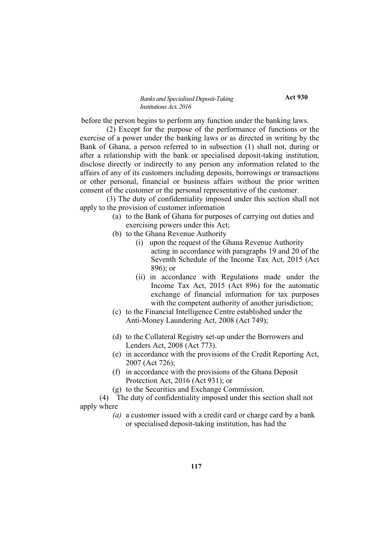**Act 930**

before the person begins to perform any function under the banking laws.

(2) Except for the purpose of the performance of functions or the exercise of a power under the banking laws or as directed in writing by the Bank of Ghana, a person referred to in subsection (1) shall not, during or after a relationship with the bank or specialised deposit-taking institution, disclose directly or indirectly to any person any information related to the affairs of any of its customers including deposits, borrowings or transactions or other personal, financial or business affairs without the prior written consent of the customer or the personal representative of the customer.

(3) The duty of confidentiality imposed under this section shall not apply to the provision of customer information

- (a) to the Bank of Ghana for purposes of carrying out duties and exercising powers under this Act;
- (b) to the Ghana Revenue Authority
	- (i) upon the request of the Ghana Revenue Authority acting in accordance with paragraphs 19 and 20 of the Seventh Schedule of the Income Tax Act, 2015 (Act 896); or
	- (ii) in accordance with Regulations made under the Income Tax Act, 2015 (Act 896) for the automatic exchange of financial information for tax purposes with the competent authority of another jurisdiction;
- (c) to the Financial Intelligence Centre established under the Anti-Money Laundering Act, 2008 (Act 749);
- (d) to the Collateral Registry set-up under the Borrowers and Lenders Act, 2008 (Act 773).
- (e) in accordance with the provisions of the Credit Reporting Act, 2007 (Act 726);
- (f) in accordance with the provisions of the Ghana Deposit Protection Act, 2016 (Act 931); or
- (g) to the Securities and Exchange Commission.
- (4) The duty of confidentiality imposed under this section shall not apply where
	- *(a)* a customer issued with a credit card or charge card by a bank or specialised deposit-taking institution, has had the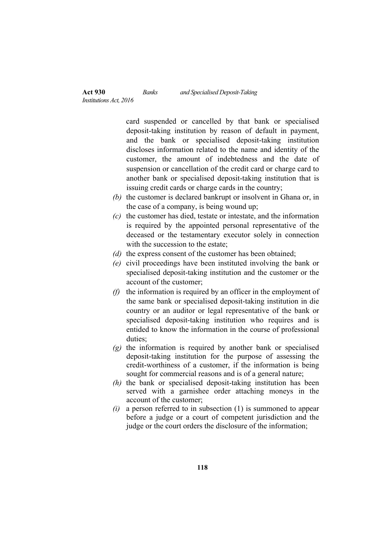card suspended or cancelled by that bank or specialised deposit-taking institution by reason of default in payment, and the bank or specialised deposit-taking institution discloses information related to the name and identity of the customer, the amount of indebtedness and the date of suspension or cancellation of the credit card or charge card to another bank or specialised deposit-taking institution that is issuing credit cards or charge cards in the country;

- *(b)* the customer is declared bankrupt or insolvent in Ghana or, in the case of a company, is being wound up;
- *(c)* the customer has died, testate or intestate, and the information is required by the appointed personal representative of the deceased or the testamentary executor solely in connection with the succession to the estate:
- *(d)* the express consent of the customer has been obtained;
- *(e)* civil proceedings have been instituted involving the bank or specialised deposit-taking institution and the customer or the account of the customer;
- *(f)* the information is required by an officer in the employment of the same bank or specialised deposit-taking institution in die country or an auditor or legal representative of the bank or specialised deposit-taking institution who requires and is entided to know the information in the course of professional duties;
- *(g)* the information is required by another bank or specialised deposit-taking institution for the purpose of assessing the credit-worthiness of a customer, if the information is being sought for commercial reasons and is of a general nature;
- *(h)* the bank or specialised deposit-taking institution has been served with a garnishee order attaching moneys in the account of the customer;
- *(i)* a person referred to in subsection (1) is summoned to appear before a judge or a court of competent jurisdiction and the judge or the court orders the disclosure of the information;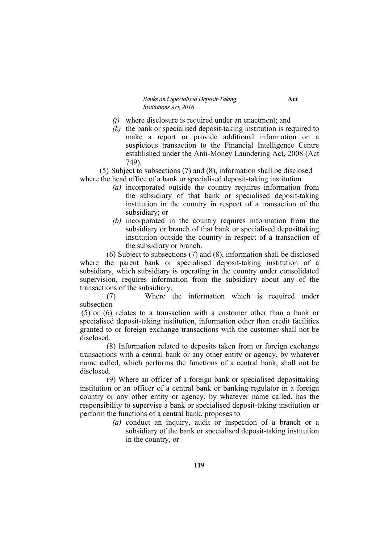- *(j)* where disclosure is required under an enactment; and
- *(k)* the bank or specialised deposit-taking institution is required to make a report or provide additional information on a suspicious transaction to the Financial Intelligence Centre established under the Anti-Money Laundering Act, 2008 (Act 749).

(5) Subject to subsections (7) and (8), information shall be disclosed where the head office of a bank or specialised deposit-taking institution

- *(a)* incorporated outside the country requires information from the subsidiary of that bank or specialised deposit-taking institution in the country in respect of a transaction of the subsidiary; or
- *(b)* incorporated in the country requires information from the subsidiary or branch of that bank or specialised deposittaking institution outside the country in respect of a transaction of the subsidiary or branch.

(6) Subject to subsections (7) and (8), information shall be disclosed where the parent bank or specialised deposit-taking institution of a subsidiary, which subsidiary is operating in the country under consolidated supervision, requires information from the subsidiary about any of the transactions of the subsidiary.

(7) Where the information which is required under subsection

(5) or (6) relates to a transaction with a customer other than a bank or specialised deposit-taking institution, information other than credit facilities granted to or foreign exchange transactions with the customer shall not be disclosed.

(8) Information related to deposits taken from or foreign exchange transactions with a central bank or any other entity or agency, by whatever name called, which performs the functions of a central bank, shall not be disclosed.

(9) Where an officer of a foreign bank or specialised deposittaking institution or an officer of a central bank or banking regulator in a foreign country or any other entity or agency, by whatever name called, has the responsibility to supervise a bank or specialised deposit-taking institution or perform the functions of a central bank, proposes to

> *(a)* conduct an inquiry, audit or inspection of a branch or a subsidiary of the bank or specialised deposit-taking institution in the country, or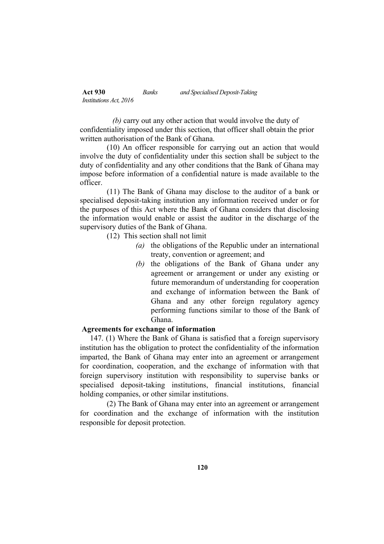*(b)* carry out any other action that would involve the duty of confidentiality imposed under this section, that officer shall obtain the prior written authorisation of the Bank of Ghana.

(10) An officer responsible for carrying out an action that would involve the duty of confidentiality under this section shall be subject to the duty of confidentiality and any other conditions that the Bank of Ghana may impose before information of a confidential nature is made available to the officer.

(11) The Bank of Ghana may disclose to the auditor of a bank or specialised deposit-taking institution any information received under or for the purposes of this Act where the Bank of Ghana considers that disclosing the information would enable or assist the auditor in the discharge of the supervisory duties of the Bank of Ghana.

(12) This section shall not limit

- *(a)* the obligations of the Republic under an international treaty, convention or agreement; and
- *(b)* the obligations of the Bank of Ghana under any agreement or arrangement or under any existing or future memorandum of understanding for cooperation and exchange of information between the Bank of Ghana and any other foreign regulatory agency performing functions similar to those of the Bank of Ghana.

### **Agreements for exchange of information**

147. (1) Where the Bank of Ghana is satisfied that a foreign supervisory institution has the obligation to protect the confidentiality of the information imparted, the Bank of Ghana may enter into an agreement or arrangement for coordination, cooperation, and the exchange of information with that foreign supervisory institution with responsibility to supervise banks or specialised deposit-taking institutions, financial institutions, financial holding companies, or other similar institutions.

(2) The Bank of Ghana may enter into an agreement or arrangement for coordination and the exchange of information with the institution responsible for deposit protection.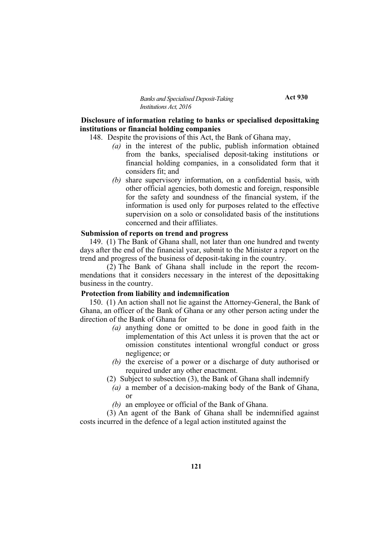**Act 930**

### **Disclosure of information relating to banks or specialised deposittaking institutions or financial holding companies**

148. Despite the provisions of this Act, the Bank of Ghana may,

- *(a)* in the interest of the public, publish information obtained from the banks, specialised deposit-taking institutions or financial holding companies, in a consolidated form that it considers fit; and
- *(b)* share supervisory information, on a confidential basis, with other official agencies, both domestic and foreign, responsible for the safety and soundness of the financial system, if the information is used only for purposes related to the effective supervision on a solo or consolidated basis of the institutions concerned and their affiliates.

#### **Submission of reports on trend and progress**

149. (1) The Bank of Ghana shall, not later than one hundred and twenty days after the end of the financial year, submit to the Minister a report on the trend and progress of the business of deposit-taking in the country.

(2) The Bank of Ghana shall include in the report the recommendations that it considers necessary in the interest of the deposittaking business in the country.

### **Protection from liability and indemnification**

150. (1) An action shall not lie against the Attorney-General, the Bank of Ghana, an officer of the Bank of Ghana or any other person acting under the direction of the Bank of Ghana for

- *(a)* anything done or omitted to be done in good faith in the implementation of this Act unless it is proven that the act or omission constitutes intentional wrongful conduct or gross negligence; or
- *(b)* the exercise of a power or a discharge of duty authorised or required under any other enactment.
- (2) Subject to subsection (3), the Bank of Ghana shall indemnify
	- *(a)* a member of a decision-making body of the Bank of Ghana, or
	- *(b)* an employee or official of the Bank of Ghana.

(3) An agent of the Bank of Ghana shall be indemnified against costs incurred in the defence of a legal action instituted against the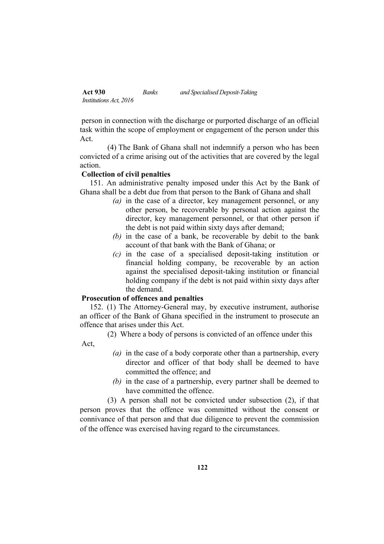| <b>Act 930</b>                | Banks | and Specialised Deposit-Taking |
|-------------------------------|-------|--------------------------------|
| <i>Institutions Act, 2016</i> |       |                                |

person in connection with the discharge or purported discharge of an official task within the scope of employment or engagement of the person under this Act.

(4) The Bank of Ghana shall not indemnify a person who has been convicted of a crime arising out of the activities that are covered by the legal action.

### **Collection of civil penalties**

151. An administrative penalty imposed under this Act by the Bank of Ghana shall be a debt due from that person to the Bank of Ghana and shall

- *(a)* in the case of a director, key management personnel, or any other person, be recoverable by personal action against the director, key management personnel, or that other person if the debt is not paid within sixty days after demand;
- *(b)* in the case of a bank, be recoverable by debit to the bank account of that bank with the Bank of Ghana; or
- *(c)* in the case of a specialised deposit-taking institution or financial holding company, be recoverable by an action against the specialised deposit-taking institution or financial holding company if the debt is not paid within sixty days after the demand.

### **Prosecution of offences and penalties**

**Act** 

152. (1) The Attorney-General may, by executive instrument, authorise an officer of the Bank of Ghana specified in the instrument to prosecute an offence that arises under this Act.

(2) Where a body of persons is convicted of an offence under this

- *(a)* in the case of a body corporate other than a partnership, every director and officer of that body shall be deemed to have committed the offence; and
- *(b)* in the case of a partnership, every partner shall be deemed to have committed the offence.

(3) A person shall not be convicted under subsection (2), if that person proves that the offence was committed without the consent or connivance of that person and that due diligence to prevent the commission of the offence was exercised having regard to the circumstances.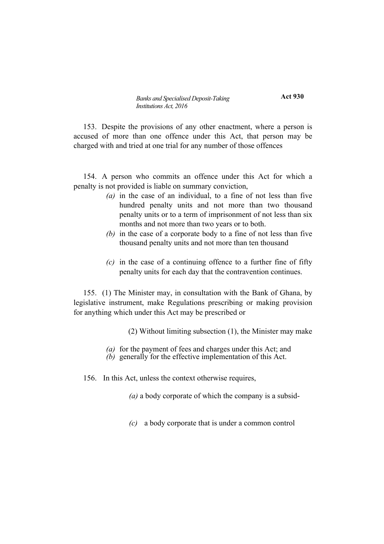**Act 930**

153. Despite the provisions of any other enactment, where a person is accused of more than one offence under this Act, that person may be charged with and tried at one trial for any number of those offences

154. A person who commits an offence under this Act for which a penalty is not provided is liable on summary conviction,

- *(a)* in the case of an individual, to a fine of not less than five hundred penalty units and not more than two thousand penalty units or to a term of imprisonment of not less than six months and not more than two years or to both.
- *(b)* in the case of a corporate body to a fine of not less than five thousand penalty units and not more than ten thousand
- *(c)* in the case of a continuing offence to a further fine of fifty penalty units for each day that the contravention continues.

155. (1) The Minister may, in consultation with the Bank of Ghana, by legislative instrument, make Regulations prescribing or making provision for anything which under this Act may be prescribed or

(2) Without limiting subsection (1), the Minister may make

- *(a)* for the payment of fees and charges under this Act; and
- *(b)* generally for the effective implementation of this Act.
- 156. In this Act, unless the context otherwise requires,

*(a)* a body corporate of which the company is a subsid-

*(c)* a body corporate that is under a common control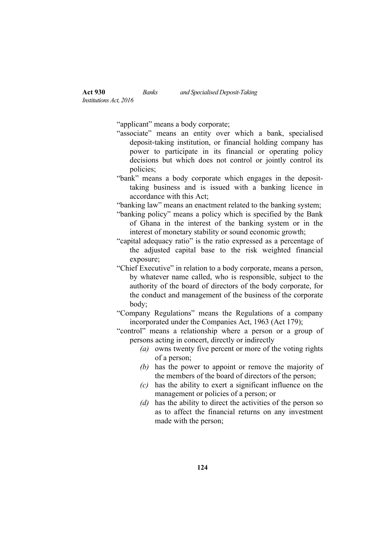"applicant" means a body corporate;

- "associate" means an entity over which a bank, specialised deposit-taking institution, or financial holding company has power to participate in its financial or operating policy decisions but which does not control or jointly control its policies;
- "bank" means a body corporate which engages in the deposittaking business and is issued with a banking licence in accordance with this Act:
- "banking law" means an enactment related to the banking system;
- "banking policy" means a policy which is specified by the Bank of Ghana in the interest of the banking system or in the interest of monetary stability or sound economic growth;
- "capital adequacy ratio" is the ratio expressed as a percentage of the adjusted capital base to the risk weighted financial exposure;
- "Chief Executive" in relation to a body corporate, means a person, by whatever name called, who is responsible, subject to the authority of the board of directors of the body corporate, for the conduct and management of the business of the corporate body;
- "Company Regulations" means the Regulations of a company incorporated under the Companies Act, 1963 (Act 179);

"control" means a relationship where a person or a group of persons acting in concert, directly or indirectly

- *(a)* owns twenty five percent or more of the voting rights of a person;
- *(b)* has the power to appoint or remove the majority of the members of the board of directors of the person;
- *(c)* has the ability to exert a significant influence on the management or policies of a person; or
- *(d)* has the ability to direct the activities of the person so as to affect the financial returns on any investment made with the person;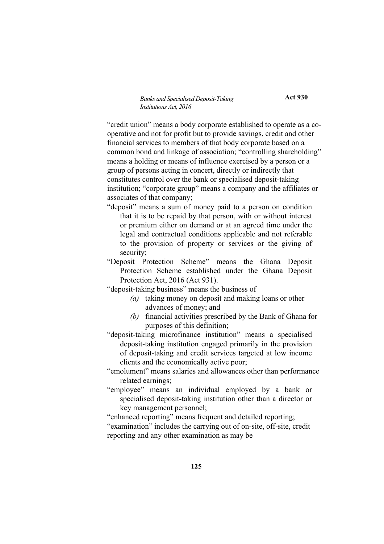**Act 930**

"credit union" means a body corporate established to operate as a cooperative and not for profit but to provide savings, credit and other financial services to members of that body corporate based on a common bond and linkage of association; "controlling shareholding" means a holding or means of influence exercised by a person or a group of persons acting in concert, directly or indirectly that constitutes control over the bank or specialised deposit-taking institution; "corporate group" means a company and the affiliates or associates of that company;

"deposit" means a sum of money paid to a person on condition that it is to be repaid by that person, with or without interest or premium either on demand or at an agreed time under the legal and contractual conditions applicable and not referable to the provision of property or services or the giving of security;

"Deposit Protection Scheme" means the Ghana Deposit Protection Scheme established under the Ghana Deposit Protection Act, 2016 (Act 931).

"deposit-taking business" means the business of

- *(a)* taking money on deposit and making loans or other advances of money; and
- *(b)* financial activities prescribed by the Bank of Ghana for purposes of this definition;
- "deposit-taking microfinance institution" means a specialised deposit-taking institution engaged primarily in the provision of deposit-taking and credit services targeted at low income clients and the economically active poor;
- "emolument" means salaries and allowances other than performance related earnings;
- "employee" means an individual employed by a bank or specialised deposit-taking institution other than a director or key management personnel;

"enhanced reporting" means frequent and detailed reporting;

"examination" includes the carrying out of on-site, off-site, credit reporting and any other examination as may be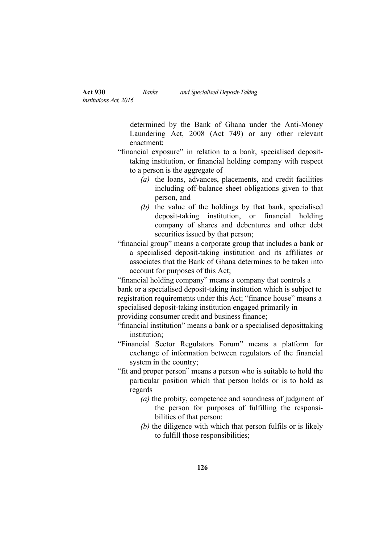determined by the Bank of Ghana under the Anti-Money Laundering Act, 2008 (Act 749) or any other relevant enactment;

- "financial exposure" in relation to a bank, specialised deposittaking institution, or financial holding company with respect to a person is the aggregate of
	- *(a)* the loans, advances, placements, and credit facilities including off-balance sheet obligations given to that person, and
	- *(b)* the value of the holdings by that bank, specialised deposit-taking institution, or financial holding company of shares and debentures and other debt securities issued by that person;

"financial group" means a corporate group that includes a bank or a specialised deposit-taking institution and its affiliates or associates that the Bank of Ghana determines to be taken into account for purposes of this Act;

"financial holding company" means a company that controls a bank or a specialised deposit-taking institution which is subject to registration requirements under this Act; "finance house" means a specialised deposit-taking institution engaged primarily in providing consumer credit and business finance;

"financial institution" means a bank or a specialised deposittaking institution;

- "Financial Sector Regulators Forum" means a platform for exchange of information between regulators of the financial system in the country;
- "fit and proper person" means a person who is suitable to hold the particular position which that person holds or is to hold as regards
	- *(a)* the probity, competence and soundness of judgment of the person for purposes of fulfilling the responsibilities of that person;
	- *(b)* the diligence with which that person fulfils or is likely to fulfill those responsibilities;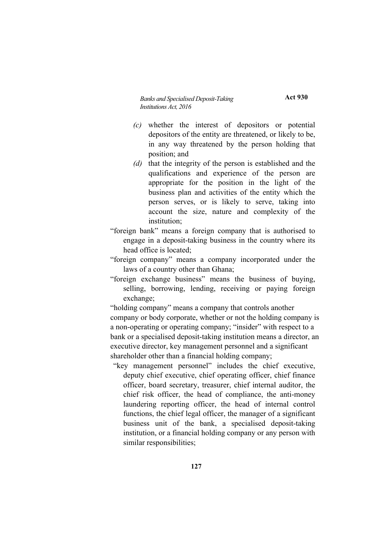**Act 930**

- *(c)* whether the interest of depositors or potential depositors of the entity are threatened, or likely to be, in any way threatened by the person holding that position; and
- *(d)* that the integrity of the person is established and the qualifications and experience of the person are appropriate for the position in the light of the business plan and activities of the entity which the person serves, or is likely to serve, taking into account the size, nature and complexity of the institution;
- "foreign bank" means a foreign company that is authorised to engage in a deposit-taking business in the country where its head office is located;
- "foreign company" means a company incorporated under the laws of a country other than Ghana;
- "foreign exchange business" means the business of buying, selling, borrowing, lending, receiving or paying foreign exchange;

"holding company" means a company that controls another company or body corporate, whether or not the holding company is a non-operating or operating company; "insider" with respect to a bank or a specialised deposit-taking institution means a director, an executive director, key management personnel and a significant shareholder other than a financial holding company;

"key management personnel" includes the chief executive, deputy chief executive, chief operating officer, chief finance officer, board secretary, treasurer, chief internal auditor, the chief risk officer, the head of compliance, the anti-money laundering reporting officer, the head of internal control functions, the chief legal officer, the manager of a significant business unit of the bank, a specialised deposit-taking institution, or a financial holding company or any person with similar responsibilities;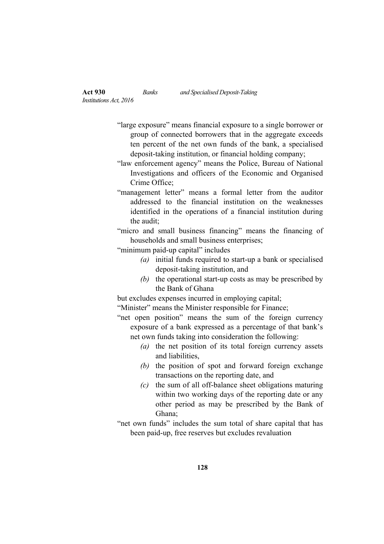- "large exposure" means financial exposure to a single borrower or group of connected borrowers that in the aggregate exceeds ten percent of the net own funds of the bank, a specialised deposit-taking institution, or financial holding company;
- "law enforcement agency" means the Police, Bureau of National Investigations and officers of the Economic and Organised Crime Office;
- "management letter" means a formal letter from the auditor addressed to the financial institution on the weaknesses identified in the operations of a financial institution during the audit;

"micro and small business financing" means the financing of households and small business enterprises;

"minimum paid-up capital" includes

- *(a)* initial funds required to start-up a bank or specialised deposit-taking institution, and
- *(b)* the operational start-up costs as may be prescribed by the Bank of Ghana

but excludes expenses incurred in employing capital;

"Minister" means the Minister responsible for Finance;

"net open position" means the sum of the foreign currency exposure of a bank expressed as a percentage of that bank's net own funds taking into consideration the following:

- *(a)* the net position of its total foreign currency assets and liabilities,
- *(b)* the position of spot and forward foreign exchange transactions on the reporting date, and
- *(c)* the sum of all off-balance sheet obligations maturing within two working days of the reporting date or any other period as may be prescribed by the Bank of Ghana;
- "net own funds" includes the sum total of share capital that has been paid-up, free reserves but excludes revaluation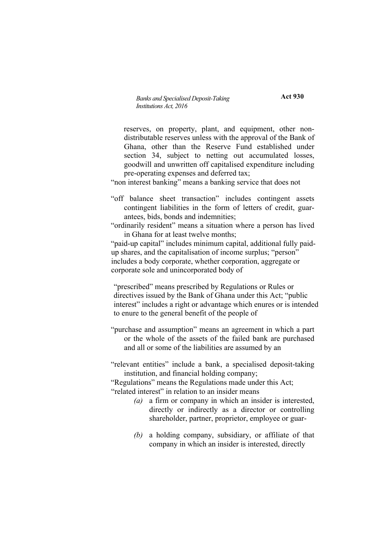**Act 930**

reserves, on property, plant, and equipment, other nondistributable reserves unless with the approval of the Bank of Ghana, other than the Reserve Fund established under section 34, subject to netting out accumulated losses, goodwill and unwritten off capitalised expenditure including pre-operating expenses and deferred tax;

"non interest banking" means a banking service that does not

"off balance sheet transaction" includes contingent assets contingent liabilities in the form of letters of credit, guarantees, bids, bonds and indemnities;

"ordinarily resident" means a situation where a person has lived in Ghana for at least twelve months;

"paid-up capital" includes minimum capital, additional fully paidup shares, and the capitalisation of income surplus; "person" includes a body corporate, whether corporation, aggregate or corporate sole and unincorporated body of

"prescribed" means prescribed by Regulations or Rules or directives issued by the Bank of Ghana under this Act; "public interest" includes a right or advantage which enures or is intended to enure to the general benefit of the people of

"purchase and assumption" means an agreement in which a part or the whole of the assets of the failed bank are purchased and all or some of the liabilities are assumed by an

"relevant entities" include a bank, a specialised deposit-taking institution, and financial holding company;

"Regulations" means the Regulations made under this Act; "related interest" in relation to an insider means

- *(a)* a firm or company in which an insider is interested, directly or indirectly as a director or controlling shareholder, partner, proprietor, employee or guar-
- *(b)* a holding company, subsidiary, or affiliate of that company in which an insider is interested, directly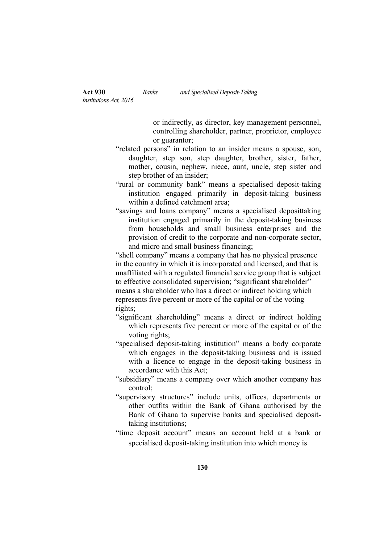or indirectly, as director, key management personnel, controlling shareholder, partner, proprietor, employee or guarantor;

- "related persons" in relation to an insider means a spouse, son, daughter, step son, step daughter, brother, sister, father, mother, cousin, nephew, niece, aunt, uncle, step sister and step brother of an insider;
- "rural or community bank" means a specialised deposit-taking institution engaged primarily in deposit-taking business within a defined catchment area;
- "savings and loans company" means a specialised deposittaking institution engaged primarily in the deposit-taking business from households and small business enterprises and the provision of credit to the corporate and non-corporate sector, and micro and small business financing;

"shell company" means a company that has no physical presence in the country in which it is incorporated and licensed, and that is unaffiliated with a regulated financial service group that is subject to effective consolidated supervision; "significant shareholder" means a shareholder who has a direct or indirect holding which represents five percent or more of the capital or of the voting rights;

- "significant shareholding" means a direct or indirect holding which represents five percent or more of the capital or of the voting rights;
- "specialised deposit-taking institution" means a body corporate which engages in the deposit-taking business and is issued with a licence to engage in the deposit-taking business in accordance with this Act;
- "subsidiary" means a company over which another company has control;
- "supervisory structures" include units, offices, departments or other outfits within the Bank of Ghana authorised by the Bank of Ghana to supervise banks and specialised deposittaking institutions;
- "time deposit account" means an account held at a bank or specialised deposit-taking institution into which money is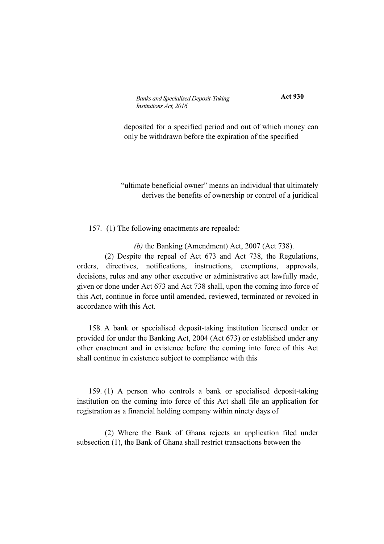**Act 930**

deposited for a specified period and out of which money can only be withdrawn before the expiration of the specified

"ultimate beneficial owner" means an individual that ultimately derives the benefits of ownership or control of a juridical

157. (1) The following enactments are repealed:

*(b)* the Banking (Amendment) Act, 2007 (Act 738).

(2) Despite the repeal of Act 673 and Act 738, the Regulations, orders, directives, notifications, instructions, exemptions, approvals, decisions, rules and any other executive or administrative act lawfully made, given or done under Act 673 and Act 738 shall, upon the coming into force of this Act, continue in force until amended, reviewed, terminated or revoked in accordance with this Act.

158. A bank or specialised deposit-taking institution licensed under or provided for under the Banking Act, 2004 (Act 673) or established under any other enactment and in existence before the coming into force of this Act shall continue in existence subject to compliance with this

159. (1) A person who controls a bank or specialised deposit-taking institution on the coming into force of this Act shall file an application for registration as a financial holding company within ninety days of

(2) Where the Bank of Ghana rejects an application filed under subsection (1), the Bank of Ghana shall restrict transactions between the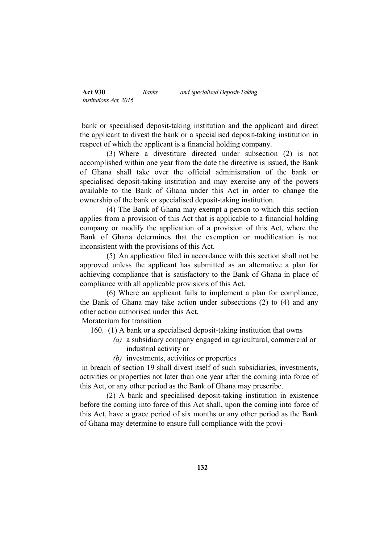bank or specialised deposit-taking institution and the applicant and direct the applicant to divest the bank or a specialised deposit-taking institution in respect of which the applicant is a financial holding company.

(3) Where a divestiture directed under subsection (2) is not accomplished within one year from the date the directive is issued, the Bank of Ghana shall take over the official administration of the bank or specialised deposit-taking institution and may exercise any of the powers available to the Bank of Ghana under this Act in order to change the ownership of the bank or specialised deposit-taking institution.

(4) The Bank of Ghana may exempt a person to which this section applies from a provision of this Act that is applicable to a financial holding company or modify the application of a provision of this Act, where the Bank of Ghana determines that the exemption or modification is not inconsistent with the provisions of this Act.

(5) An application filed in accordance with this section shall not be approved unless the applicant has submitted as an alternative a plan for achieving compliance that is satisfactory to the Bank of Ghana in place of compliance with all applicable provisions of this Act.

(6) Where an applicant fails to implement a plan for compliance, the Bank of Ghana may take action under subsections (2) to (4) and any other action authorised under this Act.

Moratorium for transition

- 160. (1) A bank or a specialised deposit-taking institution that owns
	- *(a)* a subsidiary company engaged in agricultural, commercial or industrial activity or
	- *(b)* investments, activities or properties

in breach of section 19 shall divest itself of such subsidiaries, investments, activities or properties not later than one year after the coming into force of this Act, or any other period as the Bank of Ghana may prescribe.

(2) A bank and specialised deposit-taking institution in existence before the coming into force of this Act shall, upon the coming into force of this Act, have a grace period of six months or any other period as the Bank of Ghana may determine to ensure full compliance with the provi-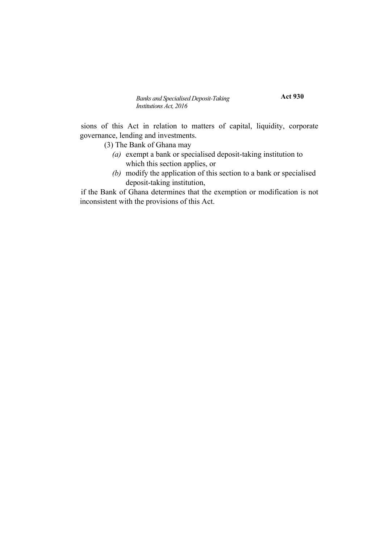**Act 930**

sions of this Act in relation to matters of capital, liquidity, corporate governance, lending and investments.

(3) The Bank of Ghana may

- *(a)* exempt a bank or specialised deposit-taking institution to which this section applies, or
- *(b)* modify the application of this section to a bank or specialised deposit-taking institution,

if the Bank of Ghana determines that the exemption or modification is not inconsistent with the provisions of this Act.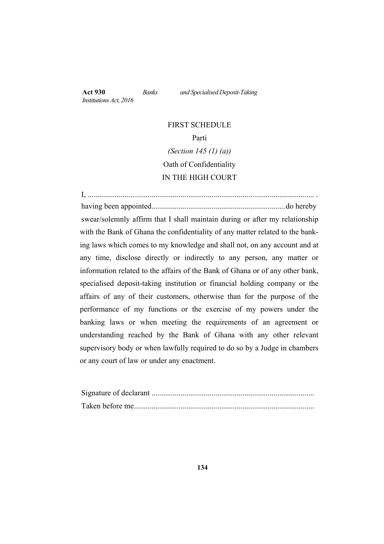*Institutions Act, 2016*

**Act 930** *Banks and Specialised Deposit-Taking*

# FIRST SCHEDULE Parti *(Section 145 (1) (a))* Oath of Confidentiality IN THE HIGH COURT

I, ..................................................................................................................... . having been appointed.....................................................................do hereby swear/solemnly affirm that I shall maintain during or after my relationship with the Bank of Ghana the confidentiality of any matter related to the banking laws which comes to my knowledge and shall not, on any account and at any time, disclose directly or indirectly to any person, any matter or information related to the affairs of the Bank of Ghana or of any other bank, specialised deposit-taking institution or financial holding company or the affairs of any of their customers, otherwise than for the purpose of the performance of my functions or the exercise of my powers under the banking laws or when meeting the requirements of an agreement or understanding reached by the Bank of Ghana with any other relevant supervisory body or when lawfully required to do so by a Judge in chambers or any court of law or under any enactment.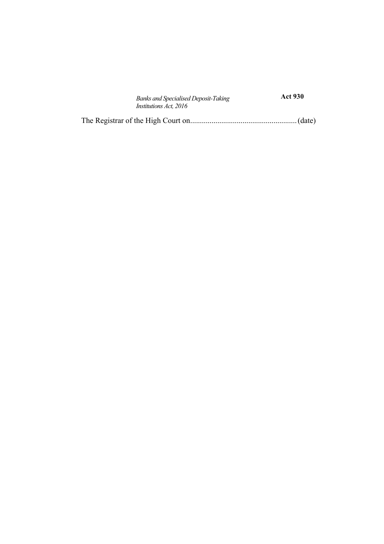| <b>Banks and Specialised Deposit-Taking</b> | <b>Act 930</b> |  |
|---------------------------------------------|----------------|--|
| <i>Institutions Act, 2016</i>               |                |  |
|                                             |                |  |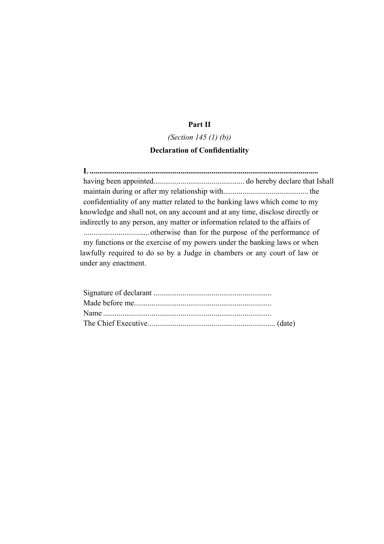### **Part II**

## *(Section 145 (1) (b))* **Declaration of Confidentiality**

**L......................................................................................................................** having been appointed............................................... do hereby declare that Ishall maintain during or after my relationship with............................................ the confidentiality of any matter related to the banking laws which come to my knowledge and shall not, on any account and at any time, disclose directly or indirectly to any person, any matter or information related to the affairs of ..................................otherwise than for the purpose of the performance of my functions or the exercise of my powers under the banking laws or when lawfully required to do so by a Judge in chambers or any court of law or

under any enactment.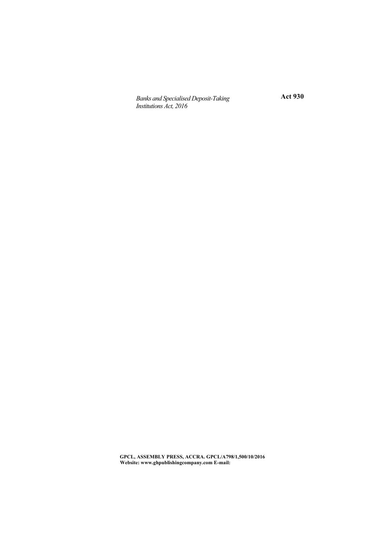**Act 930**

**GPCL, ASSEMBLY PRESS, ACCRA. GPCL/A798/1,500/10/2016 Website: www.ghpublishingcompany.com E-mail:**